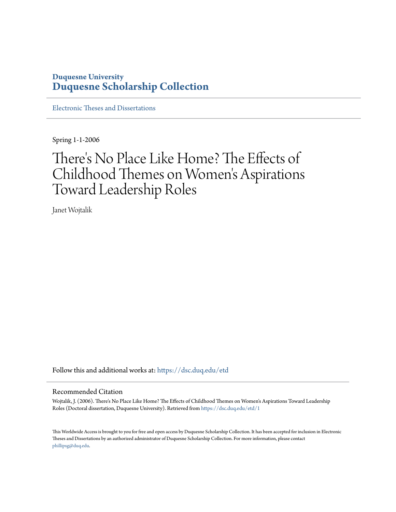# **Duquesne University [Duquesne Scholarship Collection](https://dsc.duq.edu?utm_source=dsc.duq.edu%2Fetd%2F1&utm_medium=PDF&utm_campaign=PDFCoverPages)**

[Electronic Theses and Dissertations](https://dsc.duq.edu/etd?utm_source=dsc.duq.edu%2Fetd%2F1&utm_medium=PDF&utm_campaign=PDFCoverPages)

Spring 1-1-2006

# There 's No Place Like Home? The Effects of Childhood Themes on Women 's Aspirations Toward Leadership Roles

Janet Wojtalik

Follow this and additional works at: [https://dsc.duq.edu/etd](https://dsc.duq.edu/etd?utm_source=dsc.duq.edu%2Fetd%2F1&utm_medium=PDF&utm_campaign=PDFCoverPages)

#### Recommended Citation

Wojtalik, J. (2006). There's No Place Like Home? The Effects of Childhood Themes on Women's Aspirations Toward Leadership Roles (Doctoral dissertation, Duquesne University). Retrieved from [https://dsc.duq.edu/etd/1](https://dsc.duq.edu/etd/1?utm_source=dsc.duq.edu%2Fetd%2F1&utm_medium=PDF&utm_campaign=PDFCoverPages)

This Worldwide Access is brought to you for free and open access by Duquesne Scholarship Collection. It has been accepted for inclusion in Electronic Theses and Dissertations by an authorized administrator of Duquesne Scholarship Collection. For more information, please contact [phillipsg@duq.edu.](mailto:phillipsg@duq.edu)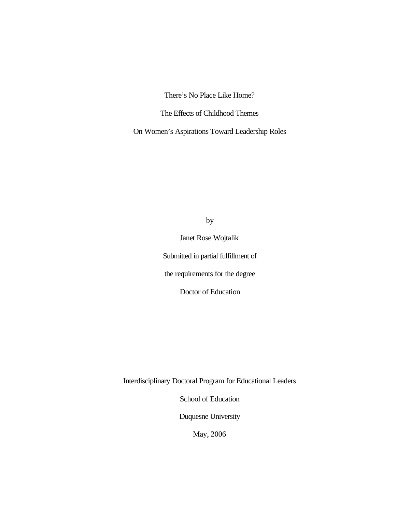There's No Place Like Home?

The Effects of Childhood Themes

On Women's Aspirations Toward Leadership Roles

by

Janet Rose Wojtalik Submitted in partial fulfillment of the requirements for the degree

Doctor of Education

Interdisciplinary Doctoral Program for Educational Leaders

School of Education

Duquesne University

May, 2006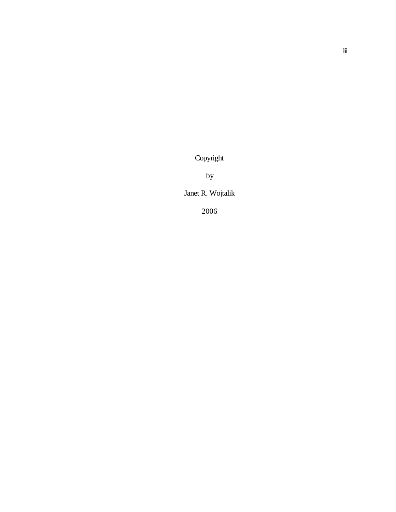Copyright

by

Janet R. Wojtalik

2006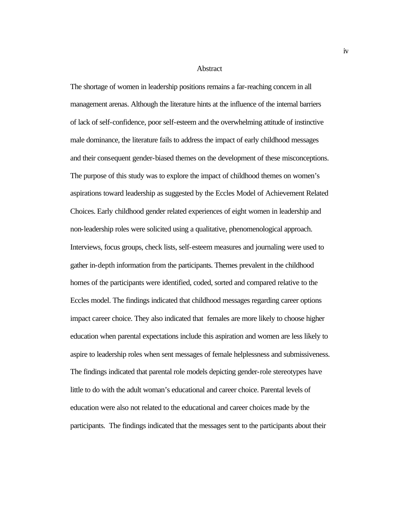Abstract

The shortage of women in leadership positions remains a far-reaching concern in all management arenas. Although the literature hints at the influence of the internal barriers of lack of self-confidence, poor self-esteem and the overwhelming attitude of instinctive male dominance, the literature fails to address the impact of early childhood messages and their consequent gender-biased themes on the development of these misconceptions. The purpose of this study was to explore the impact of childhood themes on women's aspirations toward leadership as suggested by the Eccles Model of Achievement Related Choices. Early childhood gender related experiences of eight women in leadership and non-leadership roles were solicited using a qualitative, phenomenological approach. Interviews, focus groups, check lists, self-esteem measures and journaling were used to gather in-depth information from the participants. Themes prevalent in the childhood homes of the participants were identified, coded, sorted and compared relative to the Eccles model. The findings indicated that childhood messages regarding career options impact career choice. They also indicated that females are more likely to choose higher education when parental expectations include this aspiration and women are less likely to aspire to leadership roles when sent messages of female helplessness and submissiveness. The findings indicated that parental role models depicting gender-role stereotypes have little to do with the adult woman's educational and career choice. Parental levels of education were also not related to the educational and career choices made by the participants. The findings indicated that the messages sent to the participants about their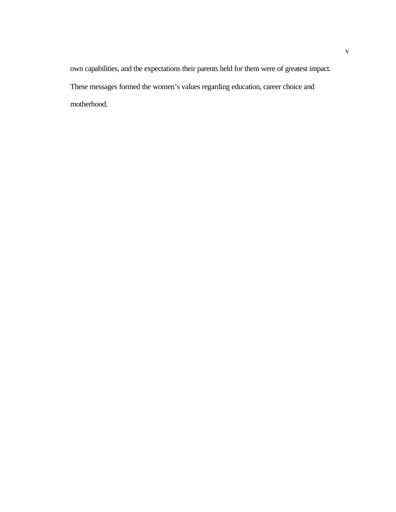own capabilities, and the expectations their parents held for them were of greatest impact. These messages formed the women's values regarding education, career choice and motherhood.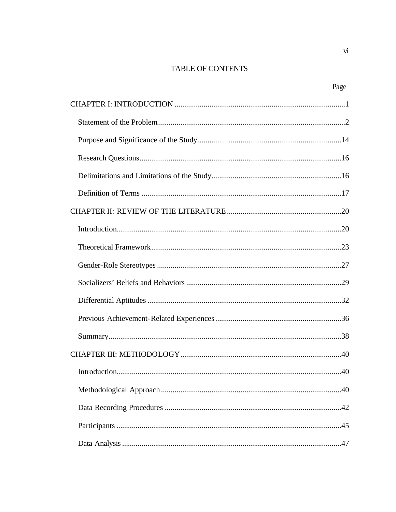## TABLE OF CONTENTS

| Page |
|------|
|      |
|      |
|      |
|      |
|      |
|      |
|      |
|      |
|      |
|      |
|      |
|      |
|      |
|      |
|      |
| 40   |
|      |
|      |
|      |
|      |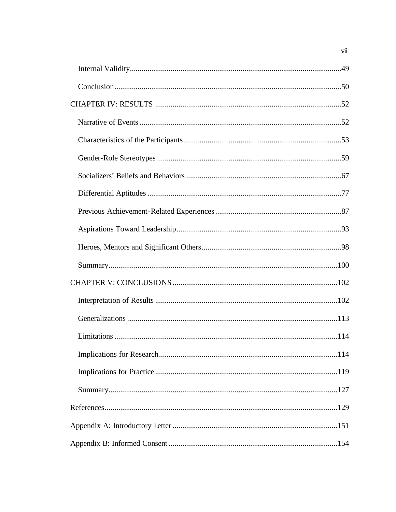$vii$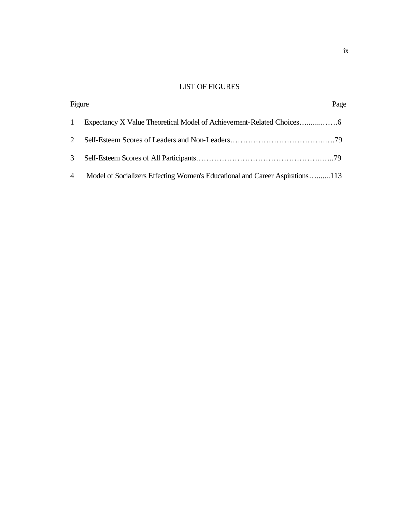## LIST OF FIGURES

| Figure          |                                                                              | Page |
|-----------------|------------------------------------------------------------------------------|------|
| 1               |                                                                              |      |
| 2               |                                                                              |      |
| 3 <sup>7</sup>  |                                                                              |      |
| $4\overline{ }$ | Model of Socializers Effecting Women's Educational and Career Aspirations113 |      |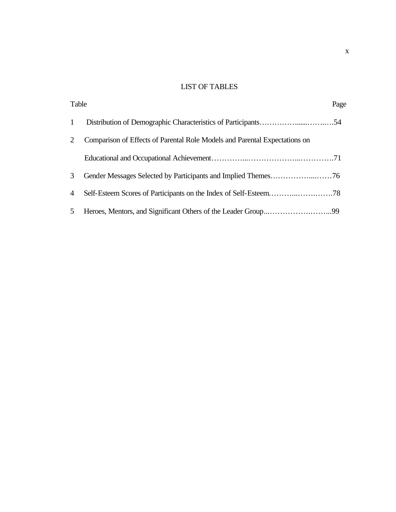## LIST OF TABLES

| Table          |                                                                            | Page |
|----------------|----------------------------------------------------------------------------|------|
| $\mathbf{1}$   |                                                                            |      |
| 2              | Comparison of Effects of Parental Role Models and Parental Expectations on |      |
|                |                                                                            |      |
| 3              |                                                                            |      |
| $\overline{4}$ |                                                                            |      |
| 5 <sup>5</sup> |                                                                            |      |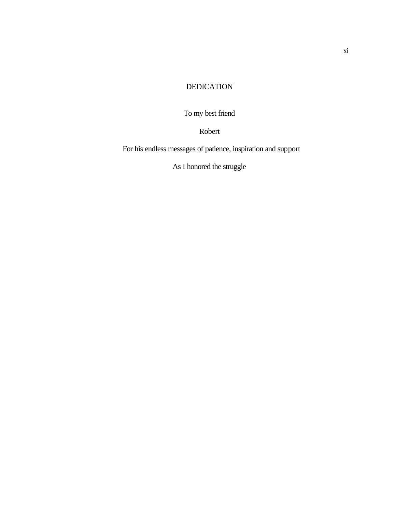## DEDICATION

To my best friend

Robert

For his endless messages of patience, inspiration and support

As I honored the struggle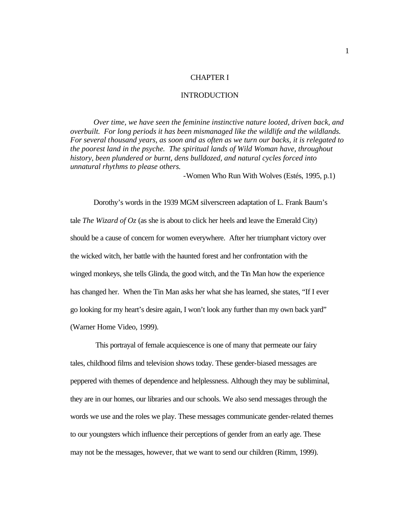#### CHAPTER I

#### INTRODUCTION

<span id="page-12-0"></span>*Over time, we have seen the feminine instinctive nature looted, driven back, and overbuilt. For long periods it has been mismanaged like the wildlife and the wildlands. For several thousand years, as soon and as often as we turn our backs, it is relegated to the poorest land in the psyche. The spiritual lands of Wild Woman have, throughout history, been plundered or burnt, dens bulldozed, and natural cycles forced into unnatural rhythms to please others.*

-Women Who Run With Wolves (Estés, 1995, p.1)

Dorothy's words in the 1939 MGM silverscreen adaptation of L. Frank Baum's tale *The Wizard of Oz* (as she is about to click her heels and leave the Emerald City) should be a cause of concern for women everywhere. After her triumphant victory over the wicked witch, her battle with the haunted forest and her confrontation with the winged monkeys, she tells Glinda, the good witch, and the Tin Man how the experience has changed her. When the Tin Man asks her what she has learned, she states, "If I ever go looking for my heart's desire again, I won't look any further than my own back yard" (Warner Home Video, 1999).

 This portrayal of female acquiescence is one of many that permeate our fairy tales, childhood films and television shows today. These gender-biased messages are peppered with themes of dependence and helplessness. Although they may be subliminal, they are in our homes, our libraries and our schools. We also send messages through the words we use and the roles we play. These messages communicate gender-related themes to our youngsters which influence their perceptions of gender from an early age. These may not be the messages, however, that we want to send our children (Rimm, 1999).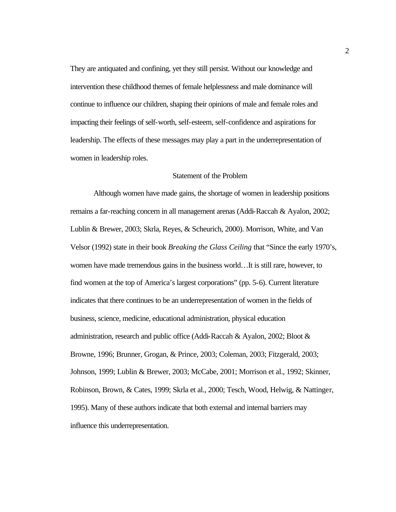<span id="page-13-0"></span>They are antiquated and confining, yet they still persist. Without our knowledge and intervention these childhood themes of female helplessness and male dominance will continue to influence our children, shaping their opinions of male and female roles and impacting their feelings of self-worth, self-esteem, self-confidence and aspirations for leadership. The effects of these messages may play a part in the underrepresentation of women in leadership roles.

#### Statement of the Problem

Although women have made gains, the shortage of women in leadership positions remains a far-reaching concern in all management arenas (Addi-Raccah & Ayalon, 2002; Lublin & Brewer, 2003; Skrla, Reyes, & Scheurich, 2000). Morrison, White, and Van Velsor (1992) state in their book *Breaking the Glass Ceiling* that "Since the early 1970's, women have made tremendous gains in the business world…It is still rare, however, to find women at the top of America's largest corporations" (pp. 5-6). Current literature indicates that there continues to be an underrepresentation of women in the fields of business, science, medicine, educational administration, physical education administration, research and public office (Addi-Raccah & Ayalon, 2002; Bloot & Browne, 1996; Brunner, Grogan, & Prince, 2003; Coleman, 2003; Fitzgerald, 2003; Johnson, 1999; Lublin & Brewer, 2003; McCabe, 2001; Morrison et al., 1992; Skinner, Robinson, Brown, & Cates, 1999; Skrla et al., 2000; Tesch, Wood, Helwig, & Nattinger, 1995). Many of these authors indicate that both external and internal barriers may influence this underrepresentation.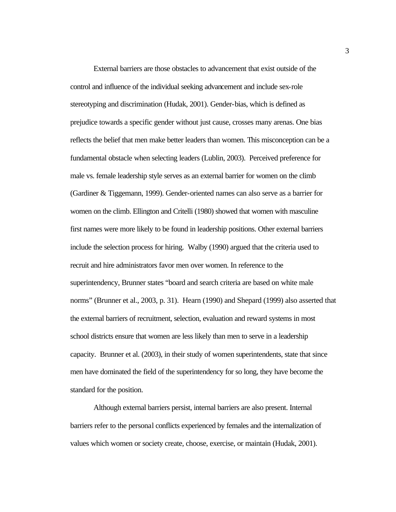External barriers are those obstacles to advancement that exist outside of the control and influence of the individual seeking advancement and include sex-role stereotyping and discrimination (Hudak, 2001). Gender-bias, which is defined as prejudice towards a specific gender without just cause, crosses many arenas. One bias reflects the belief that men make better leaders than women. This misconception can be a fundamental obstacle when selecting leaders (Lublin, 2003). Perceived preference for male vs. female leadership style serves as an external barrier for women on the climb (Gardiner & Tiggemann, 1999). Gender-oriented names can also serve as a barrier for women on the climb. Ellington and Critelli (1980) showed that women with masculine first names were more likely to be found in leadership positions. Other external barriers include the selection process for hiring. Walby (1990) argued that the criteria used to recruit and hire administrators favor men over women. In reference to the superintendency, Brunner states "board and search criteria are based on white male norms" (Brunner et al., 2003, p. 31). Hearn (1990) and Shepard (1999) also asserted that the external barriers of recruitment, selection, evaluation and reward systems in most school districts ensure that women are less likely than men to serve in a leadership capacity. Brunner et al. (2003), in their study of women superintendents, state that since men have dominated the field of the superintendency for so long, they have become the standard for the position.

Although external barriers persist, internal barriers are also present. Internal barriers refer to the personal conflicts experienced by females and the internalization of values which women or society create, choose, exercise, or maintain (Hudak, 2001).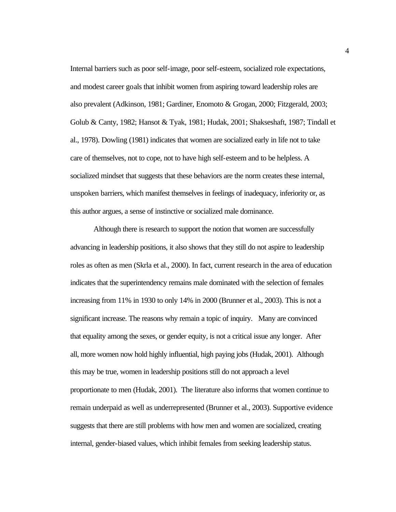Internal barriers such as poor self-image, poor self-esteem, socialized role expectations, and modest career goals that inhibit women from aspiring toward leadership roles are also prevalent (Adkinson, 1981; Gardiner, Enomoto & Grogan, 2000; Fitzgerald, 2003; Golub & Canty, 1982; Hansot & Tyak, 1981; Hudak, 2001; Shakseshaft, 1987; Tindall et al., 1978). Dowling (1981) indicates that women are socialized early in life not to take care of themselves, not to cope, not to have high self-esteem and to be helpless. A socialized mindset that suggests that these behaviors are the norm creates these internal, unspoken barriers, which manifest themselves in feelings of inadequacy, inferiority or, as this author argues, a sense of instinctive or socialized male dominance.

Although there is research to support the notion that women are successfully advancing in leadership positions, it also shows that they still do not aspire to leadership roles as often as men (Skrla et al., 2000). In fact, current research in the area of education indicates that the superintendency remains male dominated with the selection of females increasing from 11% in 1930 to only 14% in 2000 (Brunner et al., 2003). This is not a significant increase. The reasons why remain a topic of inquiry. Many are convinced that equality among the sexes, or gender equity, is not a critical issue any longer. After all, more women now hold highly influential, high paying jobs (Hudak, 2001). Although this may be true, women in leadership positions still do not approach a level proportionate to men (Hudak, 2001). The literature also informs that women continue to remain underpaid as well as underrepresented (Brunner et al., 2003). Supportive evidence suggests that there are still problems with how men and women are socialized, creating internal, gender-biased values, which inhibit females from seeking leadership status.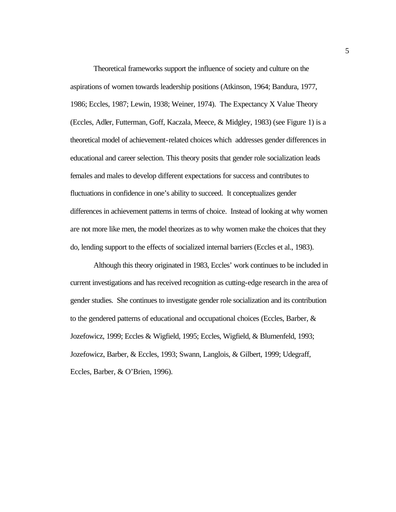Theoretical frameworks support the influence of society and culture on the aspirations of women towards leadership positions (Atkinson, 1964; Bandura, 1977, 1986; Eccles, 1987; Lewin, 1938; Weiner, 1974). The Expectancy X Value Theory (Eccles, Adler, Futterman, Goff, Kaczala, Meece, & Midgley, 1983) (see Figure 1) is a theoretical model of achievement-related choices which addresses gender differences in educational and career selection. This theory posits that gender role socialization leads females and males to develop different expectations for success and contributes to fluctuations in confidence in one's ability to succeed. It conceptualizes gender differences in achievement patterns in terms of choice. Instead of looking at why women are not more like men, the model theorizes as to why women make the choices that they do, lending support to the effects of socialized internal barriers (Eccles et al., 1983).

Although this theory originated in 1983, Eccles' work continues to be included in current investigations and has received recognition as cutting-edge research in the area of gender studies. She continues to investigate gender role socialization and its contribution to the gendered patterns of educational and occupational choices (Eccles, Barber, & Jozefowicz, 1999; Eccles & Wigfield, 1995; Eccles, Wigfield, & Blumenfeld, 1993; Jozefowicz, Barber, & Eccles, 1993; Swann, Langlois, & Gilbert, 1999; Udegraff, Eccles, Barber, & O'Brien, 1996).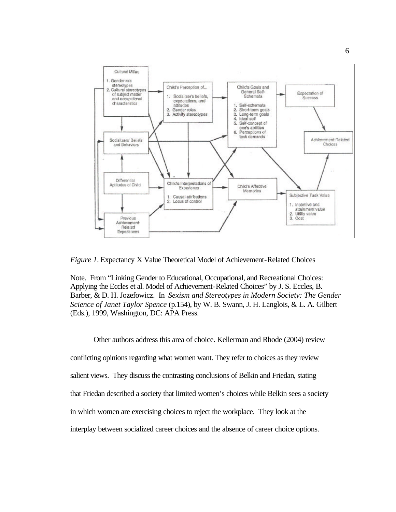<span id="page-17-0"></span>

*Figure 1*. Expectancy X Value Theoretical Model of Achievement-Related Choices

Note. From "Linking Gender to Educational, Occupational, and Recreational Choices: Applying the Eccles et al. Model of Achievement-Related Choices" by J. S. Eccles, B. Barber, & D. H. Jozefowicz. In *Sexism and Stereotypes in Modern Society: The Gender Science of Janet Taylor Spence* (p.154), by W. B. Swann, J. H. Langlois, & L. A. Gilbert (Eds.), 1999, Washington, DC: APA Press.

Other authors address this area of choice. Kellerman and Rhode (2004) review conflicting opinions regarding what women want. They refer to choices as they review salient views. They discuss the contrasting conclusions of Belkin and Friedan, stating that Friedan described a society that limited women's choices while Belkin sees a society in which women are exercising choices to reject the workplace. They look at the interplay between socialized career choices and the absence of career choice options.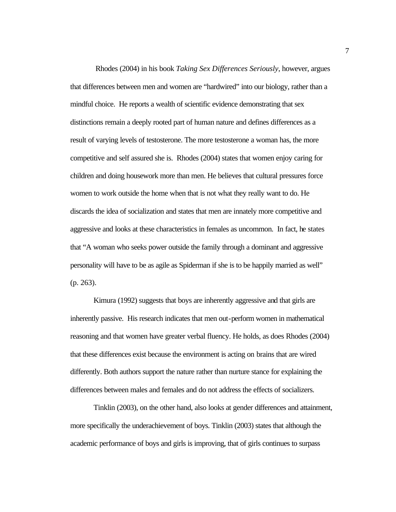Rhodes (2004) in his book *Taking Sex Differences Seriously*, however, argues that differences between men and women are "hardwired" into our biology, rather than a mindful choice. He reports a wealth of scientific evidence demonstrating that sex distinctions remain a deeply rooted part of human nature and defines differences as a result of varying levels of testosterone. The more testosterone a woman has, the more competitive and self assured she is. Rhodes (2004) states that women enjoy caring for children and doing housework more than men. He believes that cultural pressures force women to work outside the home when that is not what they really want to do. He discards the idea of socialization and states that men are innately more competitive and aggressive and looks at these characteristics in females as uncommon. In fact, he states that "A woman who seeks power outside the family through a dominant and aggressive personality will have to be as agile as Spiderman if she is to be happily married as well" (p. 263).

Kimura (1992) suggests that boys are inherently aggressive and that girls are inherently passive. His research indicates that men out-perform women in mathematical reasoning and that women have greater verbal fluency. He holds, as does Rhodes (2004) that these differences exist because the environment is acting on brains that are wired differently. Both authors support the nature rather than nurture stance for explaining the differences between males and females and do not address the effects of socializers.

Tinklin (2003), on the other hand, also looks at gender differences and attainment, more specifically the underachievement of boys. Tinklin (2003) states that although the academic performance of boys and girls is improving, that of girls continues to surpass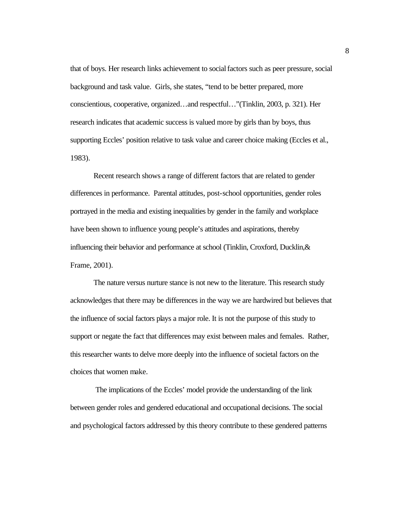that of boys. Her research links achievement to social factors such as peer pressure, social background and task value. Girls, she states, "tend to be better prepared, more conscientious, cooperative, organized…and respectful…"(Tinklin, 2003, p. 321). Her research indicates that academic success is valued more by girls than by boys, thus supporting Eccles' position relative to task value and career choice making (Eccles et al., 1983).

Recent research shows a range of different factors that are related to gender differences in performance. Parental attitudes, post-school opportunities, gender roles portrayed in the media and existing inequalities by gender in the family and workplace have been shown to influence young people's attitudes and aspirations, thereby influencing their behavior and performance at school (Tinklin, Croxford, Ducklin,& Frame, 2001).

The nature versus nurture stance is not new to the literature. This research study acknowledges that there may be differences in the way we are hardwired but believes that the influence of social factors plays a major role. It is not the purpose of this study to support or negate the fact that differences may exist between males and females. Rather, this researcher wants to delve more deeply into the influence of societal factors on the choices that women make.

 The implications of the Eccles' model provide the understanding of the link between gender roles and gendered educational and occupational decisions. The social and psychological factors addressed by this theory contribute to these gendered patterns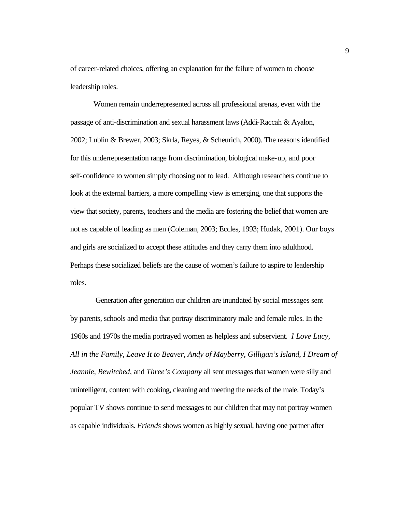of career-related choices, offering an explanation for the failure of women to choose leadership roles.

Women remain underrepresented across all professional arenas, even with the passage of anti-discrimination and sexual harassment laws (Addi-Raccah & Ayalon, 2002; Lublin & Brewer, 2003; Skrla, Reyes, & Scheurich, 2000). The reasons identified for this underrepresentation range from discrimination, biological make-up, and poor self-confidence to women simply choosing not to lead. Although researchers continue to look at the external barriers, a more compelling view is emerging, one that supports the view that society, parents, teachers and the media are fostering the belief that women are not as capable of leading as men (Coleman, 2003; Eccles, 1993; Hudak, 2001). Our boys and girls are socialized to accept these attitudes and they carry them into adulthood. Perhaps these socialized beliefs are the cause of women's failure to aspire to leadership roles.

 Generation after generation our children are inundated by social messages sent by parents, schools and media that portray discriminatory male and female roles. In the 1960s and 1970s the media portrayed women as helpless and subservient. *I Love Lucy, All in the Family, Leave It to Beaver, Andy of Mayberry*, *Gilligan's Island*, *I Dream of Jeannie*, *Bewitched*, and *Three's Company* all sent messages that women were silly and unintelligent, content with cooking, cleaning and meeting the needs of the male. Today's popular TV shows continue to send messages to our children that may not portray women as capable individuals. *Friends* shows women as highly sexual, having one partner after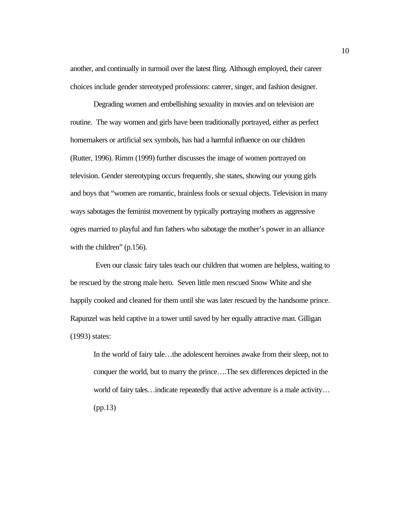another, and continually in turmoil over the latest fling. Although employed, their career choices include gender stereotyped professions: caterer, singer, and fashion designer.

Degrading women and embellishing sexuality in movies and on television are routine. The way women and girls have been traditionally portrayed, either as perfect homemakers or artificial sex symbols, has had a harmful influence on our children (Rutter, 1996). Rimm (1999) further discusses the image of women portrayed on television. Gender stereotyping occurs frequently, she states, showing our young girls and boys that "women are romantic, brainless fools or sexual objects. Television in many ways sabotages the feminist movement by typically portraying mothers as aggressive ogres married to playful and fun fathers who sabotage the mother's power in an alliance with the children" (p.156).

 Even our classic fairy tales teach our children that women are helpless, waiting to be rescued by the strong male hero. Seven little men rescued Snow White and she happily cooked and cleaned for them until she was later rescued by the handsome prince. Rapunzel was held captive in a tower until saved by her equally attractive man. Gilligan (1993) states:

In the world of fairy tale…the adolescent heroines awake from their sleep, not to conquer the world, but to marry the prince….The sex differences depicted in the world of fairy tales…indicate repeatedly that active adventure is a male activity… (pp.13)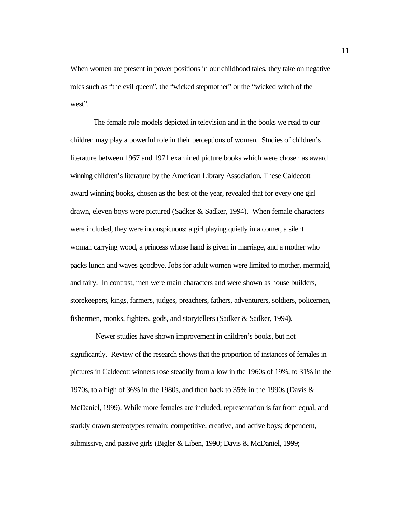When women are present in power positions in our childhood tales, they take on negative roles such as "the evil queen", the "wicked stepmother" or the "wicked witch of the west".

The female role models depicted in television and in the books we read to our children may play a powerful role in their perceptions of women. Studies of children's literature between 1967 and 1971 examined picture books which were chosen as award winning children's literature by the American Library Association. These Caldecott award winning books, chosen as the best of the year, revealed that for every one girl drawn, eleven boys were pictured (Sadker & Sadker, 1994). When female characters were included, they were inconspicuous: a girl playing quietly in a corner, a silent woman carrying wood, a princess whose hand is given in marriage, and a mother who packs lunch and waves goodbye. Jobs for adult women were limited to mother, mermaid, and fairy. In contrast, men were main characters and were shown as house builders, storekeepers, kings, farmers, judges, preachers, fathers, adventurers, soldiers, policemen, fishermen, monks, fighters, gods, and storytellers (Sadker & Sadker, 1994).

 Newer studies have shown improvement in children's books, but not significantly. Review of the research shows that the proportion of instances of females in pictures in Caldecott winners rose steadily from a low in the 1960s of 19%, to 31% in the 1970s, to a high of 36% in the 1980s, and then back to 35% in the 1990s (Davis  $\&$ McDaniel, 1999). While more females are included, representation is far from equal, and starkly drawn stereotypes remain: competitive, creative, and active boys; dependent, submissive, and passive girls (Bigler & Liben, 1990; Davis & McDaniel, 1999;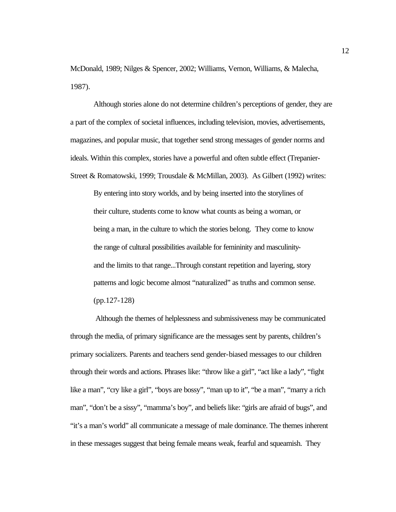McDonald, 1989; Nilges & Spencer, 2002; Williams, Vernon, Williams, & Malecha, 1987).

Although stories alone do not determine children's perceptions of gender, they are a part of the complex of societal influences, including television, movies, advertisements, magazines, and popular music, that together send strong messages of gender norms and ideals. Within this complex, stories have a powerful and often subtle effect (Trepanier-Street & Romatowski, 1999; Trousdale & McMillan, 2003). As Gilbert (1992) writes:

By entering into story worlds, and by being inserted into the storylines of their culture, students come to know what counts as being a woman, or being a man, in the culture to which the stories belong. They come to know the range of cultural possibilities available for femininity and masculinityand the limits to that range...Through constant repetition and layering, story patterns and logic become almost "naturalized" as truths and common sense. (pp.127-128)

 Although the themes of helplessness and submissiveness may be communicated through the media, of primary significance are the messages sent by parents, children's primary socializers. Parents and teachers send gender-biased messages to our children through their words and actions. Phrases like: "throw like a girl", "act like a lady", "fight like a man", "cry like a girl", "boys are bossy", "man up to it", "be a man", "marry a rich man", "don't be a sissy", "mamma's boy", and beliefs like: "girls are afraid of bugs", and "it's a man's world" all communicate a message of male dominance. The themes inherent in these messages suggest that being female means weak, fearful and squeamish. They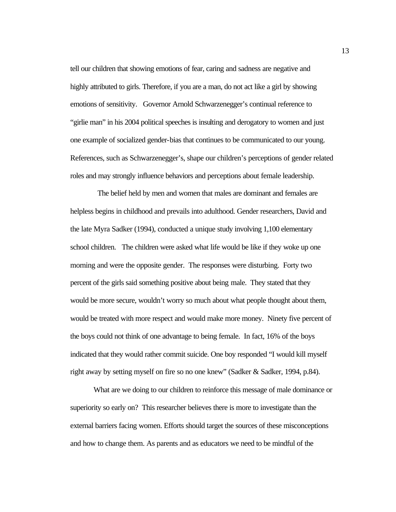tell our children that showing emotions of fear, caring and sadness are negative and highly attributed to girls. Therefore, if you are a man, do not act like a girl by showing emotions of sensitivity. Governor Arnold Schwarzenegger's continual reference to "girlie man" in his 2004 political speeches is insulting and derogatory to women and just one example of socialized gender-bias that continues to be communicated to our young. References, such as Schwarzenegger's, shape our children's perceptions of gender related roles and may strongly influence behaviors and perceptions about female leadership.

 The belief held by men and women that males are dominant and females are helpless begins in childhood and prevails into adulthood. Gender researchers, David and the late Myra Sadker (1994), conducted a unique study involving 1,100 elementary school children. The children were asked what life would be like if they woke up one morning and were the opposite gender. The responses were disturbing. Forty two percent of the girls said something positive about being male. They stated that they would be more secure, wouldn't worry so much about what people thought about them, would be treated with more respect and would make more money. Ninety five percent of the boys could not think of one advantage to being female. In fact, 16% of the boys indicated that they would rather commit suicide. One boy responded "I would kill myself right away by setting myself on fire so no one knew" (Sadker & Sadker, 1994, p.84).

What are we doing to our children to reinforce this message of male dominance or superiority so early on? This researcher believes there is more to investigate than the external barriers facing women. Efforts should target the sources of these misconceptions and how to change them. As parents and as educators we need to be mindful of the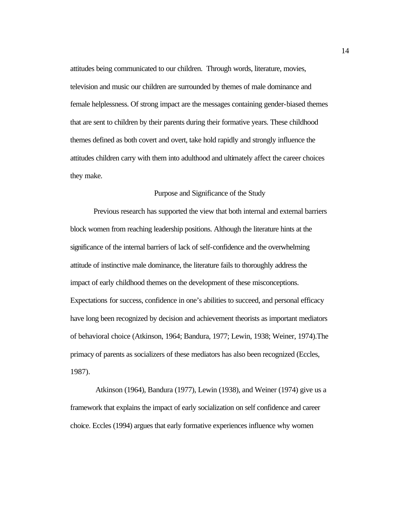<span id="page-25-0"></span>attitudes being communicated to our children. Through words, literature, movies, television and music our children are surrounded by themes of male dominance and female helplessness. Of strong impact are the messages containing gender-biased themes that are sent to children by their parents during their formative years. These childhood themes defined as both covert and overt, take hold rapidly and strongly influence the attitudes children carry with them into adulthood and ultimately affect the career choices they make.

#### Purpose and Significance of the Study

Previous research has supported the view that both internal and external barriers block women from reaching leadership positions. Although the literature hints at the significance of the internal barriers of lack of self-confidence and the overwhelming attitude of instinctive male dominance, the literature fails to thoroughly address the impact of early childhood themes on the development of these misconceptions. Expectations for success, confidence in one's abilities to succeed, and personal efficacy have long been recognized by decision and achievement theorists as important mediators of behavioral choice (Atkinson, 1964; Bandura, 1977; Lewin, 1938; Weiner, 1974).The primacy of parents as socializers of these mediators has also been recognized (Eccles, 1987).

 Atkinson (1964), Bandura (1977), Lewin (1938), and Weiner (1974) give us a framework that explains the impact of early socialization on self confidence and career choice. Eccles (1994) argues that early formative experiences influence why women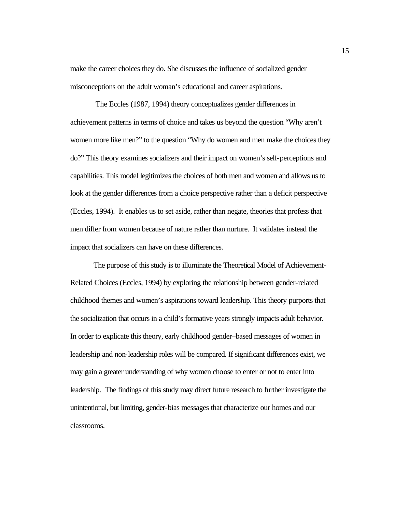make the career choices they do. She discusses the influence of socialized gender misconceptions on the adult woman's educational and career aspirations.

 The Eccles (1987, 1994) theory conceptualizes gender differences in achievement patterns in terms of choice and takes us beyond the question "Why aren't women more like men?" to the question "Why do women and men make the choices they do?" This theory examines socializers and their impact on women's self-perceptions and capabilities. This model legitimizes the choices of both men and women and allows us to look at the gender differences from a choice perspective rather than a deficit perspective (Eccles, 1994). It enables us to set aside, rather than negate, theories that profess that men differ from women because of nature rather than nurture. It validates instead the impact that socializers can have on these differences.

The purpose of this study is to illuminate the Theoretical Model of Achievement-Related Choices (Eccles, 1994) by exploring the relationship between gender-related childhood themes and women's aspirations toward leadership. This theory purports that the socialization that occurs in a child's formative years strongly impacts adult behavior. In order to explicate this theory, early childhood gender–based messages of women in leadership and non-leadership roles will be compared. If significant differences exist, we may gain a greater understanding of why women choose to enter or not to enter into leadership. The findings of this study may direct future research to further investigate the unintentional, but limiting, gender-bias messages that characterize our homes and our classrooms.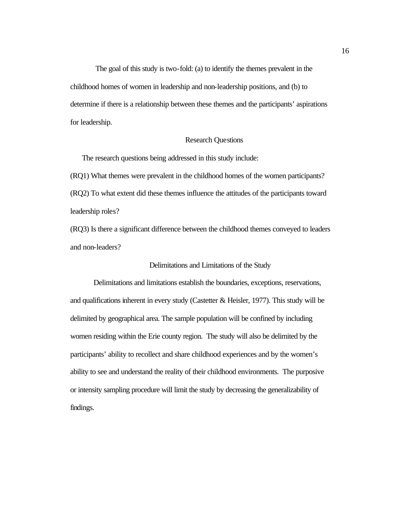<span id="page-27-0"></span> The goal of this study is two-fold: (a) to identify the themes prevalent in the childhood homes of women in leadership and non-leadership positions, and (b) to determine if there is a relationship between these themes and the participants' aspirations for leadership.

#### Research Questions

The research questions being addressed in this study include:

(RQ1) What themes were prevalent in the childhood homes of the women participants? (RQ2) To what extent did these themes influence the attitudes of the participants toward leadership roles?

(RQ3) Is there a significant difference between the childhood themes conveyed to leaders and non-leaders?

#### Delimitations and Limitations of the Study

Delimitations and limitations establish the boundaries, exceptions, reservations, and qualifications inherent in every study (Castetter  $\&$  Heisler, 1977). This study will be delimited by geographical area. The sample population will be confined by including women residing within the Erie county region. The study will also be delimited by the participants' ability to recollect and share childhood experiences and by the women's ability to see and understand the reality of their childhood environments. The purposive or intensity sampling procedure will limit the study by decreasing the generalizability of findings.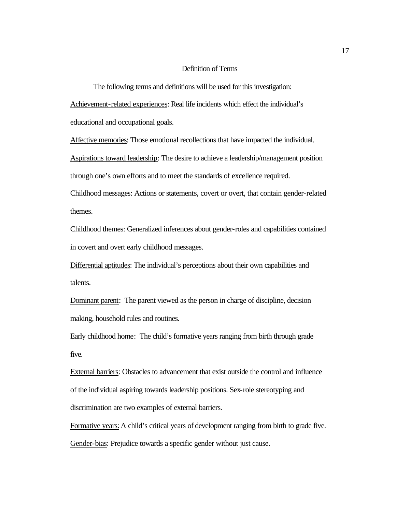#### Definition of Terms

<span id="page-28-0"></span>The following terms and definitions will be used for this investigation: Achievement-related experiences: Real life incidents which effect the individual's educational and occupational goals.

Affective memories: Those emotional recollections that have impacted the individual.

Aspirations toward leadership: The desire to achieve a leadership/management position through one's own efforts and to meet the standards of excellence required.

Childhood messages: Actions or statements, covert or overt, that contain gender-related themes.

Childhood themes: Generalized inferences about gender-roles and capabilities contained in covert and overt early childhood messages.

Differential aptitudes: The individual's perceptions about their own capabilities and talents.

Dominant parent: The parent viewed as the person in charge of discipline, decision making, household rules and routines.

Early childhood home: The child's formative years ranging from birth through grade five.

External barriers: Obstacles to advancement that exist outside the control and influence of the individual aspiring towards leadership positions. Sex-role stereotyping and discrimination are two examples of external barriers.

Formative years: A child's critical years of development ranging from birth to grade five. Gender-bias: Prejudice towards a specific gender without just cause.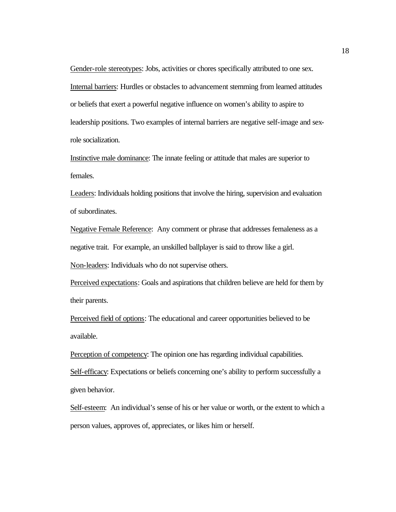Gender-role stereotypes: Jobs, activities or chores specifically attributed to one sex. Internal barriers: Hurdles or obstacles to advancement stemming from learned attitudes or beliefs that exert a powerful negative influence on women's ability to aspire to leadership positions. Two examples of internal barriers are negative self-image and sexrole socialization.

Instinctive male dominance: The innate feeling or attitude that males are superior to females.

Leaders: Individuals holding positions that involve the hiring, supervision and evaluation of subordinates.

Negative Female Reference: Any comment or phrase that addresses femaleness as a negative trait. For example, an unskilled ballplayer is said to throw like a girl.

Non-leaders: Individuals who do not supervise others.

Perceived expectations: Goals and aspirations that children believe are held for them by their parents.

Perceived field of options: The educational and career opportunities believed to be available.

Perception of competency: The opinion one has regarding individual capabilities. Self-efficacy: Expectations or beliefs concerning one's ability to perform successfully a given behavior.

Self-esteem: An individual's sense of his or her value or worth, or the extent to which a person values, approves of, appreciates, or likes him or herself.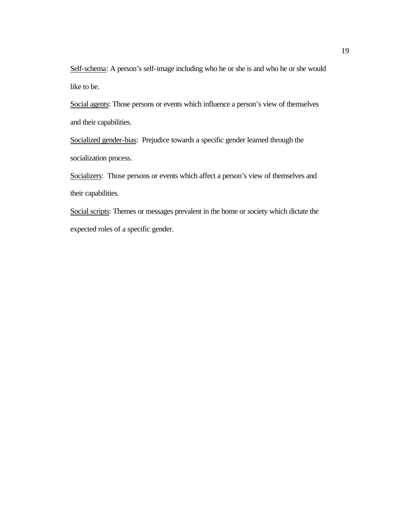Self-schema: A person's self-image including who he or she is and who he or she would like to be.

Social agents: Those persons or events which influence a person's view of themselves and their capabilities.

Socialized gender-bias: Prejudice towards a specific gender learned through the socialization process.

Socializers: Those persons or events which affect a person's view of themselves and their capabilities.

Social scripts: Themes or messages prevalent in the home or society which dictate the expected roles of a specific gender.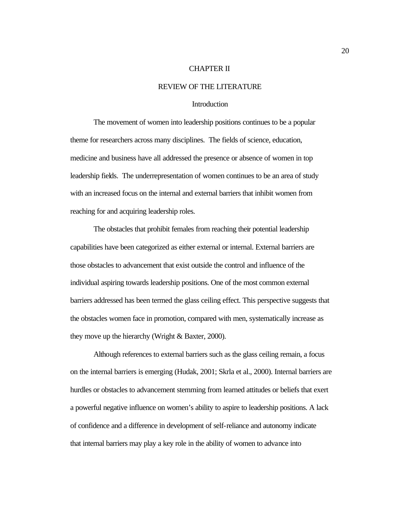#### CHAPTER II

#### REVIEW OF THE LITERATURE

#### Introduction

<span id="page-31-0"></span>The movement of women into leadership positions continues to be a popular theme for researchers across many disciplines. The fields of science, education, medicine and business have all addressed the presence or absence of women in top leadership fields. The underrepresentation of women continues to be an area of study with an increased focus on the internal and external barriers that inhibit women from reaching for and acquiring leadership roles.

The obstacles that prohibit females from reaching their potential leadership capabilities have been categorized as either external or internal. External barriers are those obstacles to advancement that exist outside the control and influence of the individual aspiring towards leadership positions. One of the most common external barriers addressed has been termed the glass ceiling effect. This perspective suggests that the obstacles women face in promotion, compared with men, systematically increase as they move up the hierarchy (Wright & Baxter, 2000).

Although references to external barriers such as the glass ceiling remain, a focus on the internal barriers is emerging (Hudak, 2001; Skrla et al., 2000). Internal barriers are hurdles or obstacles to advancement stemming from learned attitudes or beliefs that exert a powerful negative influence on women's ability to aspire to leadership positions. A lack of confidence and a difference in development of self-reliance and autonomy indicate that internal barriers may play a key role in the ability of women to advance into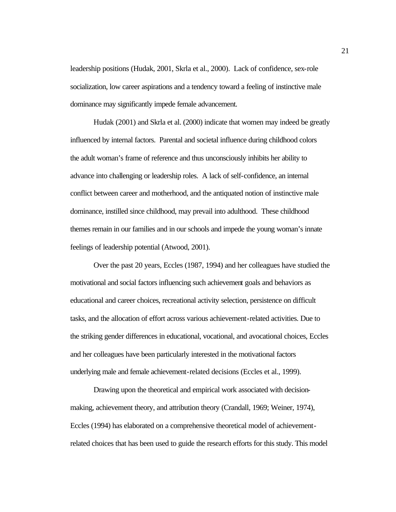leadership positions (Hudak, 2001, Skrla et al., 2000). Lack of confidence, sex-role socialization, low career aspirations and a tendency toward a feeling of instinctive male dominance may significantly impede female advancement.

Hudak (2001) and Skrla et al. (2000) indicate that women may indeed be greatly influenced by internal factors. Parental and societal influence during childhood colors the adult woman's frame of reference and thus unconsciously inhibits her ability to advance into challenging or leadership roles. A lack of self-confidence, an internal conflict between career and motherhood, and the antiquated notion of instinctive male dominance, instilled since childhood, may prevail into adulthood. These childhood themes remain in our families and in our schools and impede the young woman's innate feelings of leadership potential (Atwood, 2001).

Over the past 20 years, Eccles (1987, 1994) and her colleagues have studied the motivational and social factors influencing such achievement goals and behaviors as educational and career choices, recreational activity selection, persistence on difficult tasks, and the allocation of effort across various achievement-related activities. Due to the striking gender differences in educational, vocational, and avocational choices, Eccles and her colleagues have been particularly interested in the motivational factors underlying male and female achievement-related decisions (Eccles et al., 1999).

Drawing upon the theoretical and empirical work associated with decisionmaking, achievement theory, and attribution theory (Crandall, 1969; Weiner, 1974), Eccles (1994) has elaborated on a comprehensive theoretical model of achievementrelated choices that has been used to guide the research efforts for this study. This model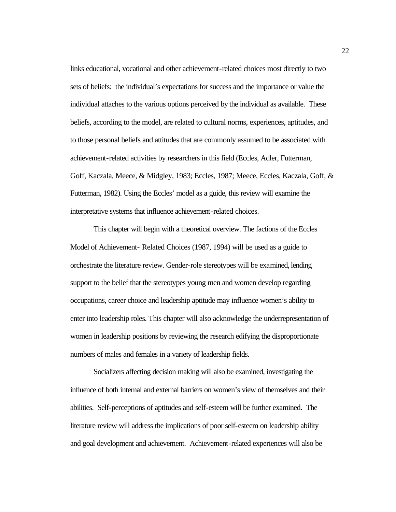links educational, vocational and other achievement-related choices most directly to two sets of beliefs: the individual's expectations for success and the importance or value the individual attaches to the various options perceived by the individual as available. These beliefs, according to the model, are related to cultural norms, experiences, aptitudes, and to those personal beliefs and attitudes that are commonly assumed to be associated with achievement-related activities by researchers in this field (Eccles, Adler, Futterman, Goff, Kaczala, Meece, & Midgley, 1983; Eccles, 1987; Meece, Eccles, Kaczala, Goff, & Futterman, 1982). Using the Eccles' model as a guide, this review will examine the interpretative systems that influence achievement-related choices.

This chapter will begin with a theoretical overview. The factions of the Eccles Model of Achievement- Related Choices (1987, 1994) will be used as a guide to orchestrate the literature review. Gender-role stereotypes will be examined, lending support to the belief that the stereotypes young men and women develop regarding occupations, career choice and leadership aptitude may influence women's ability to enter into leadership roles. This chapter will also acknowledge the underrepresentation of women in leadership positions by reviewing the research edifying the disproportionate numbers of males and females in a variety of leadership fields.

Socializers affecting decision making will also be examined, investigating the influence of both internal and external barriers on women's view of themselves and their abilities. Self-perceptions of aptitudes and self-esteem will be further examined. The literature review will address the implications of poor self-esteem on leadership ability and goal development and achievement. Achievement-related experiences will also be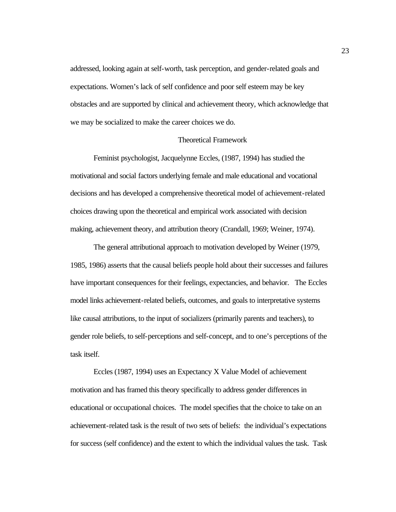<span id="page-34-0"></span>addressed, looking again at self-worth, task perception, and gender-related goals and expectations. Women's lack of self confidence and poor self esteem may be key obstacles and are supported by clinical and achievement theory, which acknowledge that we may be socialized to make the career choices we do.

#### Theoretical Framework

Feminist psychologist, Jacquelynne Eccles, (1987, 1994) has studied the motivational and social factors underlying female and male educational and vocational decisions and has developed a comprehensive theoretical model of achievement-related choices drawing upon the theoretical and empirical work associated with decision making, achievement theory, and attribution theory (Crandall, 1969; Weiner, 1974).

The general attributional approach to motivation developed by Weiner (1979, 1985, 1986) asserts that the causal beliefs people hold about their successes and failures have important consequences for their feelings, expectancies, and behavior. The Eccles model links achievement-related beliefs, outcomes, and goals to interpretative systems like causal attributions, to the input of socializers (primarily parents and teachers), to gender role beliefs, to self-perceptions and self-concept, and to one's perceptions of the task itself.

Eccles (1987, 1994) uses an Expectancy X Value Model of achievement motivation and has framed this theory specifically to address gender differences in educational or occupational choices. The model specifies that the choice to take on an achievement-related task is the result of two sets of beliefs: the individual's expectations for success (self confidence) and the extent to which the individual values the task. Task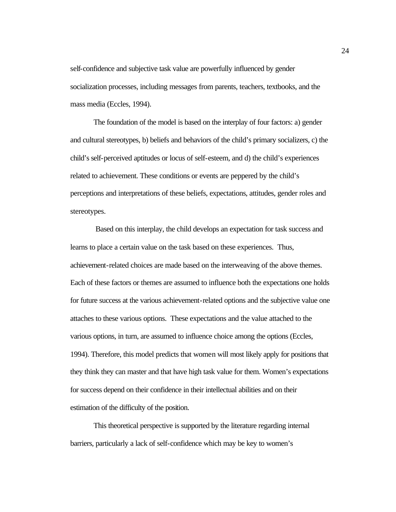self-confidence and subjective task value are powerfully influenced by gender socialization processes, including messages from parents, teachers, textbooks, and the mass media (Eccles, 1994).

The foundation of the model is based on the interplay of four factors: a) gender and cultural stereotypes, b) beliefs and behaviors of the child's primary socializers, c) the child's self-perceived aptitudes or locus of self-esteem, and d) the child's experiences related to achievement. These conditions or events are peppered by the child's perceptions and interpretations of these beliefs, expectations, attitudes, gender roles and stereotypes.

 Based on this interplay, the child develops an expectation for task success and learns to place a certain value on the task based on these experiences. Thus, achievement-related choices are made based on the interweaving of the above themes. Each of these factors or themes are assumed to influence both the expectations one holds for future success at the various achievement-related options and the subjective value one attaches to these various options. These expectations and the value attached to the various options, in turn, are assumed to influence choice among the options (Eccles, 1994). Therefore, this model predicts that women will most likely apply for positions that they think they can master and that have high task value for them. Women's expectations for success depend on their confidence in their intellectual abilities and on their estimation of the difficulty of the position.

This theoretical perspective is supported by the literature regarding internal barriers, particularly a lack of self-confidence which may be key to women's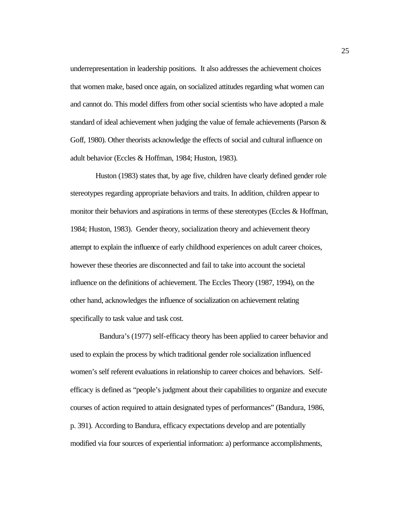underrepresentation in leadership positions. It also addresses the achievement choices that women make, based once again, on socialized attitudes regarding what women can and cannot do. This model differs from other social scientists who have adopted a male standard of ideal achievement when judging the value of female achievements (Parson & Goff, 1980). Other theorists acknowledge the effects of social and cultural influence on adult behavior (Eccles & Hoffman, 1984; Huston, 1983).

 Huston (1983) states that, by age five, children have clearly defined gender role stereotypes regarding appropriate behaviors and traits. In addition, children appear to monitor their behaviors and aspirations in terms of these stereotypes (Eccles & Hoffman, 1984; Huston, 1983). Gender theory, socialization theory and achievement theory attempt to explain the influence of early childhood experiences on adult career choices, however these theories are disconnected and fail to take into account the societal influence on the definitions of achievement. The Eccles Theory (1987, 1994), on the other hand, acknowledges the influence of socialization on achievement relating specifically to task value and task cost.

 Bandura's (1977) self-efficacy theory has been applied to career behavior and used to explain the process by which traditional gender role socialization influenced women's self referent evaluations in relationship to career choices and behaviors. Selfefficacy is defined as "people's judgment about their capabilities to organize and execute courses of action required to attain designated types of performances" (Bandura, 1986, p. 391). According to Bandura, efficacy expectations develop and are potentially modified via four sources of experiential information: a) performance accomplishments,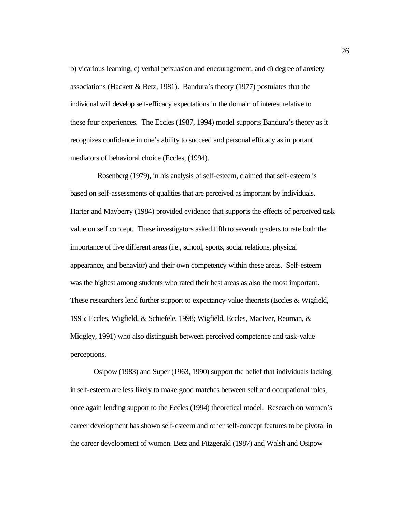b) vicarious learning, c) verbal persuasion and encouragement, and d) degree of anxiety associations (Hackett & Betz, 1981). Bandura's theory (1977) postulates that the individual will develop self-efficacy expectations in the domain of interest relative to these four experiences. The Eccles (1987, 1994) model supports Bandura's theory as it recognizes confidence in one's ability to succeed and personal efficacy as important mediators of behavioral choice (Eccles, (1994).

 Rosenberg (1979), in his analysis of self-esteem, claimed that self-esteem is based on self-assessments of qualities that are perceived as important by individuals. Harter and Mayberry (1984) provided evidence that supports the effects of perceived task value on self concept. These investigators asked fifth to seventh graders to rate both the importance of five different areas (i.e., school, sports, social relations, physical appearance, and behavior) and their own competency within these areas. Self-esteem was the highest among students who rated their best areas as also the most important. These researchers lend further support to expectancy-value theorists (Eccles & Wigfield, 1995; Eccles, Wigfield, & Schiefele, 1998; Wigfield, Eccles, MacIver, Reuman, & Midgley, 1991) who also distinguish between perceived competence and task-value perceptions.

Osipow (1983) and Super (1963, 1990) support the belief that individuals lacking in self-esteem are less likely to make good matches between self and occupational roles, once again lending support to the Eccles (1994) theoretical model. Research on women's career development has shown self-esteem and other self-concept features to be pivotal in the career development of women. Betz and Fitzgerald (1987) and Walsh and Osipow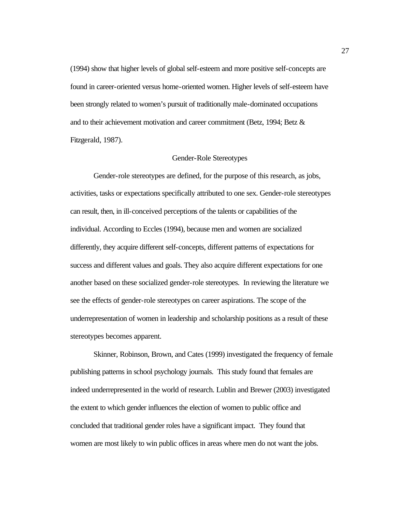(1994) show that higher levels of global self-esteem and more positive self-concepts are found in career-oriented versus home-oriented women. Higher levels of self-esteem have been strongly related to women's pursuit of traditionally male-dominated occupations and to their achievement motivation and career commitment (Betz, 1994; Betz & Fitzgerald, 1987).

#### Gender-Role Stereotypes

Gender-role stereotypes are defined, for the purpose of this research, as jobs, activities, tasks or expectations specifically attributed to one sex. Gender-role stereotypes can result, then, in ill-conceived perceptions of the talents or capabilities of the individual. According to Eccles (1994), because men and women are socialized differently, they acquire different self-concepts, different patterns of expectations for success and different values and goals. They also acquire different expectations for one another based on these socialized gender-role stereotypes. In reviewing the literature we see the effects of gender-role stereotypes on career aspirations. The scope of the underrepresentation of women in leadership and scholarship positions as a result of these stereotypes becomes apparent.

Skinner, Robinson, Brown, and Cates (1999) investigated the frequency of female publishing patterns in school psychology journals. This study found that females are indeed underrepresented in the world of research. Lublin and Brewer (2003) investigated the extent to which gender influences the election of women to public office and concluded that traditional gender roles have a significant impact. They found that women are most likely to win public offices in areas where men do not want the jobs.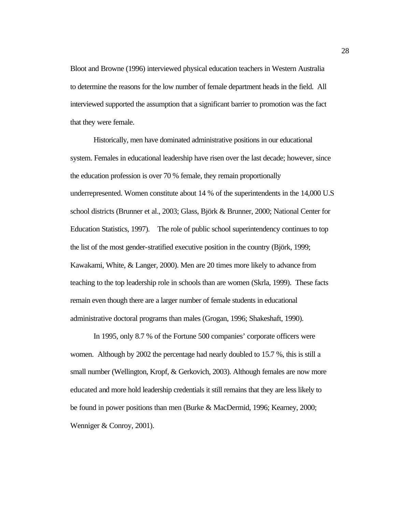Bloot and Browne (1996) interviewed physical education teachers in Western Australia to determine the reasons for the low number of female department heads in the field. All interviewed supported the assumption that a significant barrier to promotion was the fact that they were female.

Historically, men have dominated administrative positions in our educational system. Females in educational leadership have risen over the last decade; however, since the education profession is over 70 % female, they remain proportionally underrepresented. Women constitute about 14 % of the superintendents in the 14,000 U.S school districts (Brunner et al., 2003; Glass, Björk & Brunner, 2000; National Center for Education Statistics, 1997). The role of public school superintendency continues to top the list of the most gender-stratified executive position in the country (Björk, 1999; Kawakami, White, & Langer, 2000). Men are 20 times more likely to advance from teaching to the top leadership role in schools than are women (Skrla, 1999). These facts remain even though there are a larger number of female students in educational administrative doctoral programs than males (Grogan, 1996; Shakeshaft, 1990).

In 1995, only 8.7 % of the Fortune 500 companies' corporate officers were women. Although by 2002 the percentage had nearly doubled to 15.7 %, this is still a small number (Wellington, Kropf, & Gerkovich, 2003). Although females are now more educated and more hold leadership credentials it still remains that they are less likely to be found in power positions than men (Burke & MacDermid, 1996; Kearney, 2000; Wenniger & Conroy, 2001).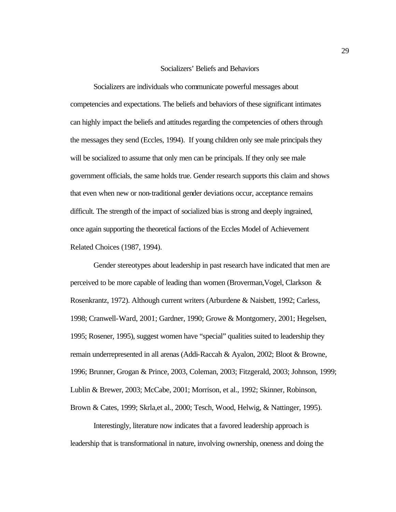# Socializers' Beliefs and Behaviors

Socializers are individuals who communicate powerful messages about competencies and expectations. The beliefs and behaviors of these significant intimates can highly impact the beliefs and attitudes regarding the competencies of others through the messages they send (Eccles, 1994). If young children only see male principals they will be socialized to assume that only men can be principals. If they only see male government officials, the same holds true. Gender research supports this claim and shows that even when new or non-traditional gender deviations occur, acceptance remains difficult. The strength of the impact of socialized bias is strong and deeply ingrained, once again supporting the theoretical factions of the Eccles Model of Achievement Related Choices (1987, 1994).

Gender stereotypes about leadership in past research have indicated that men are perceived to be more capable of leading than women (Broverman,Vogel, Clarkson & Rosenkrantz, 1972). Although current writers (Arburdene & Naisbett, 1992; Carless, 1998; Cranwell-Ward, 2001; Gardner, 1990; Growe & Montgomery, 2001; Hegelsen, 1995; Rosener, 1995), suggest women have "special" qualities suited to leadership they remain underrepresented in all arenas (Addi-Raccah & Ayalon, 2002; Bloot & Browne, 1996; Brunner, Grogan & Prince, 2003, Coleman, 2003; Fitzgerald, 2003; Johnson, 1999; Lublin & Brewer, 2003; McCabe, 2001; Morrison, et al., 1992; Skinner, Robinson, Brown & Cates, 1999; Skrla,et al., 2000; Tesch, Wood, Helwig, & Nattinger, 1995).

Interestingly, literature now indicates that a favored leadership approach is leadership that is transformational in nature, involving ownership, oneness and doing the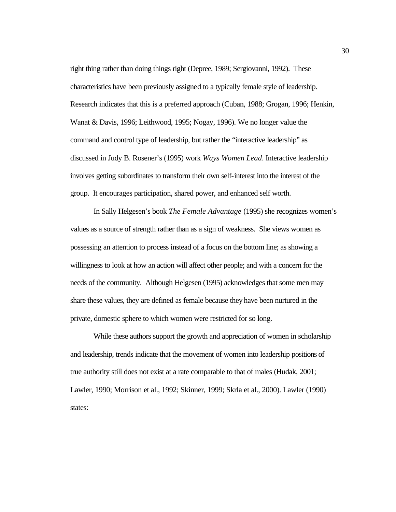right thing rather than doing things right (Depree, 1989; Sergiovanni, 1992). These characteristics have been previously assigned to a typically female style of leadership. Research indicates that this is a preferred approach (Cuban, 1988; Grogan, 1996; Henkin, Wanat & Davis, 1996; Leithwood, 1995; Nogay, 1996). We no longer value the command and control type of leadership, but rather the "interactive leadership" as discussed in Judy B. Rosener's (1995) work *Ways Women Lead*. Interactive leadership involves getting subordinates to transform their own self-interest into the interest of the group. It encourages participation, shared power, and enhanced self worth.

In Sally Helgesen's book *The Female Advantage* (1995) she recognizes women's values as a source of strength rather than as a sign of weakness. She views women as possessing an attention to process instead of a focus on the bottom line; as showing a willingness to look at how an action will affect other people; and with a concern for the needs of the community. Although Helgesen (1995) acknowledges that some men may share these values, they are defined as female because they have been nurtured in the private, domestic sphere to which women were restricted for so long.

While these authors support the growth and appreciation of women in scholarship and leadership, trends indicate that the movement of women into leadership positions of true authority still does not exist at a rate comparable to that of males (Hudak, 2001; Lawler, 1990; Morrison et al., 1992; Skinner, 1999; Skrla et al., 2000). Lawler (1990) states: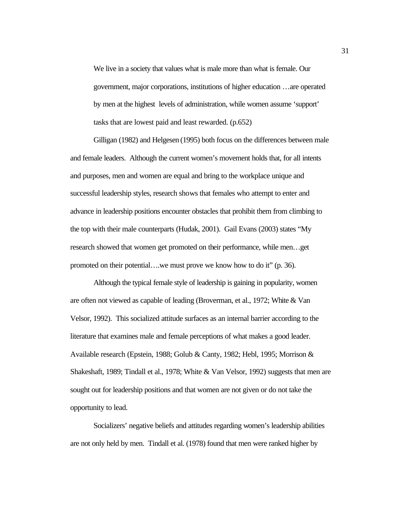We live in a society that values what is male more than what is female. Our government, major corporations, institutions of higher education …are operated by men at the highest levels of administration, while women assume 'support' tasks that are lowest paid and least rewarded. (p.652)

Gilligan (1982) and Helgesen (1995) both focus on the differences between male and female leaders. Although the current women's movement holds that, for all intents and purposes, men and women are equal and bring to the workplace unique and successful leadership styles, research shows that females who attempt to enter and advance in leadership positions encounter obstacles that prohibit them from climbing to the top with their male counterparts (Hudak, 2001). Gail Evans (2003) states "My research showed that women get promoted on their performance, while men…get promoted on their potential….we must prove we know how to do it" (p. 36).

Although the typical female style of leadership is gaining in popularity, women are often not viewed as capable of leading (Broverman, et al., 1972; White & Van Velsor, 1992). This socialized attitude surfaces as an internal barrier according to the literature that examines male and female perceptions of what makes a good leader. Available research (Epstein, 1988; Golub & Canty, 1982; Hebl, 1995; Morrison & Shakeshaft, 1989; Tindall et al., 1978; White & Van Velsor, 1992) suggests that men are sought out for leadership positions and that women are not given or do not take the opportunity to lead.

Socializers' negative beliefs and attitudes regarding women's leadership abilities are not only held by men. Tindall et al. (1978) found that men were ranked higher by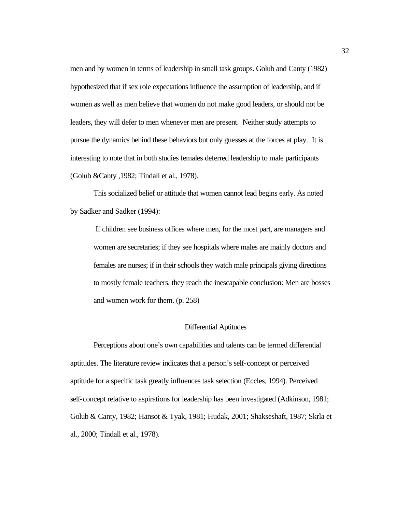men and by women in terms of leadership in small task groups. Golub and Canty (1982) hypothesized that if sex role expectations influence the assumption of leadership, and if women as well as men believe that women do not make good leaders, or should not be leaders, they will defer to men whenever men are present. Neither study attempts to pursue the dynamics behind these behaviors but only guesses at the forces at play. It is interesting to note that in both studies females deferred leadership to male participants (Golub &Canty ,1982; Tindall et al., 1978).

This socialized belief or attitude that women cannot lead begins early. As noted by Sadker and Sadker (1994):

If children see business offices where men, for the most part, are managers and women are secretaries; if they see hospitals where males are mainly doctors and females are nurses; if in their schools they watch male principals giving directions to mostly female teachers, they reach the inescapable conclusion: Men are bosses and women work for them. (p. 258)

## Differential Aptitudes

Perceptions about one's own capabilities and talents can be termed differential aptitudes. The literature review indicates that a person's self-concept or perceived aptitude for a specific task greatly influences task selection (Eccles, 1994). Perceived self-concept relative to aspirations for leadership has been investigated (Adkinson, 1981; Golub & Canty, 1982; Hansot & Tyak, 1981; Hudak, 2001; Shakseshaft, 1987; Skrla et al., 2000; Tindall et al., 1978).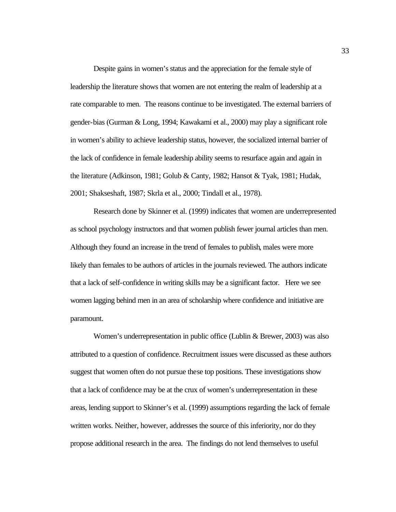Despite gains in women's status and the appreciation for the female style of leadership the literature shows that women are not entering the realm of leadership at a rate comparable to men. The reasons continue to be investigated. The external barriers of gender-bias (Gurman & Long, 1994; Kawakami et al., 2000) may play a significant role in women's ability to achieve leadership status, however, the socialized internal barrier of the lack of confidence in female leadership ability seems to resurface again and again in the literature (Adkinson, 1981; Golub & Canty, 1982; Hansot & Tyak, 1981; Hudak, 2001; Shakseshaft, 1987; Skrla et al., 2000; Tindall et al., 1978).

Research done by Skinner et al. (1999) indicates that women are underrepresented as school psychology instructors and that women publish fewer journal articles than men. Although they found an increase in the trend of females to publish, males were more likely than females to be authors of articles in the journals reviewed. The authors indicate that a lack of self-confidence in writing skills may be a significant factor. Here we see women lagging behind men in an area of scholarship where confidence and initiative are paramount.

Women's underrepresentation in public office (Lublin & Brewer, 2003) was also attributed to a question of confidence. Recruitment issues were discussed as these authors suggest that women often do not pursue these top positions. These investigations show that a lack of confidence may be at the crux of women's underrepresentation in these areas, lending support to Skinner's et al. (1999) assumptions regarding the lack of female written works. Neither, however, addresses the source of this inferiority, nor do they propose additional research in the area. The findings do not lend themselves to useful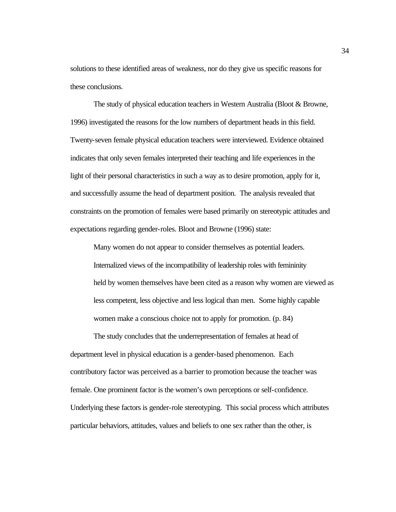solutions to these identified areas of weakness, nor do they give us specific reasons for these conclusions.

The study of physical education teachers in Western Australia (Bloot & Browne, 1996) investigated the reasons for the low numbers of department heads in this field. Twenty-seven female physical education teachers were interviewed. Evidence obtained indicates that only seven females interpreted their teaching and life experiences in the light of their personal characteristics in such a way as to desire promotion, apply for it, and successfully assume the head of department position. The analysis revealed that constraints on the promotion of females were based primarily on stereotypic attitudes and expectations regarding gender-roles. Bloot and Browne (1996) state:

Many women do not appear to consider themselves as potential leaders. Internalized views of the incompatibility of leadership roles with femininity held by women themselves have been cited as a reason why women are viewed as less competent, less objective and less logical than men. Some highly capable women make a conscious choice not to apply for promotion. (p. 84)

The study concludes that the underrepresentation of females at head of department level in physical education is a gender-based phenomenon. Each contributory factor was perceived as a barrier to promotion because the teacher was female. One prominent factor is the women's own perceptions or self-confidence. Underlying these factors is gender-role stereotyping. This social process which attributes particular behaviors, attitudes, values and beliefs to one sex rather than the other, is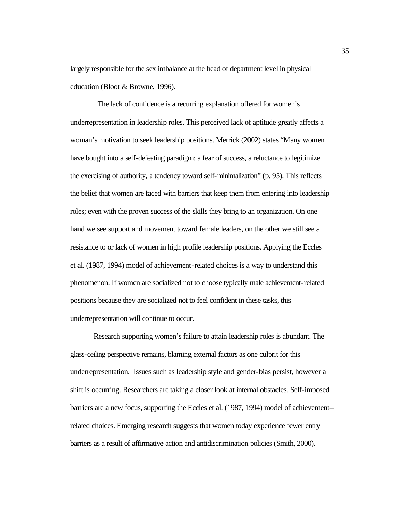largely responsible for the sex imbalance at the head of department level in physical education (Bloot & Browne, 1996).

 The lack of confidence is a recurring explanation offered for women's underrepresentation in leadership roles. This perceived lack of aptitude greatly affects a woman's motivation to seek leadership positions. Merrick (2002) states "Many women have bought into a self-defeating paradigm: a fear of success, a reluctance to legitimize the exercising of authority, a tendency toward self-minimalization" (p. 95). This reflects the belief that women are faced with barriers that keep them from entering into leadership roles; even with the proven success of the skills they bring to an organization. On one hand we see support and movement toward female leaders, on the other we still see a resistance to or lack of women in high profile leadership positions. Applying the Eccles et al. (1987, 1994) model of achievement-related choices is a way to understand this phenomenon. If women are socialized not to choose typically male achievement-related positions because they are socialized not to feel confident in these tasks, this underrepresentation will continue to occur.

Research supporting women's failure to attain leadership roles is abundant. The glass-ceiling perspective remains, blaming external factors as one culprit for this underrepresentation. Issues such as leadership style and gender-bias persist, however a shift is occurring. Researchers are taking a closer look at internal obstacles. Self-imposed barriers are a new focus, supporting the Eccles et al. (1987, 1994) model of achievement– related choices. Emerging research suggests that women today experience fewer entry barriers as a result of affirmative action and antidiscrimination policies (Smith, 2000).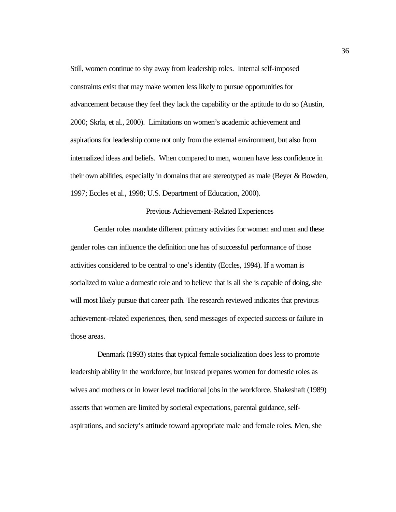Still, women continue to shy away from leadership roles. Internal self-imposed constraints exist that may make women less likely to pursue opportunities for advancement because they feel they lack the capability or the aptitude to do so (Austin, 2000; Skrla, et al., 2000). Limitations on women's academic achievement and aspirations for leadership come not only from the external environment, but also from internalized ideas and beliefs. When compared to men, women have less confidence in their own abilities, especially in domains that are stereotyped as male (Beyer & Bowden, 1997; Eccles et al., 1998; U.S. Department of Education, 2000).

# Previous Achievement-Related Experiences

Gender roles mandate different primary activities for women and men and these gender roles can influence the definition one has of successful performance of those activities considered to be central to one's identity (Eccles, 1994). If a woman is socialized to value a domestic role and to believe that is all she is capable of doing, she will most likely pursue that career path. The research reviewed indicates that previous achievement-related experiences, then, send messages of expected success or failure in those areas.

 Denmark (1993) states that typical female socialization does less to promote leadership ability in the workforce, but instead prepares women for domestic roles as wives and mothers or in lower level traditional jobs in the workforce. Shakeshaft (1989) asserts that women are limited by societal expectations, parental guidance, selfaspirations, and society's attitude toward appropriate male and female roles. Men, she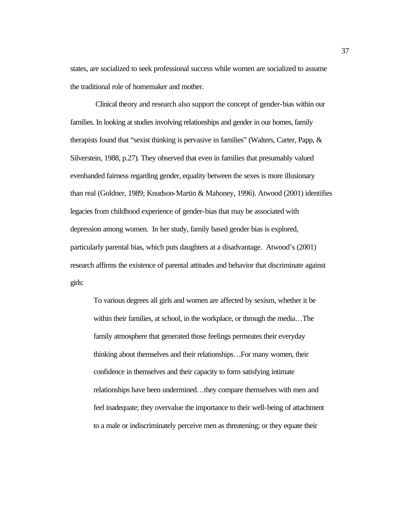states, are socialized to seek professional success while women are socialized to assume the traditional role of homemaker and mother.

 Clinical theory and research also support the concept of gender-bias within our families. In looking at studies involving relationships and gender in our homes, family therapists found that "sexist thinking is pervasive in families" (Walters, Carter, Papp, & Silverstein, 1988, p.27). They observed that even in families that presumably valued evenhanded fairness regarding gender, equality between the sexes is more illusionary than real (Goldner, 1989; Knudson-Martin & Mahoney, 1996). Atwood (2001) identifies legacies from childhood experience of gender-bias that may be associated with depression among women. In her study, family based gender bias is explored, particularly parental bias, which puts daughters at a disadvantage. Atwood's (2001) research affirms the existence of parental attitudes and behavior that discriminate against girls:

To various degrees all girls and women are affected by sexism, whether it be within their families, at school, in the workplace, or through the media…The family atmosphere that generated those feelings permeates their everyday thinking about themselves and their relationships…For many women, their confidence in themselves and their capacity to form satisfying intimate relationships have been undermined…they compare themselves with men and feel inadequate; they overvalue the importance to their well-being of attachment to a male or indiscriminately perceive men as threatening; or they equate their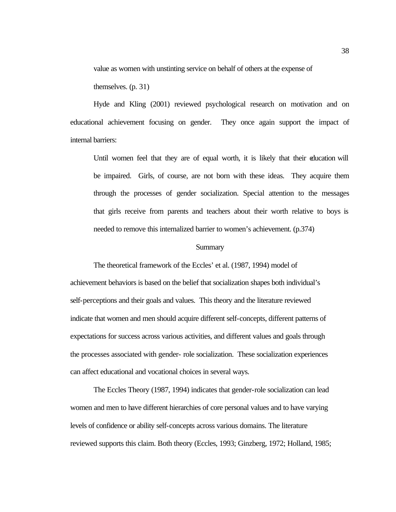value as women with unstinting service on behalf of others at the expense of

themselves. (p. 31)

Hyde and Kling (2001) reviewed psychological research on motivation and on educational achievement focusing on gender. They once again support the impact of internal barriers:

Until women feel that they are of equal worth, it is likely that their education will be impaired. Girls, of course, are not born with these ideas. They acquire them through the processes of gender socialization. Special attention to the messages that girls receive from parents and teachers about their worth relative to boys is needed to remove this internalized barrier to women's achievement. (p.374)

## **Summary**

The theoretical framework of the Eccles' et al. (1987, 1994) model of achievement behaviors is based on the belief that socialization shapes both individual's self-perceptions and their goals and values. This theory and the literature reviewed indicate that women and men should acquire different self-concepts, different patterns of expectations for success across various activities, and different values and goals through the processes associated with gender- role socialization. These socialization experiences can affect educational and vocational choices in several ways.

The Eccles Theory (1987, 1994) indicates that gender-role socialization can lead women and men to have different hierarchies of core personal values and to have varying levels of confidence or ability self-concepts across various domains. The literature reviewed supports this claim. Both theory (Eccles, 1993; Ginzberg, 1972; Holland, 1985;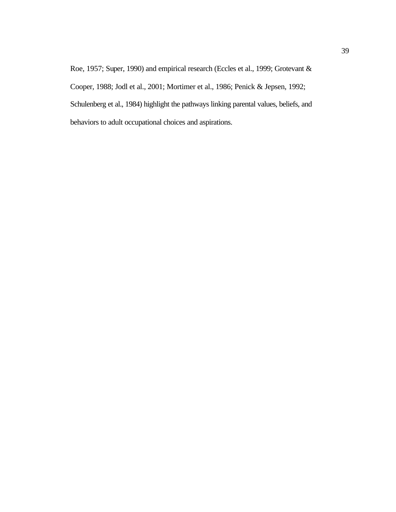Roe, 1957; Super, 1990) and empirical research (Eccles et al., 1999; Grotevant & Cooper, 1988; Jodl et al., 2001; Mortimer et al., 1986; Penick & Jepsen, 1992; Schulenberg et al., 1984) highlight the pathways linking parental values, beliefs, and behaviors to adult occupational choices and aspirations.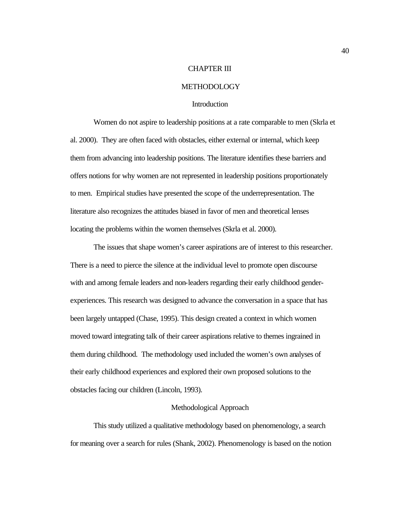# CHAPTER III

# METHODOLOGY

# Introduction

Women do not aspire to leadership positions at a rate comparable to men (Skrla et al. 2000). They are often faced with obstacles, either external or internal, which keep them from advancing into leadership positions. The literature identifies these barriers and offers notions for why women are not represented in leadership positions proportionately to men. Empirical studies have presented the scope of the underrepresentation. The literature also recognizes the attitudes biased in favor of men and theoretical lenses locating the problems within the women themselves (Skrla et al. 2000).

The issues that shape women's career aspirations are of interest to this researcher. There is a need to pierce the silence at the individual level to promote open discourse with and among female leaders and non-leaders regarding their early childhood genderexperiences. This research was designed to advance the conversation in a space that has been largely untapped (Chase, 1995). This design created a context in which women moved toward integrating talk of their career aspirations relative to themes ingrained in them during childhood. The methodology used included the women's own analyses of their early childhood experiences and explored their own proposed solutions to the obstacles facing our children (Lincoln, 1993).

# Methodological Approach

This study utilized a qualitative methodology based on phenomenology, a search for meaning over a search for rules (Shank, 2002). Phenomenology is based on the notion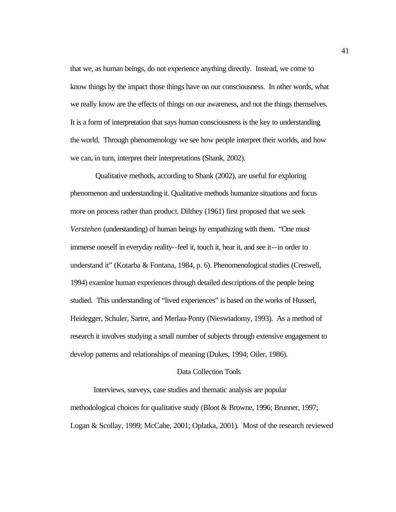that we, as human beings, do not experience anything directly. Instead, we come to know things by the impact those things have on our consciousness. In other words, what we really know are the effects of things on our awareness, and not the things themselves. It is a form of interpretation that says human consciousness is the key to understanding the world. Through phenomenology we see how people interpret their worlds, and how we can, in turn, interpret their interpretations (Shank, 2002).

 Qualitative methods, according to Shank (2002), are useful for exploring phenomenon and understanding it. Qualitative methods humanize situations and focus more on process rather than product. Dilthey (1961) first proposed that we seek *Verstehen* (understanding) of human beings by empathizing with them. "One must immerse oneself in everyday reality--feel it, touch it, hear it, and see it--in order to understand it" (Kotarba & Fontana, 1984, p. 6). Phenomenological studies (Creswell, 1994) examine human experiences through detailed descriptions of the people being studied. This understanding of "lived experiences" is based on the works of Husserl, Heidegger, Schuler, Sartre, and Merlau-Ponty (Nieswiadomy, 1993). As a method of research it involves studying a small number of subjects through extensive engagement to develop patterns and relationships of meaning (Dukes, 1994; Oiler, 1986).

#### Data Collection Tools

Interviews, surveys, case studies and thematic analysis are popular methodological choices for qualitative study (Bloot & Browne, 1996; Brunner, 1997; Logan & Scollay, 1999; McCabe, 2001; Oplatka, 2001). Most of the research reviewed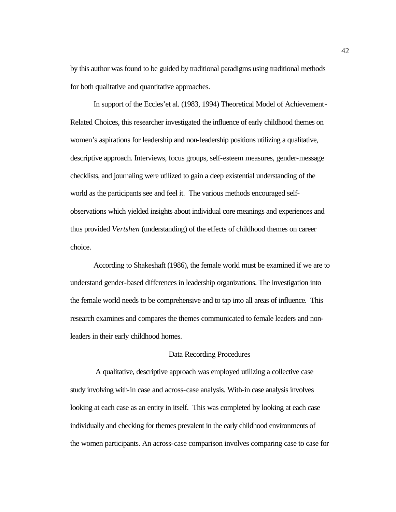by this author was found to be guided by traditional paradigms using traditional methods for both qualitative and quantitative approaches.

In support of the Eccles'et al. (1983, 1994) Theoretical Model of Achievement-Related Choices, this researcher investigated the influence of early childhood themes on women's aspirations for leadership and non-leadership positions utilizing a qualitative, descriptive approach. Interviews, focus groups, self-esteem measures, gender-message checklists, and journaling were utilized to gain a deep existential understanding of the world as the participants see and feel it. The various methods encouraged selfobservations which yielded insights about individual core meanings and experiences and thus provided *Vertshen* (understanding) of the effects of childhood themes on career choice.

According to Shakeshaft (1986), the female world must be examined if we are to understand gender-based differences in leadership organizations. The investigation into the female world needs to be comprehensive and to tap into all areas of influence. This research examines and compares the themes communicated to female leaders and nonleaders in their early childhood homes.

# Data Recording Procedures

 A qualitative, descriptive approach was employed utilizing a collective case study involving with-in case and across-case analysis. With-in case analysis involves looking at each case as an entity in itself. This was completed by looking at each case individually and checking for themes prevalent in the early childhood environments of the women participants. An across-case comparison involves comparing case to case for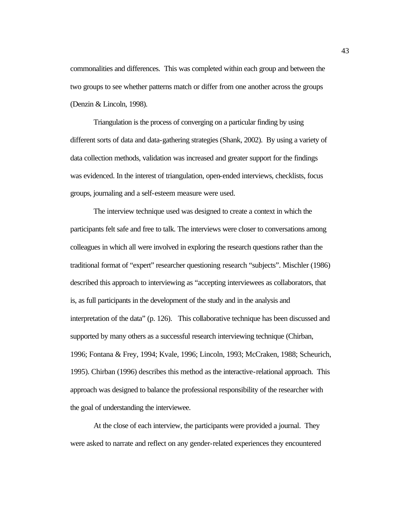commonalities and differences. This was completed within each group and between the two groups to see whether patterns match or differ from one another across the groups (Denzin & Lincoln, 1998).

Triangulation is the process of converging on a particular finding by using different sorts of data and data-gathering strategies (Shank, 2002). By using a variety of data collection methods, validation was increased and greater support for the findings was evidenced. In the interest of triangulation, open-ended interviews, checklists, focus groups, journaling and a self-esteem measure were used.

The interview technique used was designed to create a context in which the participants felt safe and free to talk. The interviews were closer to conversations among colleagues in which all were involved in exploring the research questions rather than the traditional format of "expert" researcher questioning research "subjects". Mischler (1986) described this approach to interviewing as "accepting interviewees as collaborators, that is, as full participants in the development of the study and in the analysis and interpretation of the data" (p. 126). This collaborative technique has been discussed and supported by many others as a successful research interviewing technique (Chirban, 1996; Fontana & Frey, 1994; Kvale, 1996; Lincoln, 1993; McCraken, 1988; Scheurich, 1995). Chirban (1996) describes this method as the interactive-relational approach. This approach was designed to balance the professional responsibility of the researcher with the goal of understanding the interviewee.

At the close of each interview, the participants were provided a journal. They were asked to narrate and reflect on any gender-related experiences they encountered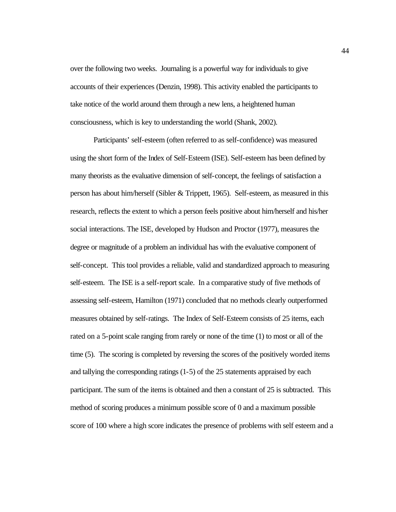over the following two weeks. Journaling is a powerful way for individuals to give accounts of their experiences (Denzin, 1998). This activity enabled the participants to take notice of the world around them through a new lens, a heightened human consciousness, which is key to understanding the world (Shank, 2002).

Participants' self-esteem (often referred to as self-confidence) was measured using the short form of the Index of Self-Esteem (ISE). Self-esteem has been defined by many theorists as the evaluative dimension of self-concept, the feelings of satisfaction a person has about him/herself (Sibler & Trippett, 1965). Self-esteem, as measured in this research, reflects the extent to which a person feels positive about him/herself and his/her social interactions. The ISE, developed by Hudson and Proctor (1977), measures the degree or magnitude of a problem an individual has with the evaluative component of self-concept. This tool provides a reliable, valid and standardized approach to measuring self-esteem. The ISE is a self-report scale. In a comparative study of five methods of assessing self-esteem, Hamilton (1971) concluded that no methods clearly outperformed measures obtained by self-ratings. The Index of Self-Esteem consists of 25 items, each rated on a 5-point scale ranging from rarely or none of the time (1) to most or all of the time (5). The scoring is completed by reversing the scores of the positively worded items and tallying the corresponding ratings (1-5) of the 25 statements appraised by each participant. The sum of the items is obtained and then a constant of 25 is subtracted. This method of scoring produces a minimum possible score of 0 and a maximum possible score of 100 where a high score indicates the presence of problems with self esteem and a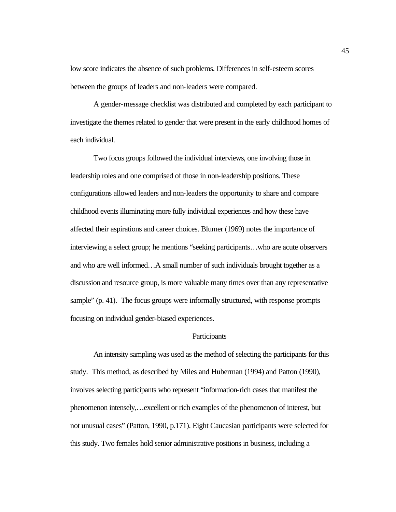low score indicates the absence of such problems. Differences in self-esteem scores between the groups of leaders and non-leaders were compared.

A gender-message checklist was distributed and completed by each participant to investigate the themes related to gender that were present in the early childhood homes of each individual.

Two focus groups followed the individual interviews, one involving those in leadership roles and one comprised of those in non-leadership positions. These configurations allowed leaders and non-leaders the opportunity to share and compare childhood events illuminating more fully individual experiences and how these have affected their aspirations and career choices. Blumer (1969) notes the importance of interviewing a select group; he mentions "seeking participants…who are acute observers and who are well informed…A small number of such individuals brought together as a discussion and resource group, is more valuable many times over than any representative sample" (p. 41). The focus groups were informally structured, with response prompts focusing on individual gender-biased experiences.

## **Participants**

An intensity sampling was used as the method of selecting the participants for this study. This method, as described by Miles and Huberman (1994) and Patton (1990), involves selecting participants who represent "information-rich cases that manifest the phenomenon intensely,…excellent or rich examples of the phenomenon of interest, but not unusual cases" (Patton, 1990, p.171). Eight Caucasian participants were selected for this study. Two females hold senior administrative positions in business, including a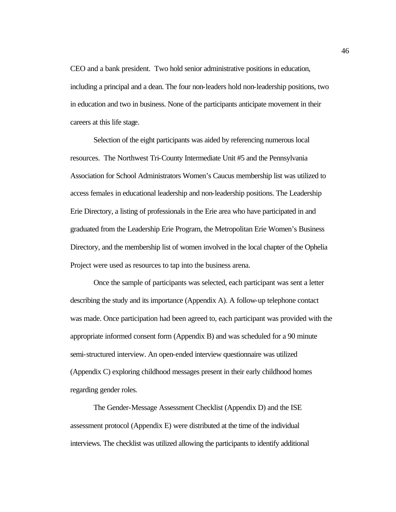CEO and a bank president. Two hold senior administrative positions in education, including a principal and a dean. The four non-leaders hold non-leadership positions, two in education and two in business. None of the participants anticipate movement in their careers at this life stage.

Selection of the eight participants was aided by referencing numerous local resources. The Northwest Tri-County Intermediate Unit #5 and the Pennsylvania Association for School Administrators Women's Caucus membership list was utilized to access females in educational leadership and non-leadership positions. The Leadership Erie Directory, a listing of professionals in the Erie area who have participated in and graduated from the Leadership Erie Program, the Metropolitan Erie Women's Business Directory, and the membership list of women involved in the local chapter of the Ophelia Project were used as resources to tap into the business arena.

Once the sample of participants was selected, each participant was sent a letter describing the study and its importance (Appendix A). A follow-up telephone contact was made. Once participation had been agreed to, each participant was provided with the appropriate informed consent form (Appendix B) and was scheduled for a 90 minute semi-structured interview. An open-ended interview questionnaire was utilized (Appendix C) exploring childhood messages present in their early childhood homes regarding gender roles.

The Gender-Message Assessment Checklist (Appendix D) and the ISE assessment protocol (Appendix E) were distributed at the time of the individual interviews. The checklist was utilized allowing the participants to identify additional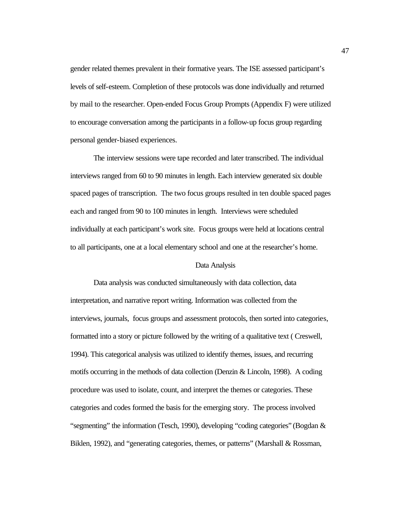gender related themes prevalent in their formative years. The ISE assessed participant's levels of self-esteem. Completion of these protocols was done individually and returned by mail to the researcher. Open-ended Focus Group Prompts (Appendix F) were utilized to encourage conversation among the participants in a follow-up focus group regarding personal gender-biased experiences.

The interview sessions were tape recorded and later transcribed. The individual interviews ranged from 60 to 90 minutes in length. Each interview generated six double spaced pages of transcription. The two focus groups resulted in ten double spaced pages each and ranged from 90 to 100 minutes in length. Interviews were scheduled individually at each participant's work site. Focus groups were held at locations central to all participants, one at a local elementary school and one at the researcher's home.

## Data Analysis

Data analysis was conducted simultaneously with data collection, data interpretation, and narrative report writing. Information was collected from the interviews, journals, focus groups and assessment protocols, then sorted into categories, formatted into a story or picture followed by the writing of a qualitative text ( Creswell, 1994). This categorical analysis was utilized to identify themes, issues, and recurring motifs occurring in the methods of data collection (Denzin & Lincoln, 1998). A coding procedure was used to isolate, count, and interpret the themes or categories. These categories and codes formed the basis for the emerging story. The process involved "segmenting" the information (Tesch, 1990), developing "coding categories" (Bogdan & Biklen, 1992), and "generating categories, themes, or patterns" (Marshall & Rossman,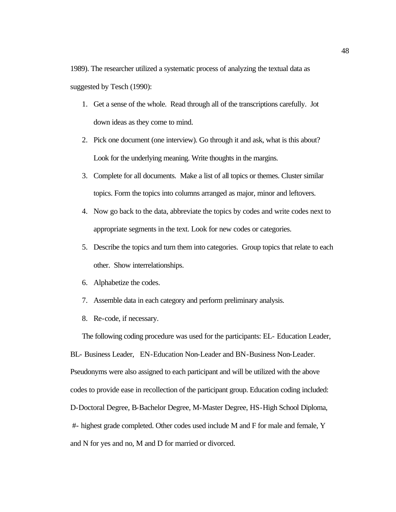1989). The researcher utilized a systematic process of analyzing the textual data as suggested by Tesch (1990):

- 1. Get a sense of the whole. Read through all of the transcriptions carefully. Jot down ideas as they come to mind.
- 2. Pick one document (one interview). Go through it and ask, what is this about? Look for the underlying meaning. Write thoughts in the margins.
- 3. Complete for all documents. Make a list of all topics or themes. Cluster similar topics. Form the topics into columns arranged as major, minor and leftovers.
- 4. Now go back to the data, abbreviate the topics by codes and write codes next to appropriate segments in the text. Look for new codes or categories.
- 5. Describe the topics and turn them into categories. Group topics that relate to each other. Show interrelationships.
- 6. Alphabetize the codes.
- 7. Assemble data in each category and perform preliminary analysis.
- 8. Re-code, if necessary.

The following coding procedure was used for the participants: EL- Education Leader, BL- Business Leader, EN-Education Non-Leader and BN-Business Non-Leader. Pseudonyms were also assigned to each participant and will be utilized with the above codes to provide ease in recollection of the participant group. Education coding included: D-Doctoral Degree, B-Bachelor Degree, M-Master Degree, HS-High School Diploma, #- highest grade completed. Other codes used include M and F for male and female, Y and N for yes and no, M and D for married or divorced.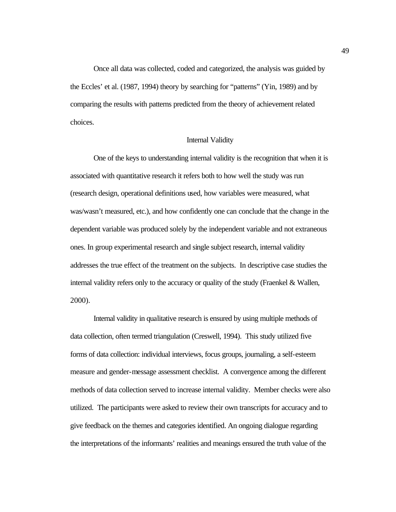Once all data was collected, coded and categorized, the analysis was guided by the Eccles' et al. (1987, 1994) theory by searching for "patterns" (Yin, 1989) and by comparing the results with patterns predicted from the theory of achievement related choices.

# Internal Validity

One of the keys to understanding internal validity is the recognition that when it is associated with quantitative research it refers both to how well the study was run (research design, operational definitions used, how variables were measured, what was/wasn't measured, etc.), and how confidently one can conclude that the change in the dependent variable was produced solely by the independent variable and not extraneous ones. In group experimental research and single subject research, internal validity addresses the true effect of the treatment on the subjects. In descriptive case studies the internal validity refers only to the accuracy or quality of the study (Fraenkel  $\&$  Wallen, 2000).

Internal validity in qualitative research is ensured by using multiple methods of data collection, often termed triangulation (Creswell, 1994). This study utilized five forms of data collection: individual interviews, focus groups, journaling, a self-esteem measure and gender-message assessment checklist. A convergence among the different methods of data collection served to increase internal validity. Member checks were also utilized. The participants were asked to review their own transcripts for accuracy and to give feedback on the themes and categories identified. An ongoing dialogue regarding the interpretations of the informants' realities and meanings ensured the truth value of the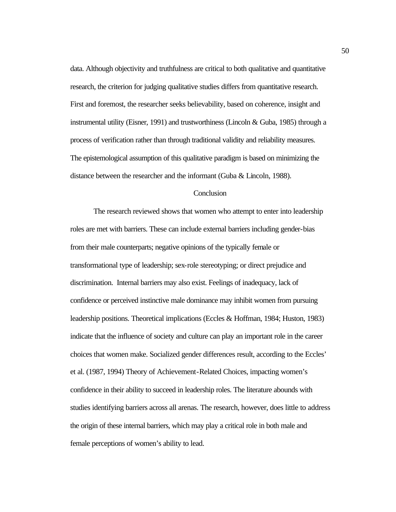data. Although objectivity and truthfulness are critical to both qualitative and quantitative research, the criterion for judging qualitative studies differs from quantitative research. First and foremost, the researcher seeks believability, based on coherence, insight and instrumental utility (Eisner, 1991) and trustworthiness (Lincoln & Guba, 1985) through a process of verification rather than through traditional validity and reliability measures. The epistemological assumption of this qualitative paradigm is based on minimizing the distance between the researcher and the informant (Guba & Lincoln, 1988).

# **Conclusion**

The research reviewed shows that women who attempt to enter into leadership roles are met with barriers. These can include external barriers including gender-bias from their male counterparts; negative opinions of the typically female or transformational type of leadership; sex-role stereotyping; or direct prejudice and discrimination. Internal barriers may also exist. Feelings of inadequacy, lack of confidence or perceived instinctive male dominance may inhibit women from pursuing leadership positions. Theoretical implications (Eccles & Hoffman, 1984; Huston, 1983) indicate that the influence of society and culture can play an important role in the career choices that women make. Socialized gender differences result, according to the Eccles' et al. (1987, 1994) Theory of Achievement-Related Choices, impacting women's confidence in their ability to succeed in leadership roles. The literature abounds with studies identifying barriers across all arenas. The research, however, does little to address the origin of these internal barriers, which may play a critical role in both male and female perceptions of women's ability to lead.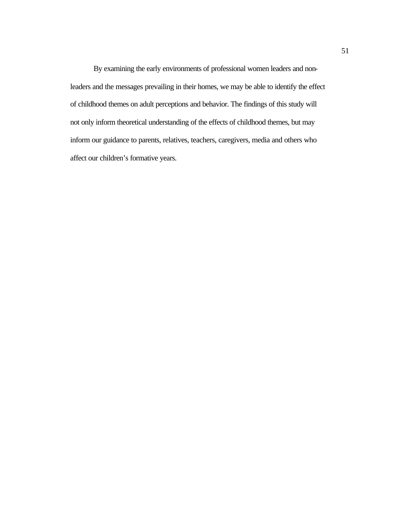By examining the early environments of professional women leaders and nonleaders and the messages prevailing in their homes, we may be able to identify the effect of childhood themes on adult perceptions and behavior. The findings of this study will not only inform theoretical understanding of the effects of childhood themes, but may inform our guidance to parents, relatives, teachers, caregivers, media and others who affect our children's formative years.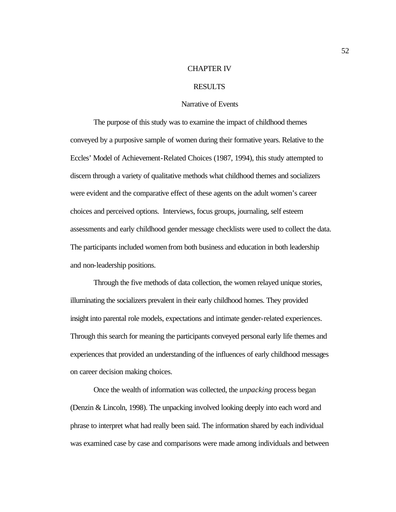## CHAPTER IV

# RESULTS

#### Narrative of Events

The purpose of this study was to examine the impact of childhood themes conveyed by a purposive sample of women during their formative years. Relative to the Eccles' Model of Achievement-Related Choices (1987, 1994), this study attempted to discern through a variety of qualitative methods what childhood themes and socializers were evident and the comparative effect of these agents on the adult women's career choices and perceived options. Interviews, focus groups, journaling, self esteem assessments and early childhood gender message checklists were used to collect the data. The participants included women from both business and education in both leadership and non-leadership positions.

Through the five methods of data collection, the women relayed unique stories, illuminating the socializers prevalent in their early childhood homes. They provided insight into parental role models, expectations and intimate gender-related experiences. Through this search for meaning the participants conveyed personal early life themes and experiences that provided an understanding of the influences of early childhood messages on career decision making choices.

Once the wealth of information was collected, the *unpacking* process began (Denzin & Lincoln, 1998). The unpacking involved looking deeply into each word and phrase to interpret what had really been said. The information shared by each individual was examined case by case and comparisons were made among individuals and between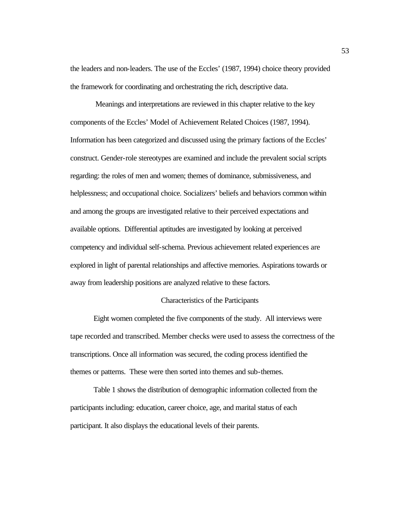the leaders and non-leaders. The use of the Eccles' (1987, 1994) choice theory provided the framework for coordinating and orchestrating the rich, descriptive data.

 Meanings and interpretations are reviewed in this chapter relative to the key components of the Eccles' Model of Achievement Related Choices (1987, 1994). Information has been categorized and discussed using the primary factions of the Eccles' construct. Gender-role stereotypes are examined and include the prevalent social scripts regarding: the roles of men and women; themes of dominance, submissiveness, and helplessness; and occupational choice. Socializers' beliefs and behaviors common within and among the groups are investigated relative to their perceived expectations and available options. Differential aptitudes are investigated by looking at perceived competency and individual self-schema. Previous achievement related experiences are explored in light of parental relationships and affective memories. Aspirations towards or away from leadership positions are analyzed relative to these factors.

# Characteristics of the Participants

Eight women completed the five components of the study. All interviews were tape recorded and transcribed. Member checks were used to assess the correctness of the transcriptions. Once all information was secured, the coding process identified the themes or patterns. These were then sorted into themes and sub-themes.

Table 1 shows the distribution of demographic information collected from the participants including: education, career choice, age, and marital status of each participant. It also displays the educational levels of their parents.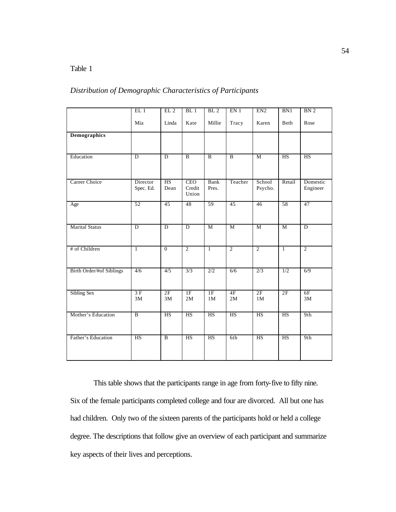# Table 1

# *Distribution of Demographic Characteristics of Participants*

|                          | EL1                   | EL <sub>2</sub>                | BL1                           | BL <sub>2</sub>      | EN <sub>1</sub>        | EN2                   | BN1                    | BN <sub>2</sub>      |
|--------------------------|-----------------------|--------------------------------|-------------------------------|----------------------|------------------------|-----------------------|------------------------|----------------------|
|                          | Mia                   | Linda                          | Kate                          | Millie               | Tracy                  | Karen                 | Beth                   | Rose                 |
| <b>Demographics</b>      |                       |                                |                               |                      |                        |                       |                        |                      |
|                          |                       |                                |                               |                      |                        |                       |                        |                      |
| Education                | $\overline{D}$        | $\overline{D}$                 | $\overline{B}$                | $\overline{B}$       | $\overline{B}$         | M                     | $\overline{\text{HS}}$ | HS                   |
| Career Choice            | Director<br>Spec. Ed. | $\overline{\text{HS}}$<br>Dean | <b>CEO</b><br>Credit<br>Union | <b>Bank</b><br>Pres. | Teacher                | School<br>Psycho.     | Retail                 | Domestic<br>Engineer |
| Age                      | 52                    | 45                             | 48                            | 59                   | 45                     | 46                    | 58                     | 47                   |
| <b>Marital Status</b>    | $\overline{D}$        | $\overline{D}$                 | $\overline{D}$                | $\overline{M}$       | M                      | $\overline{M}$        | $\overline{M}$         | $\overline{D}$       |
| # of Children            | $\mathbf{1}$          | $\overline{0}$                 | $\overline{2}$                | $\overline{1}$       | $\overline{2}$         | $\overline{2}$        | $\overline{1}$         | $\overline{2}$       |
| Birth Order/#of Siblings | 4/6                   | $\overline{4/5}$               | $\overline{\frac{3}{3}}$      | $\overline{2/2}$     | 6/6                    | 2/3                   | 1/2                    | 6/9                  |
| Sibling Sex              | 3F<br>$3\mathrm{M}$   | 2F<br>$3\mathrm{M}$            | 1F<br>2M                      | 1F<br>1M             | 4F<br>$2\mathbf{M}$    | 2F<br>$1\,\mathrm{M}$ | 2F                     | 6F<br>$3\mathrm{M}$  |
| Mother's Education       | $\overline{B}$        | <b>HS</b>                      | HS                            | <b>HS</b>            | $\overline{\text{HS}}$ | <b>HS</b>             | $\overline{\text{HS}}$ | 9th                  |
| Father's Education       | <b>HS</b>             | $\overline{B}$                 | HS                            | HS                   | 6th                    | HS                    | HS                     | 9th                  |

This table shows that the participants range in age from forty-five to fifty nine. Six of the female participants completed college and four are divorced. All but one has had children. Only two of the sixteen parents of the participants hold or held a college degree. The descriptions that follow give an overview of each participant and summarize key aspects of their lives and perceptions.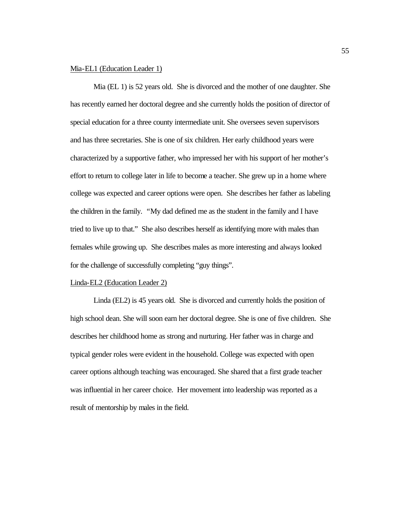# Mia-EL1 (Education Leader 1)

Mia (EL 1) is 52 years old. She is divorced and the mother of one daughter. She has recently earned her doctoral degree and she currently holds the position of director of special education for a three county intermediate unit. She oversees seven supervisors and has three secretaries. She is one of six children. Her early childhood years were characterized by a supportive father, who impressed her with his support of her mother's effort to return to college later in life to become a teacher. She grew up in a home where college was expected and career options were open. She describes her father as labeling the children in the family. *"*My dad defined me as the student in the family and I have tried to live up to that." She also describes herself as identifying more with males than females while growing up. She describes males as more interesting and always looked for the challenge of successfully completing "guy things".

### Linda-EL2 (Education Leader 2)

Linda (EL2) is 45 years old. She is divorced and currently holds the position of high school dean. She will soon earn her doctoral degree. She is one of five children. She describes her childhood home as strong and nurturing. Her father was in charge and typical gender roles were evident in the household. College was expected with open career options although teaching was encouraged. She shared that a first grade teacher was influential in her career choice. Her movement into leadership was reported as a result of mentorship by males in the field.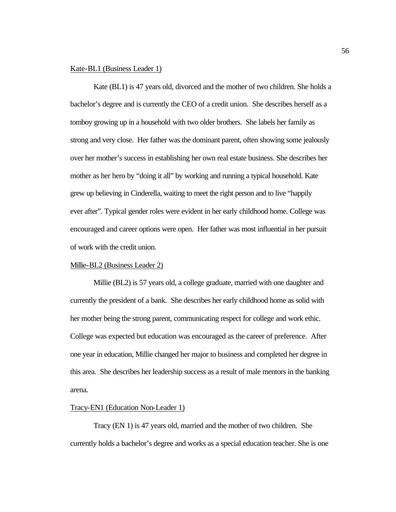# Kate-BL1 (Business Leader 1)

Kate (BL1) is 47 years old, divorced and the mother of two children. She holds a bachelor's degree and is currently the CEO of a credit union. She describes herself as a tomboy growing up in a household with two older brothers. She labels her family as strong and very close. Her father was the dominant parent, often showing some jealously over her mother's success in establishing her own real estate business. She describes her mother as her hero by "doing it all" by working and running a typical household. Kate grew up believing in Cinderella, waiting to meet the right person and to live "happily ever after". Typical gender roles were evident in her early childhood home. College was encouraged and career options were open. Her father was most influential in her pursuit of work with the credit union.

# Millie-BL2 (Business Leader 2)

Millie (BL2) is 57 years old, a college graduate, married with one daughter and currently the president of a bank. She describes her early childhood home as solid with her mother being the strong parent, communicating respect for college and work ethic. College was expected but education was encouraged as the career of preference. After one year in education, Millie changed her major to business and completed her degree in this area. She describes her leadership success as a result of male mentors in the banking arena.

## Tracy-EN1 (Education Non-Leader 1)

Tracy (EN 1) is 47 years old, married and the mother of two children. She currently holds a bachelor's degree and works as a special education teacher. She is one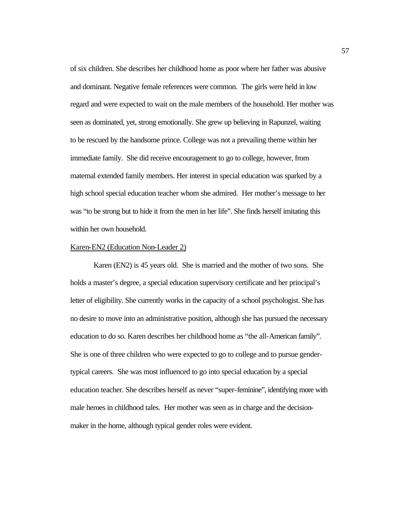of six children. She describes her childhood home as poor where her father was abusive and dominant. Negative female references were common. The girls were held in low regard and were expected to wait on the male members of the household. Her mother was seen as dominated, yet, strong emotionally. She grew up believing in Rapunzel, waiting to be rescued by the handsome prince. College was not a prevailing theme within her immediate family. She did receive encouragement to go to college, however, from maternal extended family members. Her interest in special education was sparked by a high school special education teacher whom she admired. Her mother's message to her was "to be strong but to hide it from the men in her life". She finds herself imitating this within her own household.

## Karen-EN2 (Education Non-Leader 2)

Karen (EN2) is 45 years old. She is married and the mother of two sons. She holds a master's degree, a special education supervisory certificate and her principal's letter of eligibility. She currently works in the capacity of a school psychologist. She has no desire to move into an administrative position, although she has pursued the necessary education to do so. Karen describes her childhood home as "the all-American family". She is one of three children who were expected to go to college and to pursue gendertypical careers. She was most influenced to go into special education by a special education teacher. She describes herself as never "super-feminine", identifying more with male heroes in childhood tales. Her mother was seen as in charge and the decisionmaker in the home, although typical gender roles were evident.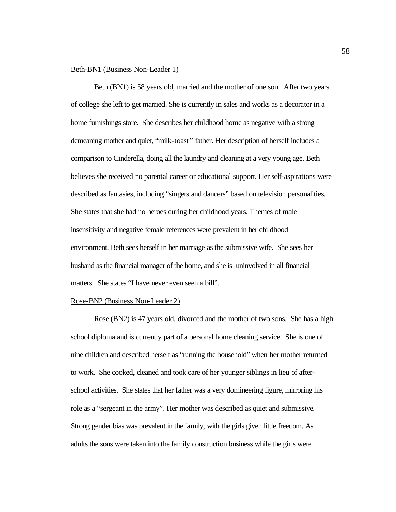## Beth-BN1 (Business Non-Leader 1)

Beth (BN1) is 58 years old, married and the mother of one son. After two years of college she left to get married. She is currently in sales and works as a decorator in a home furnishings store. She describes her childhood home as negative with a strong demeaning mother and quiet, "milk-toast*"* father. Her description of herself includes a comparison to Cinderella, doing all the laundry and cleaning at a very young age. Beth believes she received no parental career or educational support. Her self-aspirations were described as fantasies, including "singers and dancers" based on television personalities. She states that she had no heroes during her childhood years. Themes of male insensitivity and negative female references were prevalent in her childhood environment. Beth sees herself in her marriage as the submissive wife. She sees her husband as the financial manager of the home, and she is uninvolved in all financial matters. She states "I have never even seen a bill".

#### Rose-BN2 (Business Non-Leader 2)

Rose (BN2) is 47 years old, divorced and the mother of two sons. She has a high school diploma and is currently part of a personal home cleaning service. She is one of nine children and described herself as "running the household" when her mother returned to work. She cooked, cleaned and took care of her younger siblings in lieu of afterschool activities. She states that her father was a very domineering figure, mirroring his role as a "sergeant in the army". Her mother was described as quiet and submissive. Strong gender bias was prevalent in the family, with the girls given little freedom. As adults the sons were taken into the family construction business while the girls were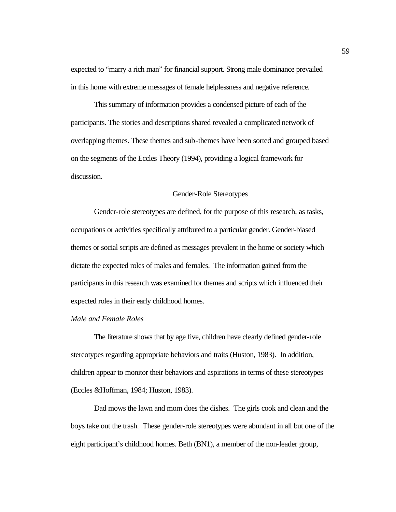expected to "marry a rich man" for financial support. Strong male dominance prevailed in this home with extreme messages of female helplessness and negative reference.

This summary of information provides a condensed picture of each of the participants. The stories and descriptions shared revealed a complicated network of overlapping themes. These themes and sub-themes have been sorted and grouped based on the segments of the Eccles Theory (1994), providing a logical framework for discussion.

## Gender-Role Stereotypes

Gender-role stereotypes are defined, for the purpose of this research, as tasks, occupations or activities specifically attributed to a particular gender. Gender-biased themes or social scripts are defined as messages prevalent in the home or society which dictate the expected roles of males and females. The information gained from the participants in this research was examined for themes and scripts which influenced their expected roles in their early childhood homes.

# *Male and Female Roles*

The literature shows that by age five, children have clearly defined gender-role stereotypes regarding appropriate behaviors and traits (Huston, 1983). In addition, children appear to monitor their behaviors and aspirations in terms of these stereotypes (Eccles &Hoffman, 1984; Huston, 1983).

Dad mows the lawn and mom does the dishes. The girls cook and clean and the boys take out the trash. These gender-role stereotypes were abundant in all but one of the eight participant's childhood homes. Beth (BN1), a member of the non-leader group,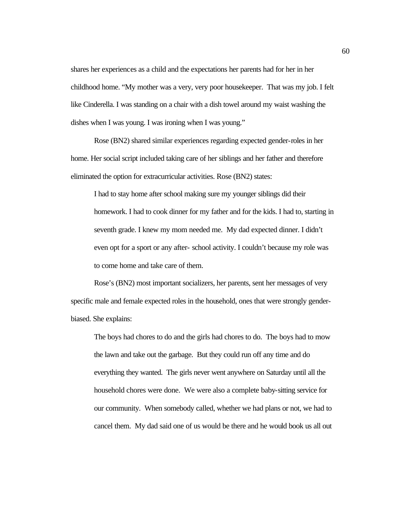shares her experiences as a child and the expectations her parents had for her in her childhood home. "My mother was a very, very poor housekeeper. That was my job. I felt like Cinderella. I was standing on a chair with a dish towel around my waist washing the dishes when I was young. I was ironing when I was young."

Rose (BN2) shared similar experiences regarding expected gender-roles in her home. Her social script included taking care of her siblings and her father and therefore eliminated the option for extracurricular activities. Rose (BN2) states:

I had to stay home after school making sure my younger siblings did their homework. I had to cook dinner for my father and for the kids. I had to, starting in seventh grade. I knew my mom needed me. My dad expected dinner. I didn't even opt for a sport or any after- school activity. I couldn't because my role was to come home and take care of them.

Rose's (BN2) most important socializers, her parents, sent her messages of very specific male and female expected roles in the household, ones that were strongly genderbiased. She explains:

The boys had chores to do and the girls had chores to do. The boys had to mow the lawn and take out the garbage. But they could run off any time and do everything they wanted. The girls never went anywhere on Saturday until all the household chores were done. We were also a complete baby-sitting service for our community. When somebody called, whether we had plans or not, we had to cancel them. My dad said one of us would be there and he would book us all out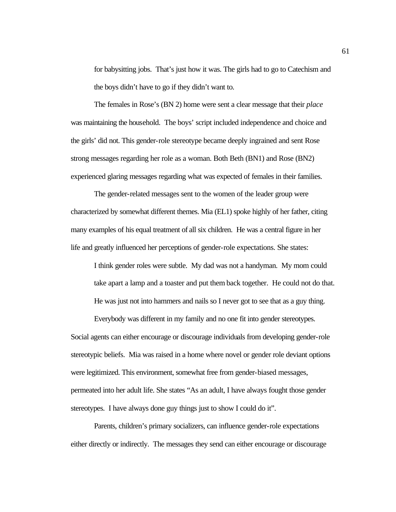for babysitting jobs. That's just how it was. The girls had to go to Catechism and the boys didn't have to go if they didn't want to.

The females in Rose's (BN 2) home were sent a clear message that their *place* was maintaining the household. The boys' script included independence and choice and the girls' did not. This gender-role stereotype became deeply ingrained and sent Rose strong messages regarding her role as a woman. Both Beth (BN1) and Rose (BN2) experienced glaring messages regarding what was expected of females in their families.

The gender-related messages sent to the women of the leader group were characterized by somewhat different themes. Mia (EL1) spoke highly of her father, citing many examples of his equal treatment of all six children. He was a central figure in her life and greatly influenced her perceptions of gender-role expectations. She states:

I think gender roles were subtle. My dad was not a handyman. My mom could take apart a lamp and a toaster and put them back together. He could not do that. He was just not into hammers and nails so I never got to see that as a guy thing.

Everybody was different in my family and no one fit into gender stereotypes. Social agents can either encourage or discourage individuals from developing gender-role stereotypic beliefs. Mia was raised in a home where novel or gender role deviant options were legitimized. This environment, somewhat free from gender-biased messages, permeated into her adult life. She states "As an adult, I have always fought those gender stereotypes. I have always done guy things just to show I could do it".

Parents, children's primary socializers, can influence gender-role expectations either directly or indirectly. The messages they send can either encourage or discourage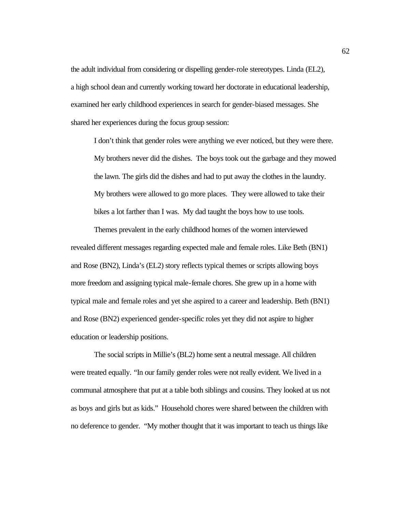the adult individual from considering or dispelling gender-role stereotypes. Linda (EL2), a high school dean and currently working toward her doctorate in educational leadership, examined her early childhood experiences in search for gender-biased messages. She shared her experiences during the focus group session:

I don't think that gender roles were anything we ever noticed, but they were there. My brothers never did the dishes. The boys took out the garbage and they mowed the lawn. The girls did the dishes and had to put away the clothes in the laundry. My brothers were allowed to go more places. They were allowed to take their bikes a lot farther than I was. My dad taught the boys how to use tools.

Themes prevalent in the early childhood homes of the women interviewed revealed different messages regarding expected male and female roles. Like Beth (BN1) and Rose (BN2), Linda's (EL2) story reflects typical themes or scripts allowing boys more freedom and assigning typical male-female chores. She grew up in a home with typical male and female roles and yet she aspired to a career and leadership. Beth (BN1) and Rose (BN2) experienced gender-specific roles yet they did not aspire to higher education or leadership positions.

The social scripts in Millie's (BL2) home sent a neutral message. All children were treated equally. "In our family gender roles were not really evident. We lived in a communal atmosphere that put at a table both siblings and cousins. They looked at us not as boys and girls but as kids."Household chores were shared between the children with no deference to gender. "My mother thought that it was important to teach us things like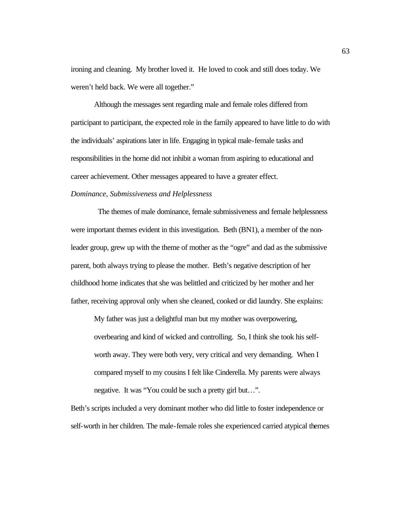ironing and cleaning. My brother loved it. He loved to cook and still does today. We weren't held back. We were all together."

Although the messages sent regarding male and female roles differed from participant to participant, the expected role in the family appeared to have little to do with the individuals' aspirations later in life. Engaging in typical male-female tasks and responsibilities in the home did not inhibit a woman from aspiring to educational and career achievement. Other messages appeared to have a greater effect.

### *Dominance, Submissiveness and Helplessness*

 The themes of male dominance, female submissiveness and female helplessness were important themes evident in this investigation. Beth (BN1), a member of the nonleader group, grew up with the theme of mother as the "ogre" and dad as the submissive parent, both always trying to please the mother. Beth's negative description of her childhood home indicates that she was belittled and criticized by her mother and her father, receiving approval only when she cleaned, cooked or did laundry. She explains:

My father was just a delightful man but my mother was overpowering, overbearing and kind of wicked and controlling. So, I think she took his selfworth away. They were both very, very critical and very demanding. When I compared myself to my cousins I felt like Cinderella. My parents were always negative. It was "You could be such a pretty girl but…".

Beth's scripts included a very dominant mother who did little to foster independence or self-worth in her children. The male-female roles she experienced carried atypical themes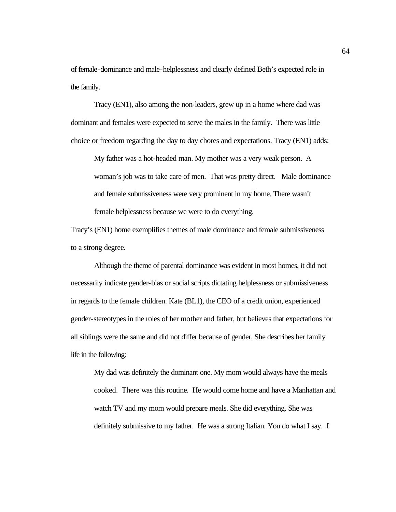of female-dominance and male-helplessness and clearly defined Beth's expected role in the family.

Tracy (EN1), also among the non-leaders, grew up in a home where dad was dominant and females were expected to serve the males in the family. There was little choice or freedom regarding the day to day chores and expectations. Tracy (EN1) adds:

My father was a hot-headed man. My mother was a very weak person. A woman's job was to take care of men. That was pretty direct. Male dominance and female submissiveness were very prominent in my home. There wasn't female helplessness because we were to do everything.

Tracy's (EN1) home exemplifies themes of male dominance and female submissiveness to a strong degree.

Although the theme of parental dominance was evident in most homes, it did not necessarily indicate gender-bias or social scripts dictating helplessness or submissiveness in regards to the female children. Kate (BL1), the CEO of a credit union, experienced gender-stereotypes in the roles of her mother and father, but believes that expectations for all siblings were the same and did not differ because of gender. She describes her family life in the following:

My dad was definitely the dominant one. My mom would always have the meals cooked. There was this routine. He would come home and have a Manhattan and watch TV and my mom would prepare meals. She did everything. She was definitely submissive to my father. He was a strong Italian. You do what I say. I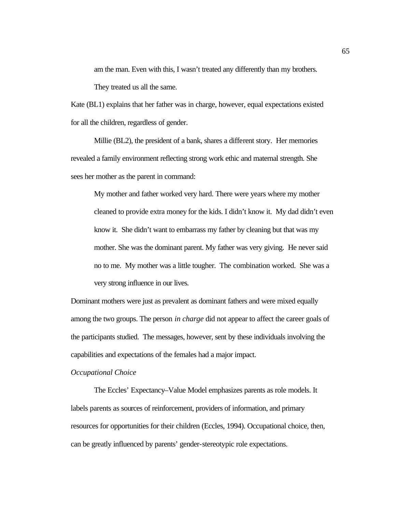am the man. Even with this, I wasn't treated any differently than my brothers.

They treated us all the same.

Kate (BL1) explains that her father was in charge, however, equal expectations existed for all the children, regardless of gender.

Millie (BL2), the president of a bank, shares a different story. Her memories revealed a family environment reflecting strong work ethic and maternal strength. She sees her mother as the parent in command:

My mother and father worked very hard. There were years where my mother cleaned to provide extra money for the kids. I didn't know it. My dad didn't even know it. She didn't want to embarrass my father by cleaning but that was my mother. She was the dominant parent. My father was very giving. He never said no to me. My mother was a little tougher. The combination worked. She was a very strong influence in our lives.

Dominant mothers were just as prevalent as dominant fathers and were mixed equally among the two groups. The person *in charge* did not appear to affect the career goals of the participants studied. The messages, however, sent by these individuals involving the capabilities and expectations of the females had a major impact.

#### *Occupational Choice*

The Eccles' Expectancy–Value Model emphasizes parents as role models. It labels parents as sources of reinforcement, providers of information, and primary resources for opportunities for their children (Eccles, 1994). Occupational choice, then, can be greatly influenced by parents' gender-stereotypic role expectations.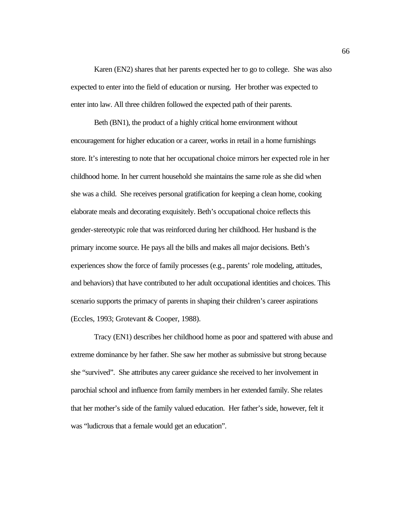Karen (EN2) shares that her parents expected her to go to college. She was also expected to enter into the field of education or nursing. Her brother was expected to enter into law. All three children followed the expected path of their parents.

Beth (BN1), the product of a highly critical home environment without encouragement for higher education or a career, works in retail in a home furnishings store. It's interesting to note that her occupational choice mirrors her expected role in her childhood home. In her current household she maintains the same role as she did when she was a child. She receives personal gratification for keeping a clean home, cooking elaborate meals and decorating exquisitely. Beth's occupational choice reflects this gender-stereotypic role that was reinforced during her childhood. Her husband is the primary income source. He pays all the bills and makes all major decisions. Beth's experiences show the force of family processes (e.g., parents' role modeling, attitudes, and behaviors) that have contributed to her adult occupational identities and choices. This scenario supports the primacy of parents in shaping their children's career aspirations (Eccles, 1993; Grotevant & Cooper, 1988).

Tracy (EN1) describes her childhood home as poor and spattered with abuse and extreme dominance by her father. She saw her mother as submissive but strong because she "survived". She attributes any career guidance she received to her involvement in parochial school and influence from family members in her extended family. She relates that her mother's side of the family valued education. Her father's side, however, felt it was "ludicrous that a female would get an education".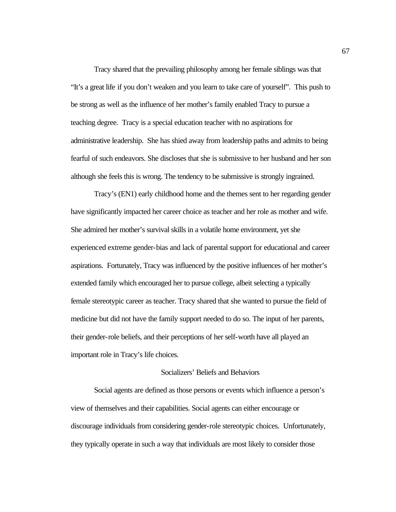Tracy shared that the prevailing philosophy among her female siblings was that "It's a great life if you don't weaken and you learn to take care of yourself". This push to be strong as well as the influence of her mother's family enabled Tracy to pursue a teaching degree. Tracy is a special education teacher with no aspirations for administrative leadership. She has shied away from leadership paths and admits to being fearful of such endeavors. She discloses that she is submissive to her husband and her son although she feels this is wrong. The tendency to be submissive is strongly ingrained.

Tracy's (EN1) early childhood home and the themes sent to her regarding gender have significantly impacted her career choice as teacher and her role as mother and wife. She admired her mother's survival skills in a volatile home environment, yet she experienced extreme gender-bias and lack of parental support for educational and career aspirations. Fortunately, Tracy was influenced by the positive influences of her mother's extended family which encouraged her to pursue college, albeit selecting a typically female stereotypic career as teacher. Tracy shared that she wanted to pursue the field of medicine but did not have the family support needed to do so. The input of her parents, their gender-role beliefs, and their perceptions of her self-worth have all played an important role in Tracy's life choices.

### Socializers' Beliefs and Behaviors

Social agents are defined as those persons or events which influence a person's view of themselves and their capabilities. Social agents can either encourage or discourage individuals from considering gender-role stereotypic choices. Unfortunately, they typically operate in such a way that individuals are most likely to consider those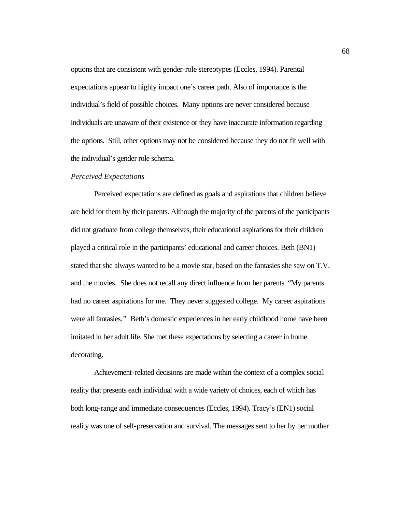options that are consistent with gender-role stereotypes (Eccles, 1994). Parental expectations appear to highly impact one's career path. Also of importance is the individual's field of possible choices. Many options are never considered because individuals are unaware of their existence or they have inaccurate information regarding the options. Still, other options may not be considered because they do not fit well with the individual's gender role schema.

### *Perceived Expectations*

Perceived expectations are defined as goals and aspirations that children believe are held for them by their parents. Although the majority of the parents of the participants did not graduate from college themselves, their educational aspirations for their children played a critical role in the participants' educational and career choices. Beth (BN1) stated that she always wanted to be a movie star, based on the fantasies she saw on T.V. and the movies. She does not recall any direct influence from her parents. "My parents had no career aspirations for me. They never suggested college. My career aspirations were all fantasies.*"* Beth's domestic experiences in her early childhood home have been imitated in her adult life. She met these expectations by selecting a career in home decorating.

Achievement-related decisions are made within the context of a complex social reality that presents each individual with a wide variety of choices, each of which has both long-range and immediate consequences (Eccles, 1994). Tracy's (EN1) social reality was one of self-preservation and survival. The messages sent to her by her mother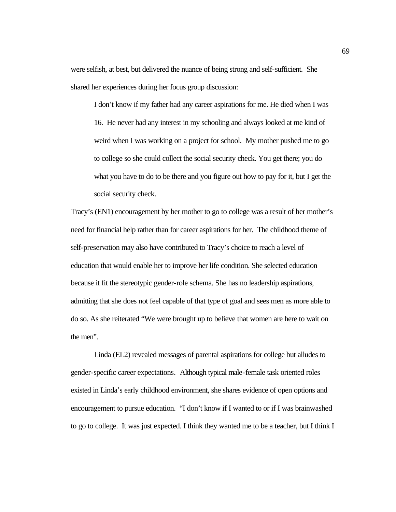were selfish, at best, but delivered the nuance of being strong and self-sufficient. She shared her experiences during her focus group discussion:

I don't know if my father had any career aspirations for me. He died when I was 16. He never had any interest in my schooling and always looked at me kind of weird when I was working on a project for school. My mother pushed me to go to college so she could collect the social security check. You get there; you do what you have to do to be there and you figure out how to pay for it, but I get the social security check.

Tracy's (EN1) encouragement by her mother to go to college was a result of her mother's need for financial help rather than for career aspirations for her. The childhood theme of self-preservation may also have contributed to Tracy's choice to reach a level of education that would enable her to improve her life condition. She selected education because it fit the stereotypic gender-role schema. She has no leadership aspirations, admitting that she does not feel capable of that type of goal and sees men as more able to do so. As she reiterated "We were brought up to believe that women are here to wait on the men".

Linda (EL2) revealed messages of parental aspirations for college but alludes to gender-specific career expectations*.* Although typical male-female task oriented roles existed in Linda's early childhood environment, she shares evidence of open options and encouragement to pursue education. "I don't know if I wanted to or if I was brainwashed to go to college. It was just expected. I think they wanted me to be a teacher, but I think I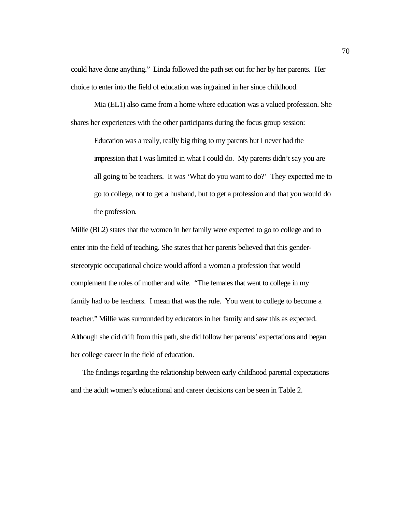could have done anything."Linda followed the path set out for her by her parents. Her choice to enter into the field of education was ingrained in her since childhood.

Mia (EL1) also came from a home where education was a valued profession. She shares her experiences with the other participants during the focus group session:

Education was a really, really big thing to my parents but I never had the impression that I was limited in what I could do. My parents didn't say you are all going to be teachers. It was 'What do you want to do?' They expected me to go to college, not to get a husband, but to get a profession and that you would do the profession.

Millie (BL2) states that the women in her family were expected to go to college and to enter into the field of teaching. She states that her parents believed that this genderstereotypic occupational choice would afford a woman a profession that would complement the roles of mother and wife. "The females that went to college in my family had to be teachers. I mean that was the rule. You went to college to become a teacher." Millie was surrounded by educators in her family and saw this as expected. Although she did drift from this path, she did follow her parents' expectations and began her college career in the field of education.

The findings regarding the relationship between early childhood parental expectations and the adult women's educational and career decisions can be seen in Table 2.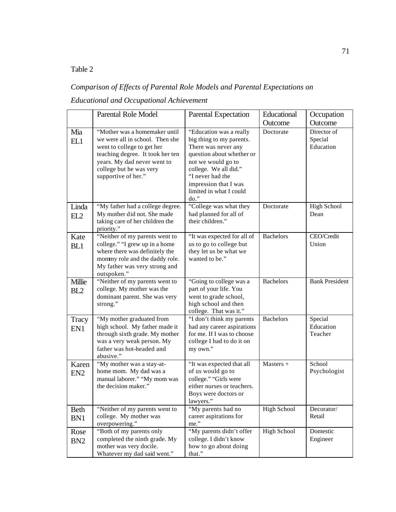## Table 2

# *Comparison of Effects of Parental Role Models and Parental Expectations on Educational and Occupational Achievement*

|                                                                                     | <b>Parental Role Model</b>                                                                                                                                                                                          | Parental Expectation                                                                                                                                                                                                                   | Educational        | Occupation                          |  |
|-------------------------------------------------------------------------------------|---------------------------------------------------------------------------------------------------------------------------------------------------------------------------------------------------------------------|----------------------------------------------------------------------------------------------------------------------------------------------------------------------------------------------------------------------------------------|--------------------|-------------------------------------|--|
|                                                                                     |                                                                                                                                                                                                                     |                                                                                                                                                                                                                                        | Outcome            | Outcome                             |  |
| Mia<br>EL1                                                                          | "Mother was a homemaker until<br>we were all in school. Then she<br>went to college to get her<br>teaching degree. It took her ten<br>years. My dad never went to<br>college but he was very<br>supportive of her." | "Education was a really<br>big thing to my parents.<br>There was never any<br>question about whether or<br>not we would go to<br>college. We all did."<br>"I never had the<br>impression that I was<br>limited in what I could<br>do." | Doctorate          | Director of<br>Special<br>Education |  |
| Linda                                                                               | "My father had a college degree.                                                                                                                                                                                    | "College was what they                                                                                                                                                                                                                 | Doctorate          | <b>High School</b>                  |  |
| My mother did not. She made<br>EL2<br>taking care of her children the<br>priority." |                                                                                                                                                                                                                     | had planned for all of<br>their children."                                                                                                                                                                                             |                    | Dean                                |  |
| Kate                                                                                | "Neither of my parents went to                                                                                                                                                                                      | "It was expected for all of                                                                                                                                                                                                            | <b>Bachelors</b>   | CEO/Credit                          |  |
| BL1                                                                                 | college." "I grew up in a home<br>where there was definitely the<br>mommy role and the daddy role.<br>My father was very strong and<br>outspoken."                                                                  | us to go to college but<br>they let us be what we<br>wanted to be."                                                                                                                                                                    |                    | Union                               |  |
| Millie<br>BL <sub>2</sub>                                                           | "Neither of my parents went to<br>college. My mother was the<br>dominant parent. She was very<br>strong."                                                                                                           | "Going to college was a<br>part of your life. You<br>went to grade school,<br>high school and then<br>college. That was it."                                                                                                           | <b>Bachelors</b>   | <b>Bank President</b>               |  |
| Tracy<br>EN1                                                                        | "My mother graduated from<br>high school. My father made it<br>through sixth grade. My mother<br>was a very weak person. My<br>father was hot-headed and<br>abusive."                                               | "I don't think my parents<br>had any career aspirations<br>for me. If I was to choose<br>college I had to do it on<br>my own."                                                                                                         | <b>Bachelors</b>   | Special<br>Education<br>Teacher     |  |
| Karen<br>EN <sub>2</sub>                                                            | "My mother was a stay-at-<br>home mom. My dad was a<br>manual laborer." "My mom was<br>the decision maker."                                                                                                         | "It was expected that all<br>of us would go to<br>college." "Girls were<br>either nurses or teachers.<br>Boys were doctors or<br>lawyers."                                                                                             | Masters +          | School<br>Psychologist              |  |
| <b>Beth</b><br>BN1                                                                  | "Neither of my parents went to<br>college. My mother was<br>overpowering."                                                                                                                                          | "My parents had no<br>career aspirations for<br>me."                                                                                                                                                                                   | <b>High School</b> | Decorator/<br>Retail                |  |
| Rose<br>BN <sub>2</sub>                                                             | "Both of my parents only<br>completed the ninth grade. My<br>mother was very docile.<br>Whatever my dad said went."                                                                                                 | "My parents didn't offer<br>college. I didn't know<br>how to go about doing<br>that."                                                                                                                                                  | High School        | Domestic<br>Engineer                |  |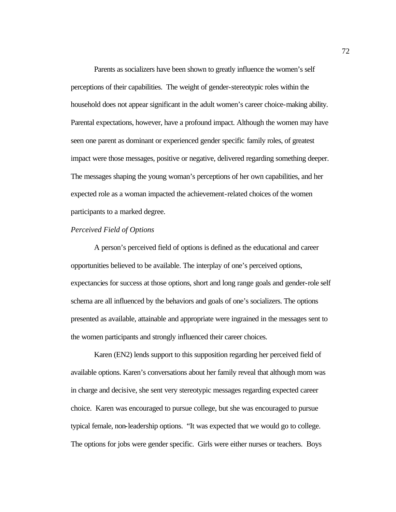Parents as socializers have been shown to greatly influence the women's self perceptions of their capabilities. The weight of gender-stereotypic roles within the household does not appear significant in the adult women's career choice-making ability. Parental expectations, however, have a profound impact. Although the women may have seen one parent as dominant or experienced gender specific family roles, of greatest impact were those messages, positive or negative, delivered regarding something deeper. The messages shaping the young woman's perceptions of her own capabilities, and her expected role as a woman impacted the achievement-related choices of the women participants to a marked degree.

### *Perceived Field of Options*

A person's perceived field of options is defined as the educational and career opportunities believed to be available. The interplay of one's perceived options, expectancies for success at those options, short and long range goals and gender-role self schema are all influenced by the behaviors and goals of one's socializers. The options presented as available, attainable and appropriate were ingrained in the messages sent to the women participants and strongly influenced their career choices.

Karen (EN2) lends support to this supposition regarding her perceived field of available options. Karen's conversations about her family reveal that although mom was in charge and decisive, she sent very stereotypic messages regarding expected career choice. Karen was encouraged to pursue college, but she was encouraged to pursue typical female, non-leadership options. "It was expected that we would go to college. The options for jobs were gender specific. Girls were either nurses or teachers. Boys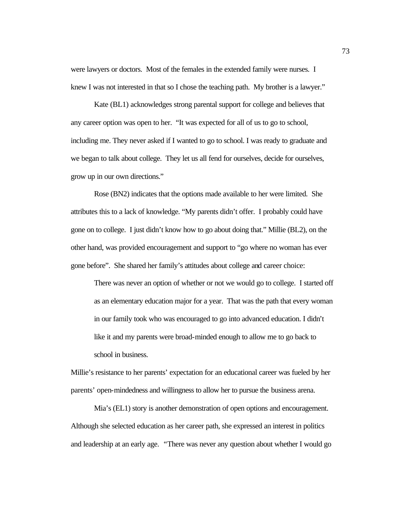were lawyers or doctors. Most of the females in the extended family were nurses. I knew I was not interested in that so I chose the teaching path. My brother is a lawyer."

Kate (BL1) acknowledges strong parental support for college and believes that any career option was open to her. "It was expected for all of us to go to school, including me. They never asked if I wanted to go to school. I was ready to graduate and we began to talk about college. They let us all fend for ourselves, decide for ourselves, grow up in our own directions."

Rose (BN2) indicates that the options made available to her were limited. She attributes this to a lack of knowledge. "My parents didn't offer. I probably could have gone on to college. I just didn't know how to go about doing that." Millie (BL2), on the other hand, was provided encouragement and support to "go where no woman has ever gone before". She shared her family's attitudes about college and career choice:

There was never an option of whether or not we would go to college. I started off as an elementary education major for a year. That was the path that every woman in our family took who was encouraged to go into advanced education. I didn't like it and my parents were broad-minded enough to allow me to go back to school in business.

Millie's resistance to her parents' expectation for an educational career was fueled by her parents' open-mindedness and willingness to allow her to pursue the business arena.

Mia's (EL1) story is another demonstration of open options and encouragement. Although she selected education as her career path, she expressed an interest in politics and leadership at an early age. *"*There was never any question about whether I would go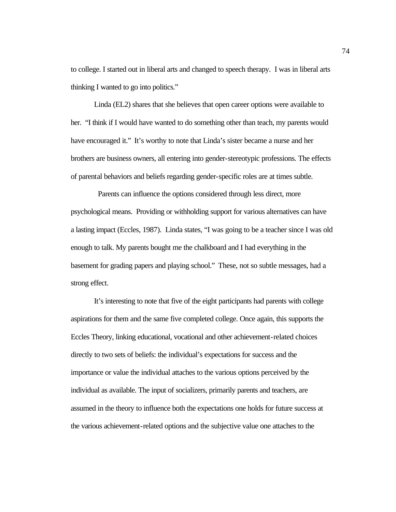to college. I started out in liberal arts and changed to speech therapy. I was in liberal arts thinking I wanted to go into politics."

Linda (EL2) shares that she believes that open career options were available to her. "I think if I would have wanted to do something other than teach, my parents would have encouraged it." It's worthy to note that Linda's sister became a nurse and her brothers are business owners, all entering into gender-stereotypic professions. The effects of parental behaviors and beliefs regarding gender-specific roles are at times subtle.

 Parents can influence the options considered through less direct, more psychological means. Providing or withholding support for various alternatives can have a lasting impact (Eccles, 1987). Linda states, "I was going to be a teacher since I was old enough to talk. My parents bought me the chalkboard and I had everything in the basement for grading papers and playing school." These, not so subtle messages, had a strong effect.

It's interesting to note that five of the eight participants had parents with college aspirations for them and the same five completed college. Once again, this supports the Eccles Theory, linking educational, vocational and other achievement-related choices directly to two sets of beliefs: the individual's expectations for success and the importance or value the individual attaches to the various options perceived by the individual as available. The input of socializers, primarily parents and teachers, are assumed in the theory to influence both the expectations one holds for future success at the various achievement-related options and the subjective value one attaches to the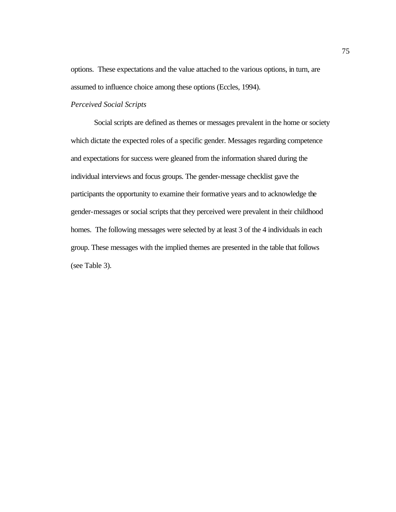options. These expectations and the value attached to the various options, in turn, are assumed to influence choice among these options (Eccles, 1994).

### *Perceived Social Scripts*

Social scripts are defined as themes or messages prevalent in the home or society which dictate the expected roles of a specific gender. Messages regarding competence and expectations for success were gleaned from the information shared during the individual interviews and focus groups. The gender-message checklist gave the participants the opportunity to examine their formative years and to acknowledge the gender-messages or social scripts that they perceived were prevalent in their childhood homes. The following messages were selected by at least 3 of the 4 individuals in each group. These messages with the implied themes are presented in the table that follows (see Table 3).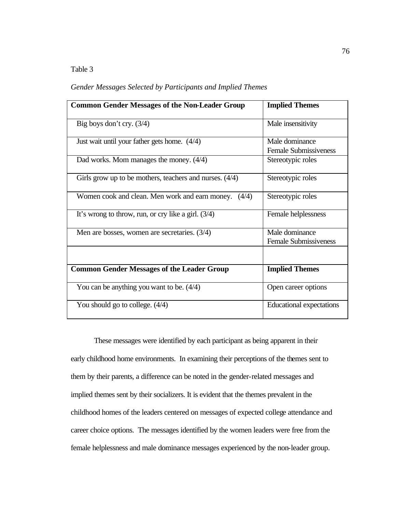### Table 3

*Gender Messages Selected by Participants and Implied Themes*

| <b>Common Gender Messages of the Non-Leader Group</b>     | <b>Implied Themes</b>        |  |  |  |  |  |
|-----------------------------------------------------------|------------------------------|--|--|--|--|--|
|                                                           |                              |  |  |  |  |  |
| Big boys don't cry. $(3/4)$                               | Male insensitivity           |  |  |  |  |  |
|                                                           |                              |  |  |  |  |  |
| Just wait until your father gets home. $(4/4)$            | Male dominance               |  |  |  |  |  |
|                                                           | <b>Female Submissiveness</b> |  |  |  |  |  |
| Dad works. Mom manages the money. $(4/4)$                 | Stereotypic roles            |  |  |  |  |  |
|                                                           |                              |  |  |  |  |  |
| Girls grow up to be mothers, teachers and nurses. $(4/4)$ | Stereotypic roles            |  |  |  |  |  |
|                                                           |                              |  |  |  |  |  |
| Women cook and clean. Men work and earn money. (4/4)      | Stereotypic roles            |  |  |  |  |  |
|                                                           |                              |  |  |  |  |  |
|                                                           |                              |  |  |  |  |  |
| It's wrong to throw, run, or cry like a girl. $(3/4)$     | Female helplessness          |  |  |  |  |  |
|                                                           |                              |  |  |  |  |  |
| Men are bosses, women are secretaries. $(3/4)$            | Male dominance               |  |  |  |  |  |
|                                                           | <b>Female Submissiveness</b> |  |  |  |  |  |
|                                                           |                              |  |  |  |  |  |
|                                                           |                              |  |  |  |  |  |
| <b>Common Gender Messages of the Leader Group</b>         | <b>Implied Themes</b>        |  |  |  |  |  |
|                                                           |                              |  |  |  |  |  |
| You can be anything you want to be. $(4/4)$               | Open career options          |  |  |  |  |  |
|                                                           |                              |  |  |  |  |  |
| You should go to college. $(4/4)$                         | Educational expectations     |  |  |  |  |  |
|                                                           |                              |  |  |  |  |  |
|                                                           |                              |  |  |  |  |  |

These messages were identified by each participant as being apparent in their early childhood home environments. In examining their perceptions of the themes sent to them by their parents, a difference can be noted in the gender-related messages and implied themes sent by their socializers. It is evident that the themes prevalent in the childhood homes of the leaders centered on messages of expected college attendance and career choice options. The messages identified by the women leaders were free from the female helplessness and male dominance messages experienced by the non-leader group.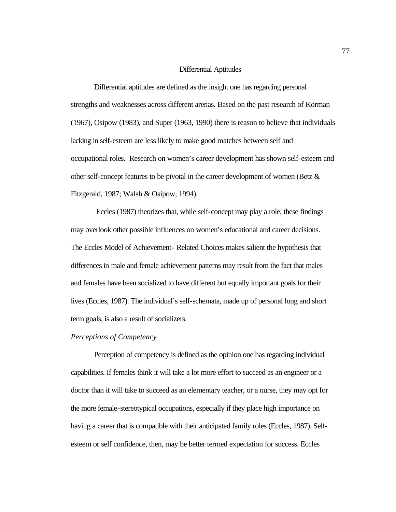### Differential Aptitudes

Differential aptitudes are defined as the insight one has regarding personal strengths and weaknesses across different arenas. Based on the past research of Korman (1967), Osipow (1983), and Super (1963, 1990) there is reason to believe that individuals lacking in self-esteem are less likely to make good matches between self and occupational roles. Research on women's career development has shown self-esteem and other self-concept features to be pivotal in the career development of women (Betz & Fitzgerald, 1987; Walsh & Osipow, 1994).

 Eccles (1987) theorizes that, while self-concept may play a role, these findings may overlook other possible influences on women's educational and career decisions. The Eccles Model of Achievement- Related Choices makes salient the hypothesis that differences in male and female achievement patterns may result from the fact that males and females have been socialized to have different but equally important goals for their lives (Eccles, 1987). The individual's self-schemata, made up of personal long and short term goals, is also a result of socializers.

### *Perceptions of Competency*

Perception of competency is defined as the opinion one has regarding individual capabilities. If females think it will take a lot more effort to succeed as an engineer or a doctor than it will take to succeed as an elementary teacher, or a nurse, they may opt for the more female-stereotypical occupations, especially if they place high importance on having a career that is compatible with their anticipated family roles (Eccles, 1987). Selfesteem or self confidence, then, may be better termed expectation for success. Eccles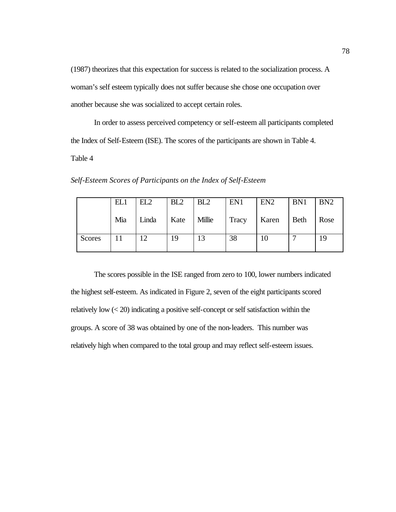(1987) theorizes that this expectation for success is related to the socialization process. A woman's self esteem typically does not suffer because she chose one occupation over another because she was socialized to accept certain roles.

In order to assess perceived competency or self-esteem all participants completed the Index of Self-Esteem (ISE). The scores of the participants are shown in Table 4.

Table 4

*Self-Esteem Scores of Participants on the Index of Self-Esteem*

|               | EL1 | EL2   | BL <sub>2</sub> | BL <sub>2</sub> | EN1   | EN <sub>2</sub>       | BN1  | BN2  |
|---------------|-----|-------|-----------------|-----------------|-------|-----------------------|------|------|
|               | Mia | Linda | Kate   Millie   |                 | Tracy | $\mathcal{L}$   Karen | Beth | Rose |
| <b>Scores</b> |     | 12    | 19              | 13              | 38    | 10                    |      | 19   |

The scores possible in the ISE ranged from zero to 100, lower numbers indicated the highest self-esteem. As indicated in Figure 2, seven of the eight participants scored relatively low (< 20) indicating a positive self-concept or self satisfaction within the groups. A score of 38 was obtained by one of the non-leaders. This number was relatively high when compared to the total group and may reflect self-esteem issues.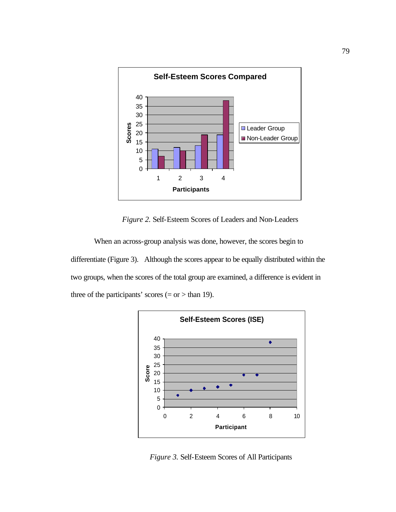

*Figure 2.* Self-Esteem Scores of Leaders and Non-Leaders

When an across-group analysis was done, however, the scores begin to differentiate (Figure 3). Although the scores appear to be equally distributed within the two groups, when the scores of the total group are examined, a difference is evident in three of the participants' scores  $(= or > than 19)$ .



*Figure 3.* Self-Esteem Scores of All Participants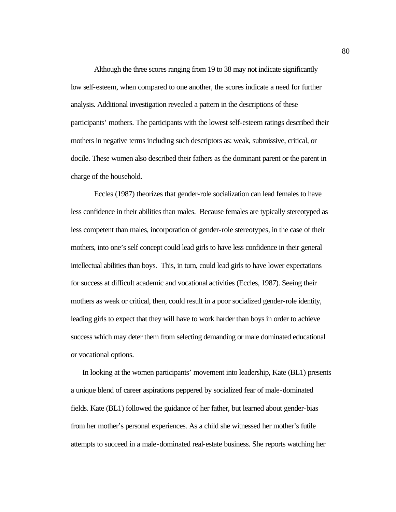Although the three scores ranging from 19 to 38 may not indicate significantly low self-esteem, when compared to one another, the scores indicate a need for further analysis. Additional investigation revealed a pattern in the descriptions of these participants' mothers. The participants with the lowest self-esteem ratings described their mothers in negative terms including such descriptors as: weak, submissive, critical, or docile. These women also described their fathers as the dominant parent or the parent in charge of the household.

Eccles (1987) theorizes that gender-role socialization can lead females to have less confidence in their abilities than males. Because females are typically stereotyped as less competent than males, incorporation of gender-role stereotypes, in the case of their mothers, into one's self concept could lead girls to have less confidence in their general intellectual abilities than boys. This, in turn, could lead girls to have lower expectations for success at difficult academic and vocational activities (Eccles, 1987). Seeing their mothers as weak or critical, then, could result in a poor socialized gender-role identity, leading girls to expect that they will have to work harder than boys in order to achieve success which may deter them from selecting demanding or male dominated educational or vocational options.

In looking at the women participants' movement into leadership, Kate (BL1) presents a unique blend of career aspirations peppered by socialized fear of male-dominated fields. Kate (BL1) followed the guidance of her father, but learned about gender-bias from her mother's personal experiences. As a child she witnessed her mother's futile attempts to succeed in a male-dominated real-estate business. She reports watching her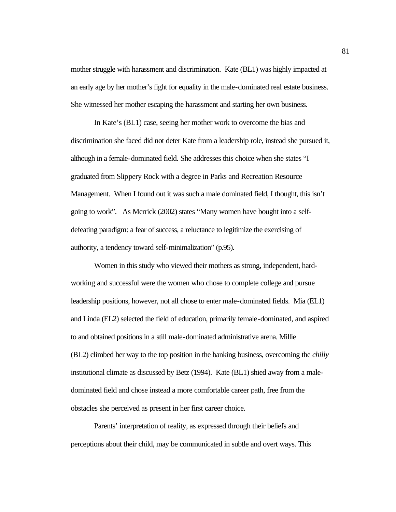mother struggle with harassment and discrimination. Kate (BL1) was highly impacted at an early age by her mother's fight for equality in the male-dominated real estate business. She witnessed her mother escaping the harassment and starting her own business.

In Kate's (BL1) case, seeing her mother work to overcome the bias and discrimination she faced did not deter Kate from a leadership role, instead she pursued it, although in a female-dominated field. She addresses this choice when she states "I graduated from Slippery Rock with a degree in Parks and Recreation Resource Management. When I found out it was such a male dominated field, I thought, this isn't going to work". As Merrick (2002) states "Many women have bought into a selfdefeating paradigm: a fear of success, a reluctance to legitimize the exercising of authority, a tendency toward self-minimalization" (p.95).

Women in this study who viewed their mothers as strong, independent, hardworking and successful were the women who chose to complete college and pursue leadership positions, however, not all chose to enter male-dominated fields. Mia (EL1) and Linda (EL2) selected the field of education, primarily female-dominated, and aspired to and obtained positions in a still male-dominated administrative arena. Millie (BL2) climbed her way to the top position in the banking business, overcoming the *chilly*  institutional climate as discussed by Betz (1994). Kate (BL1) shied away from a maledominated field and chose instead a more comfortable career path, free from the obstacles she perceived as present in her first career choice.

Parents' interpretation of reality, as expressed through their beliefs and perceptions about their child, may be communicated in subtle and overt ways. This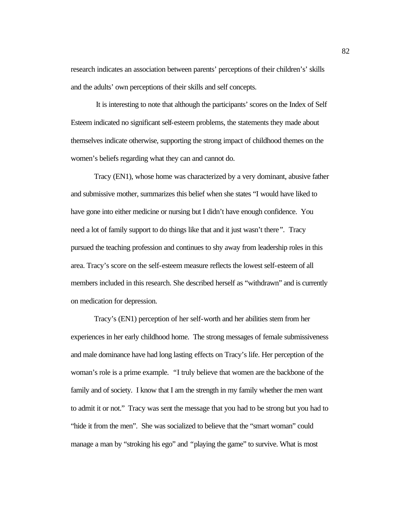research indicates an association between parents' perceptions of their children's' skills and the adults' own perceptions of their skills and self concepts.

 It is interesting to note that although the participants' scores on the Index of Self Esteem indicated no significant self-esteem problems, the statements they made about themselves indicate otherwise, supporting the strong impact of childhood themes on the women's beliefs regarding what they can and cannot do.

Tracy (EN1), whose home was characterized by a very dominant, abusive father and submissive mother, summarizes this belief when she states "I would have liked to have gone into either medicine or nursing but I didn't have enough confidence. You need a lot of family support to do things like that and it just wasn't there*".* Tracy pursued the teaching profession and continues to shy away from leadership roles in this area. Tracy's score on the self-esteem measure reflects the lowest self-esteem of all members included in this research. She described herself as "withdrawn" and is currently on medication for depression.

Tracy's (EN1) perception of her self-worth and her abilities stem from her experiences in her early childhood home. The strong messages of female submissiveness and male dominance have had long lasting effects on Tracy's life. Her perception of the woman's role is a prime example. *"*I truly believe that women are the backbone of the family and of society. I know that I am the strength in my family whether the men want to admit it or not." Tracy was sent the message that you had to be strong but you had to "hide it from the men". She was socialized to believe that the "smart woman" could manage a man by "stroking his ego" and *"*playing the game" to survive. What is most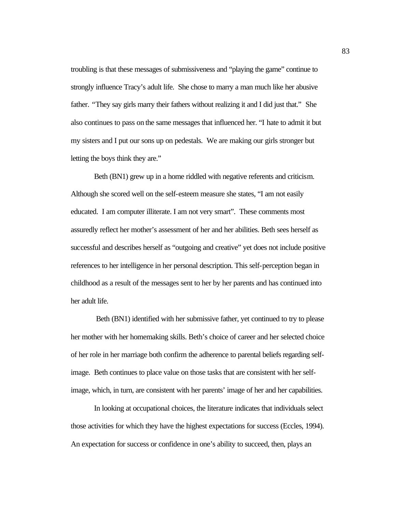troubling is that these messages of submissiveness and "playing the game" continue to strongly influence Tracy's adult life. She chose to marry a man much like her abusive father. *"*They say girls marry their fathers without realizing it and I did just that." She also continues to pass on the same messages that influenced her. "I hate to admit it but my sisters and I put our sons up on pedestals. We are making our girls stronger but letting the boys think they are."

Beth (BN1) grew up in a home riddled with negative referents and criticism. Although she scored well on the self-esteem measure she states, "I am not easily educated. I am computer illiterate. I am not very smart". These comments most assuredly reflect her mother's assessment of her and her abilities. Beth sees herself as successful and describes herself as "outgoing and creative" yet does not include positive references to her intelligence in her personal description. This self-perception began in childhood as a result of the messages sent to her by her parents and has continued into her adult life.

 Beth (BN1) identified with her submissive father, yet continued to try to please her mother with her homemaking skills. Beth's choice of career and her selected choice of her role in her marriage both confirm the adherence to parental beliefs regarding selfimage. Beth continues to place value on those tasks that are consistent with her selfimage, which, in turn, are consistent with her parents' image of her and her capabilities.

In looking at occupational choices, the literature indicates that individuals select those activities for which they have the highest expectations for success (Eccles, 1994). An expectation for success or confidence in one's ability to succeed, then, plays an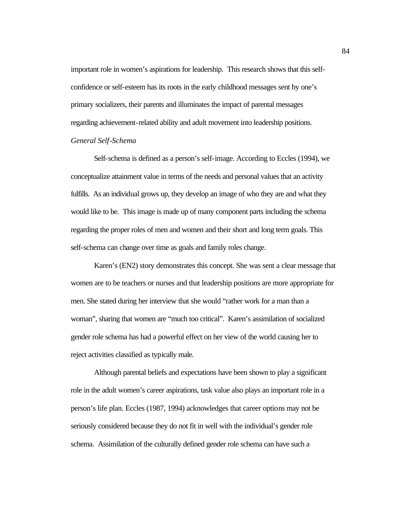important role in women's aspirations for leadership. This research shows that this selfconfidence or self-esteem has its roots in the early childhood messages sent by one's primary socializers, their parents and illuminates the impact of parental messages regarding achievement-related ability and adult movement into leadership positions. *General Self-Schema*

Self-schema is defined as a person's self-image. According to Eccles (1994), we conceptualize attainment value in terms of the needs and personal values that an activity fulfills. As an individual grows up, they develop an image of who they are and what they would like to be. This image is made up of many component parts including the schema regarding the proper roles of men and women and their short and long term goals. This self-schema can change over time as goals and family roles change.

Karen's (EN2) story demonstrates this concept. She was sent a clear message that women are to be teachers or nurses and that leadership positions are more appropriate for men. She stated during her interview that she would "rather work for a man than a woman", sharing that women are "much too critical". Karen's assimilation of socialized gender role schema has had a powerful effect on her view of the world causing her to reject activities classified as typically male.

Although parental beliefs and expectations have been shown to play a significant role in the adult women's career aspirations, task value also plays an important role in a person's life plan. Eccles (1987, 1994) acknowledges that career options may not be seriously considered because they do not fit in well with the individual's gender role schema. Assimilation of the culturally defined gender role schema can have such a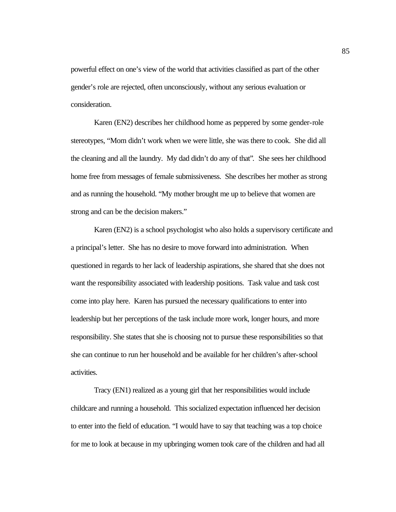powerful effect on one's view of the world that activities classified as part of the other gender's role are rejected, often unconsciously, without any serious evaluation or consideration.

Karen (EN2) describes her childhood home as peppered by some gender-role stereotypes, "Mom didn't work when we were little, she was there to cook. She did all the cleaning and all the laundry. My dad didn't do any of that"*.* She sees her childhood home free from messages of female submissiveness. She describes her mother as strong and as running the household. "My mother brought me up to believe that women are strong and can be the decision makers."

Karen (EN2) is a school psychologist who also holds a supervisory certificate and a principal's letter. She has no desire to move forward into administration. When questioned in regards to her lack of leadership aspirations, she shared that she does not want the responsibility associated with leadership positions. Task value and task cost come into play here. Karen has pursued the necessary qualifications to enter into leadership but her perceptions of the task include more work, longer hours, and more responsibility. She states that she is choosing not to pursue these responsibilities so that she can continue to run her household and be available for her children's after-school activities.

Tracy (EN1) realized as a young girl that her responsibilities would include childcare and running a household. This socialized expectation influenced her decision to enter into the field of education. "I would have to say that teaching was a top choice for me to look at because in my upbringing women took care of the children and had all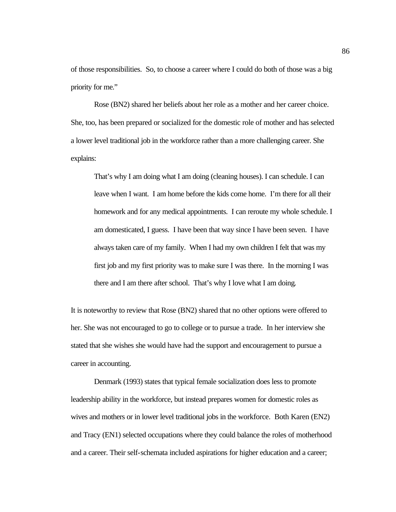of those responsibilities. So, to choose a career where I could do both of those was a big priority for me."

Rose (BN2) shared her beliefs about her role as a mother and her career choice. She, too, has been prepared or socialized for the domestic role of mother and has selected a lower level traditional job in the workforce rather than a more challenging career. She explains:

That's why I am doing what I am doing (cleaning houses). I can schedule. I can leave when I want. I am home before the kids come home. I'm there for all their homework and for any medical appointments. I can reroute my whole schedule. I am domesticated, I guess. I have been that way since I have been seven. I have always taken care of my family. When I had my own children I felt that was my first job and my first priority was to make sure I was there. In the morning I was there and I am there after school. That's why I love what I am doing.

It is noteworthy to review that Rose (BN2) shared that no other options were offered to her. She was not encouraged to go to college or to pursue a trade. In her interview she stated that she wishes she would have had the support and encouragement to pursue a career in accounting.

Denmark (1993) states that typical female socialization does less to promote leadership ability in the workforce, but instead prepares women for domestic roles as wives and mothers or in lower level traditional jobs in the workforce. Both Karen (EN2) and Tracy (EN1) selected occupations where they could balance the roles of motherhood and a career. Their self-schemata included aspirations for higher education and a career;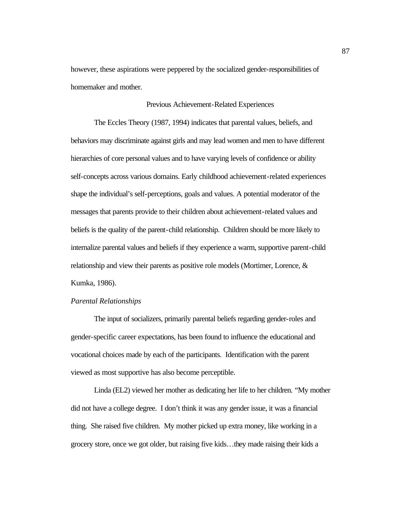however, these aspirations were peppered by the socialized gender-responsibilities of homemaker and mother.

### Previous Achievement-Related Experiences

The Eccles Theory (1987, 1994) indicates that parental values, beliefs, and behaviors may discriminate against girls and may lead women and men to have different hierarchies of core personal values and to have varying levels of confidence or ability self-concepts across various domains. Early childhood achievement-related experiences shape the individual's self-perceptions, goals and values. A potential moderator of the messages that parents provide to their children about achievement-related values and beliefs is the quality of the parent-child relationship. Children should be more likely to internalize parental values and beliefs if they experience a warm, supportive parent-child relationship and view their parents as positive role models (Mortimer, Lorence, & Kumka, 1986).

### *Parental Relationships*

The input of socializers, primarily parental beliefs regarding gender-roles and gender-specific career expectations, has been found to influence the educational and vocational choices made by each of the participants. Identification with the parent viewed as most supportive has also become perceptible.

Linda (EL2) viewed her mother as dedicating her life to her children. "My mother did not have a college degree. I don't think it was any gender issue, it was a financial thing. She raised five children. My mother picked up extra money, like working in a grocery store, once we got older, but raising five kids…they made raising their kids a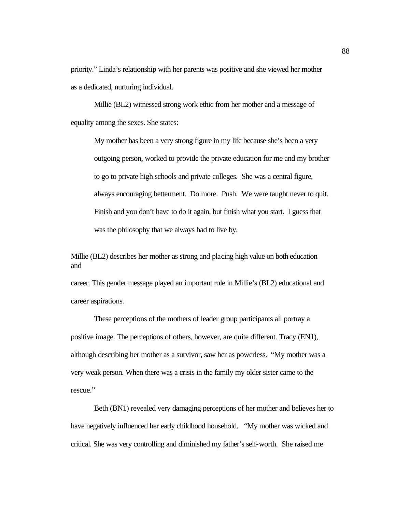priority." Linda's relationship with her parents was positive and she viewed her mother as a dedicated, nurturing individual.

Millie (BL2) witnessed strong work ethic from her mother and a message of equality among the sexes. She states:

My mother has been a very strong figure in my life because she's been a very outgoing person, worked to provide the private education for me and my brother to go to private high schools and private colleges. She was a central figure, always encouraging betterment. Do more. Push. We were taught never to quit. Finish and you don't have to do it again, but finish what you start. I guess that was the philosophy that we always had to live by.

Millie (BL2) describes her mother as strong and placing high value on both education and

career. This gender message played an important role in Millie's (BL2) educational and career aspirations.

These perceptions of the mothers of leader group participants all portray a positive image. The perceptions of others, however, are quite different. Tracy (EN1), although describing her mother as a survivor, saw her as powerless. "My mother was a very weak person. When there was a crisis in the family my older sister came to the rescue."

Beth (BN1) revealed very damaging perceptions of her mother and believes her to have negatively influenced her early childhood household. "My mother was wicked and critical. She was very controlling and diminished my father's self-worth. She raised me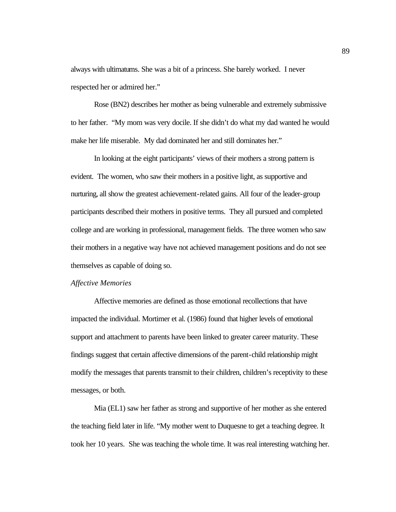always with ultimatums. She was a bit of a princess. She barely worked. I never respected her or admired her."

Rose (BN2) describes her mother as being vulnerable and extremely submissive to her father. "My mom was very docile. If she didn't do what my dad wanted he would make her life miserable. My dad dominated her and still dominates her."

In looking at the eight participants' views of their mothers a strong pattern is evident. The women, who saw their mothers in a positive light, as supportive and nurturing, all show the greatest achievement-related gains. All four of the leader-group participants described their mothers in positive terms. They all pursued and completed college and are working in professional, management fields. The three women who saw their mothers in a negative way have not achieved management positions and do not see themselves as capable of doing so.

### *Affective Memories*

Affective memories are defined as those emotional recollections that have impacted the individual. Mortimer et al. (1986) found that higher levels of emotional support and attachment to parents have been linked to greater career maturity. These findings suggest that certain affective dimensions of the parent-child relationship might modify the messages that parents transmit to their children, children's receptivity to these messages, or both.

Mia (EL1) saw her father as strong and supportive of her mother as she entered the teaching field later in life. "My mother went to Duquesne to get a teaching degree. It took her 10 years. She was teaching the whole time. It was real interesting watching her.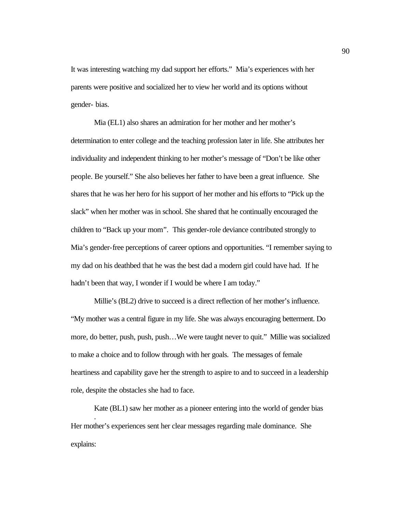It was interesting watching my dad support her efforts." Mia's experiences with her parents were positive and socialized her to view her world and its options without gender- bias.

Mia (EL1) also shares an admiration for her mother and her mother's determination to enter college and the teaching profession later in life. She attributes her individuality and independent thinking to her mother's message of "Don't be like other people. Be yourself." She also believes her father to have been a great influence. She shares that he was her hero for his support of her mother and his efforts to "Pick up the slack" when her mother was in school. She shared that he continually encouraged the children to "Back up your mom*".* This gender-role deviance contributed strongly to Mia's gender-free perceptions of career options and opportunities. "I remember saying to my dad on his deathbed that he was the best dad a modern girl could have had. If he hadn't been that way, I wonder if I would be where I am today."

Millie's (BL2) drive to succeed is a direct reflection of her mother's influence. "My mother was a central figure in my life. She was always encouraging betterment. Do more, do better, push, push, push…We were taught never to quit." Millie was socialized to make a choice and to follow through with her goals. The messages of female heartiness and capability gave her the strength to aspire to and to succeed in a leadership role, despite the obstacles she had to face.

Kate (BL1) saw her mother as a pioneer entering into the world of gender bias . Her mother's experiences sent her clear messages regarding male dominance. She explains: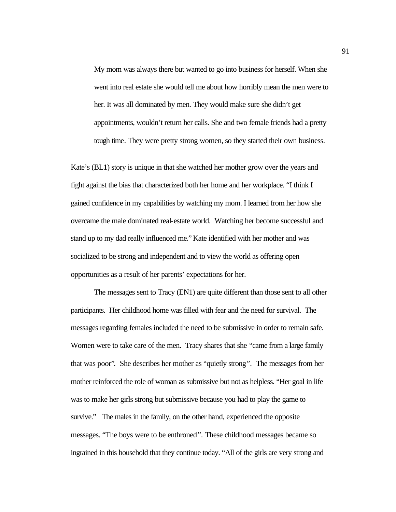My mom was always there but wanted to go into business for herself. When she went into real estate she would tell me about how horribly mean the men were to her. It was all dominated by men. They would make sure she didn't get appointments, wouldn't return her calls. She and two female friends had a pretty tough time. They were pretty strong women, so they started their own business.

Kate's (BL1) story is unique in that she watched her mother grow over the years and fight against the bias that characterized both her home and her workplace. "I think I gained confidence in my capabilities by watching my mom. I learned from her how she overcame the male dominated real-estate world. Watching her become successful and stand up to my dad really influenced me." Kate identified with her mother and was socialized to be strong and independent and to view the world as offering open opportunities as a result of her parents' expectations for her.

The messages sent to Tracy (EN1) are quite different than those sent to all other participants. Her childhood home was filled with fear and the need for survival. The messages regarding females included the need to be submissive in order to remain safe. Women were to take care of the men. Tracy shares that she "came from a large family that was poor"*.* She describes her mother as "quietly strong*".* The messages from her mother reinforced the role of woman as submissive but not as helpless. "Her goal in life was to make her girls strong but submissive because you had to play the game to survive." The males in the family, on the other hand, experienced the opposite messages. "The boys were to be enthroned*".* These childhood messages became so ingrained in this household that they continue today. "All of the girls are very strong and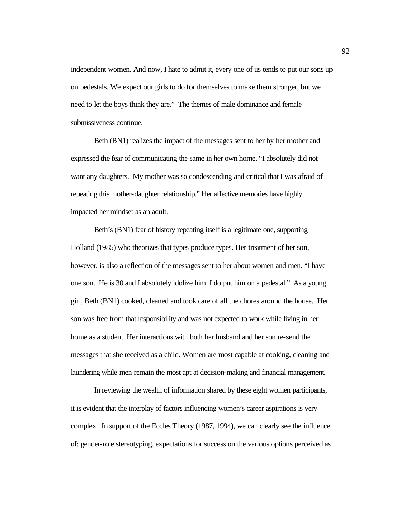independent women. And now, I hate to admit it, every one of us tends to put our sons up on pedestals. We expect our girls to do for themselves to make them stronger, but we need to let the boys think they are."The themes of male dominance and female submissiveness continue.

Beth (BN1) realizes the impact of the messages sent to her by her mother and expressed the fear of communicating the same in her own home. "I absolutely did not want any daughters. My mother was so condescending and critical that I was afraid of repeating this mother-daughter relationship." Her affective memories have highly impacted her mindset as an adult.

Beth's (BN1) fear of history repeating itself is a legitimate one, supporting Holland (1985) who theorizes that types produce types. Her treatment of her son, however, is also a reflection of the messages sent to her about women and men. "I have one son. He is 30 and I absolutely idolize him. I do put him on a pedestal." As a young girl, Beth (BN1) cooked, cleaned and took care of all the chores around the house. Her son was free from that responsibility and was not expected to work while living in her home as a student. Her interactions with both her husband and her son re-send the messages that she received as a child. Women are most capable at cooking, cleaning and laundering while men remain the most apt at decision-making and financial management.

In reviewing the wealth of information shared by these eight women participants, it is evident that the interplay of factors influencing women's career aspirations is very complex. In support of the Eccles Theory (1987, 1994), we can clearly see the influence of: gender-role stereotyping, expectations for success on the various options perceived as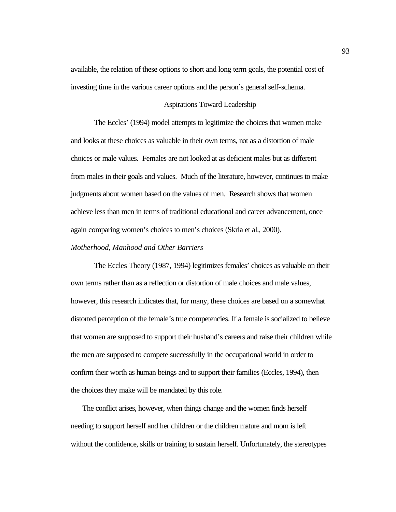available, the relation of these options to short and long term goals, the potential cost of investing time in the various career options and the person's general self-schema.

### Aspirations Toward Leadership

The Eccles' (1994) model attempts to legitimize the choices that women make and looks at these choices as valuable in their own terms, not as a distortion of male choices or male values. Females are not looked at as deficient males but as different from males in their goals and values. Much of the literature, however, continues to make judgments about women based on the values of men. Research shows that women achieve less than men in terms of traditional educational and career advancement, once again comparing women's choices to men's choices (Skrla et al., 2000).

### *Motherhood, Manhood and Other Barriers*

The Eccles Theory (1987, 1994) legitimizes females' choices as valuable on their own terms rather than as a reflection or distortion of male choices and male values, however, this research indicates that, for many, these choices are based on a somewhat distorted perception of the female's true competencies. If a female is socialized to believe that women are supposed to support their husband's careers and raise their children while the men are supposed to compete successfully in the occupational world in order to confirm their worth as human beings and to support their families (Eccles, 1994), then the choices they make will be mandated by this role.

The conflict arises, however, when things change and the women finds herself needing to support herself and her children or the children mature and mom is left without the confidence, skills or training to sustain herself. Unfortunately, the stereotypes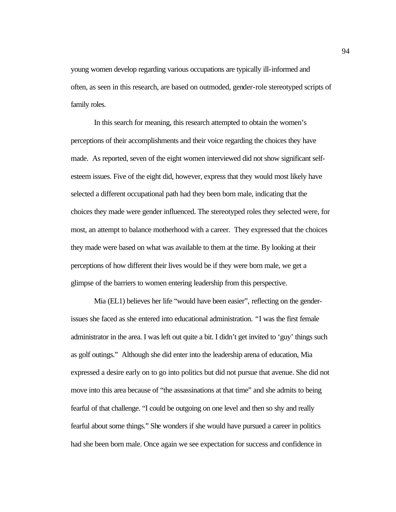young women develop regarding various occupations are typically ill-informed and often, as seen in this research, are based on outmoded, gender-role stereotyped scripts of family roles.

In this search for meaning, this research attempted to obtain the women's perceptions of their accomplishments and their voice regarding the choices they have made. As reported, seven of the eight women interviewed did not show significant selfesteem issues. Five of the eight did, however, express that they would most likely have selected a different occupational path had they been born male, indicating that the choices they made were gender influenced. The stereotyped roles they selected were, for most, an attempt to balance motherhood with a career. They expressed that the choices they made were based on what was available to them at the time. By looking at their perceptions of how different their lives would be if they were born male, we get a glimpse of the barriers to women entering leadership from this perspective.

Mia (EL1) believes her life "would have been easier", reflecting on the genderissues she faced as she entered into educational administration. *"*I was the first female administrator in the area. I was left out quite a bit. I didn't get invited to 'guy' things such as golf outings." Although she did enter into the leadership arena of education, Mia expressed a desire early on to go into politics but did not pursue that avenue. She did not move into this area because of "the assassinations at that time" and she admits to being fearful of that challenge. "I could be outgoing on one level and then so shy and really fearful about some things." She wonders if she would have pursued a career in politics had she been born male. Once again we see expectation for success and confidence in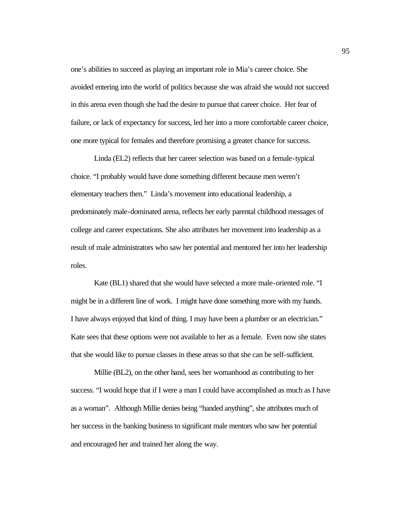one's abilities to succeed as playing an important role in Mia's career choice. She avoided entering into the world of politics because she was afraid she would not succeed in this arena even though she had the desire to pursue that career choice. Her fear of failure, or lack of expectancy for success, led her into a more comfortable career choice, one more typical for females and therefore promising a greater chance for success.

Linda (EL2) reflects that her career selection was based on a female-typical choice. "I probably would have done something different because men weren't elementary teachers then." Linda's movement into educational leadership, a predominately male-dominated arena, reflects her early parental childhood messages of college and career expectations. She also attributes her movement into leadership as a result of male administrators who saw her potential and mentored her into her leadership roles.

Kate (BL1) shared that she would have selected a more male-oriented role. "I might be in a different line of work. I might have done something more with my hands. I have always enjoyed that kind of thing. I may have been a plumber or an electrician." Kate sees that these options were not available to her as a female. Even now she states that she would like to pursue classes in these areas so that she can be self-sufficient.

Millie (BL2), on the other hand, sees her womanhood as contributing to her success. "I would hope that if I were a man I could have accomplished as much as I have as a woman".Although Millie denies being "handed anything", she attributes much of her success in the banking business to significant male mentors who saw her potential and encouraged her and trained her along the way.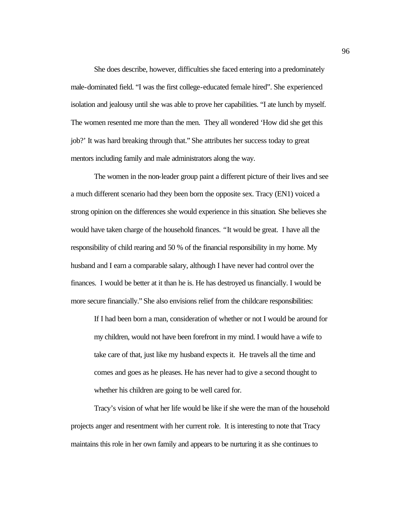She does describe, however, difficulties she faced entering into a predominately male-dominated field. "I was the first college-educated female hired". She experienced isolation and jealousy until she was able to prove her capabilities. "I ate lunch by myself. The women resented me more than the men. They all wondered 'How did she get this job?' It was hard breaking through that." She attributes her success today to great mentors including family and male administrators along the way.

The women in the non-leader group paint a different picture of their lives and see a much different scenario had they been born the opposite sex. Tracy (EN1) voiced a strong opinion on the differences she would experience in this situation*.* She believes she would have taken charge of the household finances. *"*It would be great. I have all the responsibility of child rearing and 50 % of the financial responsibility in my home. My husband and I earn a comparable salary, although I have never had control over the finances. I would be better at it than he is. He has destroyed us financially. I would be more secure financially." She also envisions relief from the childcare responsibilities:

If I had been born a man, consideration of whether or not I would be around for my children, would not have been forefront in my mind. I would have a wife to take care of that, just like my husband expects it. He travels all the time and comes and goes as he pleases. He has never had to give a second thought to whether his children are going to be well cared for.

Tracy's vision of what her life would be like if she were the man of the household projects anger and resentment with her current role. It is interesting to note that Tracy maintains this role in her own family and appears to be nurturing it as she continues to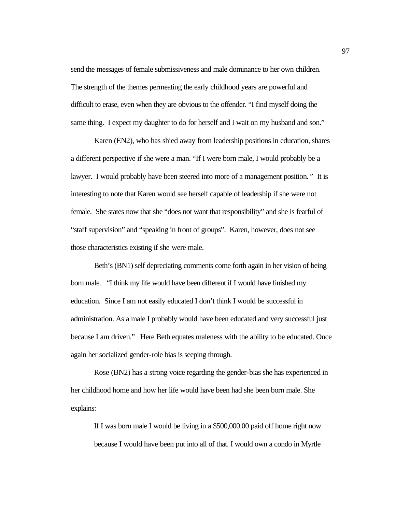send the messages of female submissiveness and male dominance to her own children. The strength of the themes permeating the early childhood years are powerful and difficult to erase, even when they are obvious to the offender. "I find myself doing the same thing. I expect my daughter to do for herself and I wait on my husband and son."

Karen (EN2), who has shied away from leadership positions in education, shares a different perspective if she were a man. "If I were born male, I would probably be a lawyer. I would probably have been steered into more of a management position.*"* It is interesting to note that Karen would see herself capable of leadership if she were not female. She states now that she "does not want that responsibility" and she is fearful of "staff supervision" and "speaking in front of groups". Karen, however, does not see those characteristics existing if she were male.

Beth's (BN1) self depreciating comments come forth again in her vision of being born male. "I think my life would have been different if I would have finished my education. Since I am not easily educated I don't think I would be successful in administration. As a male I probably would have been educated and very successful just because I am driven."Here Beth equates maleness with the ability to be educated. Once again her socialized gender-role bias is seeping through.

Rose (BN2) has a strong voice regarding the gender-bias she has experienced in her childhood home and how her life would have been had she been born male. She explains:

If I was born male I would be living in a \$500,000.00 paid off home right now because I would have been put into all of that. I would own a condo in Myrtle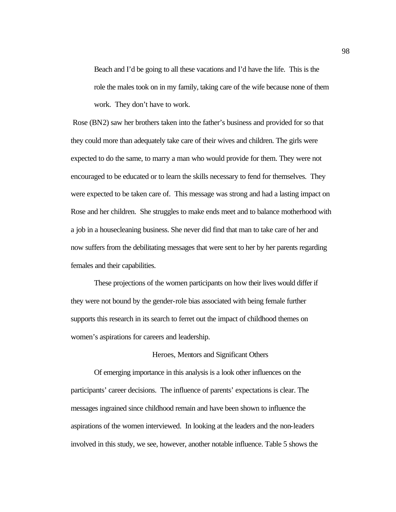Beach and I'd be going to all these vacations and I'd have the life. This is the role the males took on in my family, taking care of the wife because none of them work. They don't have to work.

Rose (BN2) saw her brothers taken into the father's business and provided for so that they could more than adequately take care of their wives and children. The girls were expected to do the same, to marry a man who would provide for them. They were not encouraged to be educated or to learn the skills necessary to fend for themselves. They were expected to be taken care of. This message was strong and had a lasting impact on Rose and her children. She struggles to make ends meet and to balance motherhood with a job in a housecleaning business. She never did find that man to take care of her and now suffers from the debilitating messages that were sent to her by her parents regarding females and their capabilities.

These projections of the women participants on how their lives would differ if they were not bound by the gender-role bias associated with being female further supports this research in its search to ferret out the impact of childhood themes on women's aspirations for careers and leadership.

# Heroes, Mentors and Significant Others

Of emerging importance in this analysis is a look other influences on the participants' career decisions. The influence of parents' expectations is clear. The messages ingrained since childhood remain and have been shown to influence the aspirations of the women interviewed. In looking at the leaders and the non-leaders involved in this study, we see, however, another notable influence. Table 5 shows the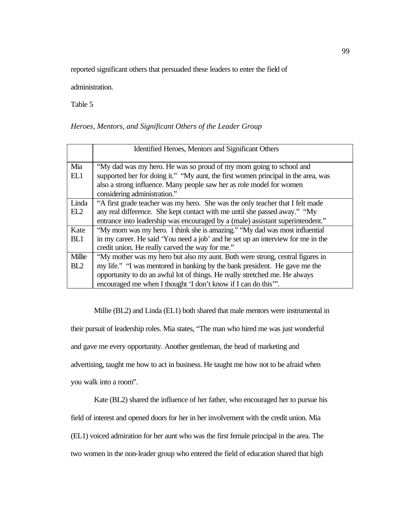reported significant others that persuaded these leaders to enter the field of

administration.

Table 5

# *Heroes, Mentors, and Significant Others of the Leader Group*

|        | Identified Heroes, Mentors and Significant Others                                 |
|--------|-----------------------------------------------------------------------------------|
| Mia    | "My dad was my hero. He was so proud of my mom going to school and                |
|        |                                                                                   |
| EL1    | supported her for doing it." "My aunt, the first women principal in the area, was |
|        | also a strong influence. Many people saw her as role model for women              |
|        | considering administration."                                                      |
| Linda  | "A first grade teacher was my hero. She was the only teacher that I felt made     |
| EL2    | any real difference. She kept contact with me until she passed away." "My         |
|        | entrance into leadership was encouraged by a (male) assistant superintendent."    |
| Kate   | "My mom was my hero. I think she is amazing." "My dad was most influential        |
| BL1    | in my career. He said 'You need a job' and he set up an interview for me in the   |
|        | credit union. He really carved the way for me."                                   |
| Millie | "My mother was my hero but also my aunt. Both were strong, central figures in     |
| BL2    | my life." "I was mentored in banking by the bank president. He gave me the        |
|        | opportunity to do an awful lot of things. He really stretched me. He always       |
|        | encouraged me when I thought 'I don't know if I can do this".                     |
|        |                                                                                   |

Millie (BL2) and Linda (EL1) both shared that male mentors were instrumental in their pursuit of leadership roles. Mia states, "The man who hired me was just wonderful and gave me every opportunity. Another gentleman, the head of marketing and advertising, taught me how to act in business. He taught me how not to be afraid when you walk into a room".

Kate (BL2) shared the influence of her father, who encouraged her to pursue his field of interest and opened doors for her in her involvement with the credit union. Mia (EL1) voiced admiration for her aunt who was the first female principal in the area. The two women in the non-leader group who entered the field of education shared that high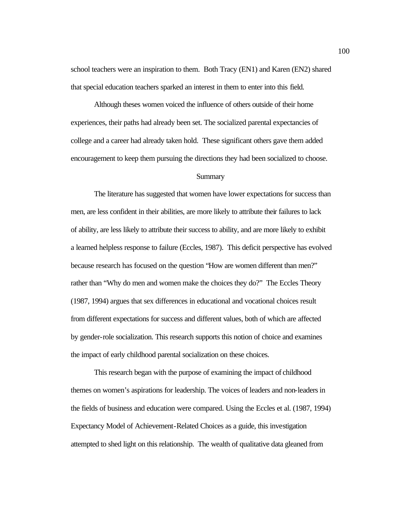school teachers were an inspiration to them. Both Tracy (EN1) and Karen (EN2) shared that special education teachers sparked an interest in them to enter into this field.

Although theses women voiced the influence of others outside of their home experiences, their paths had already been set. The socialized parental expectancies of college and a career had already taken hold. These significant others gave them added encouragement to keep them pursuing the directions they had been socialized to choose.

# **Summary**

The literature has suggested that women have lower expectations for success than men, are less confident in their abilities, are more likely to attribute their failures to lack of ability, are less likely to attribute their success to ability, and are more likely to exhibit a learned helpless response to failure (Eccles, 1987). This deficit perspective has evolved because research has focused on the question "How are women different than men?" rather than "Why do men and women make the choices they do?" The Eccles Theory (1987, 1994) argues that sex differences in educational and vocational choices result from different expectations for success and different values, both of which are affected by gender-role socialization. This research supports this notion of choice and examines the impact of early childhood parental socialization on these choices.

This research began with the purpose of examining the impact of childhood themes on women's aspirations for leadership. The voices of leaders and non-leaders in the fields of business and education were compared. Using the Eccles et al. (1987, 1994) Expectancy Model of Achievement-Related Choices as a guide, this investigation attempted to shed light on this relationship. The wealth of qualitative data gleaned from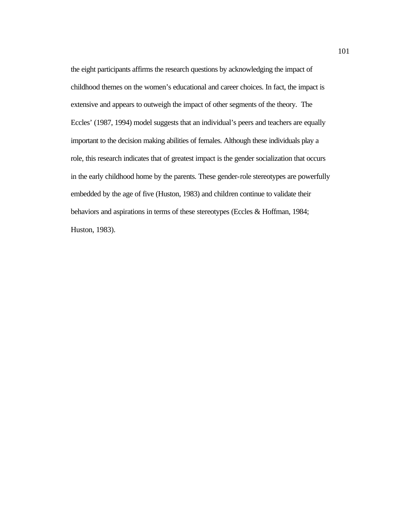the eight participants affirms the research questions by acknowledging the impact of childhood themes on the women's educational and career choices. In fact, the impact is extensive and appears to outweigh the impact of other segments of the theory. The Eccles' (1987, 1994) model suggests that an individual's peers and teachers are equally important to the decision making abilities of females. Although these individuals play a role, this research indicates that of greatest impact is the gender socialization that occurs in the early childhood home by the parents. These gender-role stereotypes are powerfully embedded by the age of five (Huston, 1983) and children continue to validate their behaviors and aspirations in terms of these stereotypes (Eccles & Hoffman, 1984; Huston, 1983).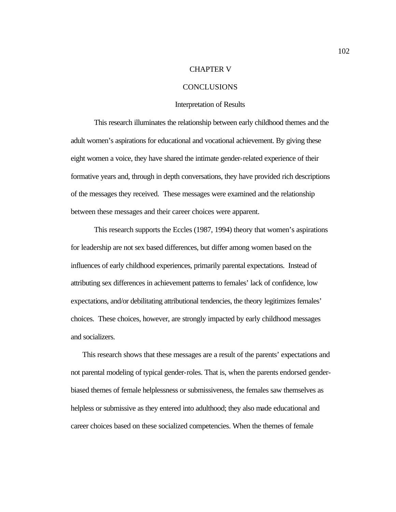# CHAPTER V

#### CONCLUSIONS

#### Interpretation of Results

This research illuminates the relationship between early childhood themes and the adult women's aspirations for educational and vocational achievement. By giving these eight women a voice, they have shared the intimate gender-related experience of their formative years and, through in depth conversations, they have provided rich descriptions of the messages they received. These messages were examined and the relationship between these messages and their career choices were apparent.

This research supports the Eccles (1987, 1994) theory that women's aspirations for leadership are not sex based differences, but differ among women based on the influences of early childhood experiences, primarily parental expectations. Instead of attributing sex differences in achievement patterns to females' lack of confidence, low expectations, and/or debilitating attributional tendencies, the theory legitimizes females' choices. These choices, however, are strongly impacted by early childhood messages and socializers.

This research shows that these messages are a result of the parents' expectations and not parental modeling of typical gender-roles. That is, when the parents endorsed genderbiased themes of female helplessness or submissiveness, the females saw themselves as helpless or submissive as they entered into adulthood; they also made educational and career choices based on these socialized competencies. When the themes of female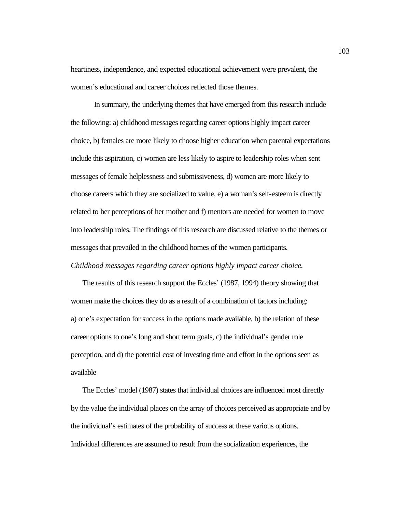heartiness, independence, and expected educational achievement were prevalent, the women's educational and career choices reflected those themes.

In summary, the underlying themes that have emerged from this research include the following: a) childhood messages regarding career options highly impact career choice, b) females are more likely to choose higher education when parental expectations include this aspiration, c) women are less likely to aspire to leadership roles when sent messages of female helplessness and submissiveness, d) women are more likely to choose careers which they are socialized to value, e) a woman's self-esteem is directly related to her perceptions of her mother and f) mentors are needed for women to move into leadership roles. The findings of this research are discussed relative to the themes or messages that prevailed in the childhood homes of the women participants.

*Childhood messages regarding career options highly impact career choice.*

The results of this research support the Eccles' (1987, 1994) theory showing that women make the choices they do as a result of a combination of factors including: a) one's expectation for success in the options made available, b) the relation of these career options to one's long and short term goals, c) the individual's gender role perception, and d) the potential cost of investing time and effort in the options seen as available

The Eccles' model (1987) states that individual choices are influenced most directly by the value the individual places on the array of choices perceived as appropriate and by the individual's estimates of the probability of success at these various options. Individual differences are assumed to result from the socialization experiences, the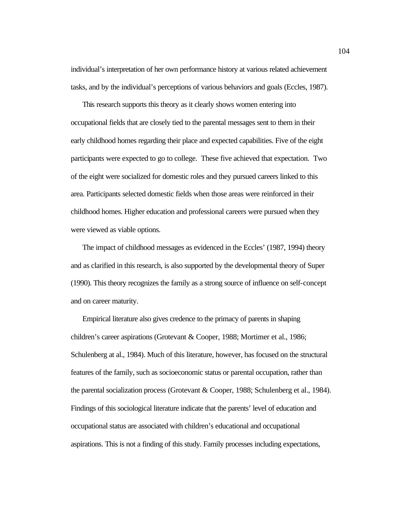individual's interpretation of her own performance history at various related achievement tasks, and by the individual's perceptions of various behaviors and goals (Eccles, 1987).

This research supports this theory as it clearly shows women entering into occupational fields that are closely tied to the parental messages sent to them in their early childhood homes regarding their place and expected capabilities. Five of the eight participants were expected to go to college. These five achieved that expectation. Two of the eight were socialized for domestic roles and they pursued careers linked to this area. Participants selected domestic fields when those areas were reinforced in their childhood homes. Higher education and professional careers were pursued when they were viewed as viable options.

The impact of childhood messages as evidenced in the Eccles' (1987, 1994) theory and as clarified in this research, is also supported by the developmental theory of Super (1990). This theory recognizes the family as a strong source of influence on self-concept and on career maturity.

Empirical literature also gives credence to the primacy of parents in shaping children's career aspirations (Grotevant & Cooper, 1988; Mortimer et al., 1986; Schulenberg at al., 1984). Much of this literature, however, has focused on the structural features of the family, such as socioeconomic status or parental occupation, rather than the parental socialization process (Grotevant & Cooper, 1988; Schulenberg et al., 1984). Findings of this sociological literature indicate that the parents' level of education and occupational status are associated with children's educational and occupational aspirations. This is not a finding of this study. Family processes including expectations,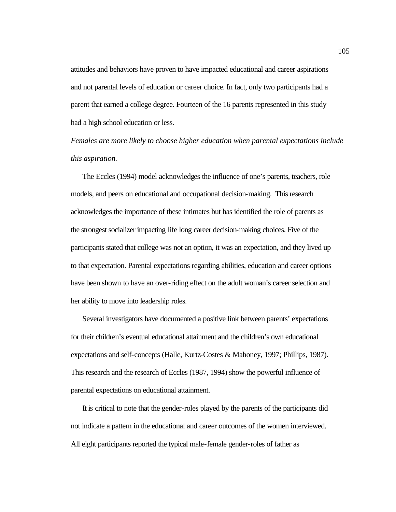attitudes and behaviors have proven to have impacted educational and career aspirations and not parental levels of education or career choice. In fact, only two participants had a parent that earned a college degree. Fourteen of the 16 parents represented in this study had a high school education or less.

*Females are more likely to choose higher education when parental expectations include this aspiration.*

The Eccles (1994) model acknowledges the influence of one's parents, teachers, role models, and peers on educational and occupational decision-making. This research acknowledges the importance of these intimates but has identified the role of parents as the strongest socializer impacting life long career decision-making choices. Five of the participants stated that college was not an option, it was an expectation, and they lived up to that expectation. Parental expectations regarding abilities, education and career options have been shown to have an over-riding effect on the adult woman's career selection and her ability to move into leadership roles.

Several investigators have documented a positive link between parents' expectations for their children's eventual educational attainment and the children's own educational expectations and self-concepts (Halle, Kurtz-Costes & Mahoney, 1997; Phillips, 1987). This research and the research of Eccles (1987, 1994) show the powerful influence of parental expectations on educational attainment.

It is critical to note that the gender-roles played by the parents of the participants did not indicate a pattern in the educational and career outcomes of the women interviewed. All eight participants reported the typical male-female gender-roles of father as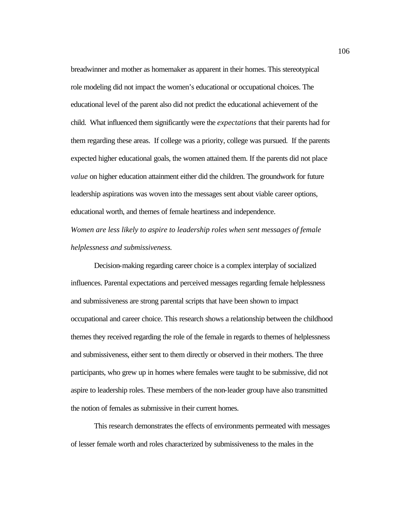breadwinner and mother as homemaker as apparent in their homes. This stereotypical role modeling did not impact the women's educational or occupational choices. The educational level of the parent also did not predict the educational achievement of the child. What influenced them significantly were the *expectations* that their parents had for them regarding these areas. If college was a priority, college was pursued. If the parents expected higher educational goals, the women attained them. If the parents did not place *value* on higher education attainment either did the children. The groundwork for future leadership aspirations was woven into the messages sent about viable career options, educational worth, and themes of female heartiness and independence.

*Women are less likely to aspire to leadership roles when sent messages of female helplessness and submissiveness.* 

Decision-making regarding career choice is a complex interplay of socialized influences. Parental expectations and perceived messages regarding female helplessness and submissiveness are strong parental scripts that have been shown to impact occupational and career choice. This research shows a relationship between the childhood themes they received regarding the role of the female in regards to themes of helplessness and submissiveness, either sent to them directly or observed in their mothers. The three participants, who grew up in homes where females were taught to be submissive, did not aspire to leadership roles. These members of the non-leader group have also transmitted the notion of females as submissive in their current homes.

This research demonstrates the effects of environments permeated with messages of lesser female worth and roles characterized by submissiveness to the males in the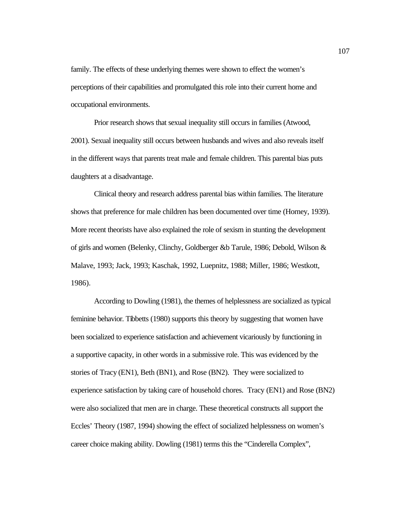family. The effects of these underlying themes were shown to effect the women's perceptions of their capabilities and promulgated this role into their current home and occupational environments.

Prior research shows that sexual inequality still occurs in families (Atwood, 2001). Sexual inequality still occurs between husbands and wives and also reveals itself in the different ways that parents treat male and female children. This parental bias puts daughters at a disadvantage.

Clinical theory and research address parental bias within families. The literature shows that preference for male children has been documented over time (Horney, 1939). More recent theorists have also explained the role of sexism in stunting the development of girls and women (Belenky, Clinchy, Goldberger &b Tarule, 1986; Debold, Wilson & Malave, 1993; Jack, 1993; Kaschak, 1992, Luepnitz, 1988; Miller, 1986; Westkott, 1986).

According to Dowling (1981), the themes of helplessness are socialized as typical feminine behavior. Tibbetts (1980) supports this theory by suggesting that women have been socialized to experience satisfaction and achievement vicariously by functioning in a supportive capacity, in other words in a submissive role. This was evidenced by the stories of Tracy (EN1), Beth (BN1), and Rose (BN2). They were socialized to experience satisfaction by taking care of household chores. Tracy (EN1) and Rose (BN2) were also socialized that men are in charge. These theoretical constructs all support the Eccles' Theory (1987, 1994) showing the effect of socialized helplessness on women's career choice making ability. Dowling (1981) terms this the "Cinderella Complex",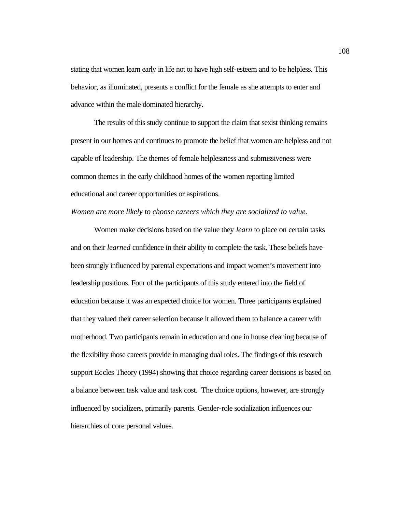stating that women learn early in life not to have high self-esteem and to be helpless. This behavior, as illuminated, presents a conflict for the female as she attempts to enter and advance within the male dominated hierarchy.

The results of this study continue to support the claim that sexist thinking remains present in our homes and continues to promote the belief that women are helpless and not capable of leadership. The themes of female helplessness and submissiveness were common themes in the early childhood homes of the women reporting limited educational and career opportunities or aspirations.

# *Women are more likely to choose careers which they are socialized to value.*

Women make decisions based on the value they *learn* to place on certain tasks and on their *learned* confidence in their ability to complete the task. These beliefs have been strongly influenced by parental expectations and impact women's movement into leadership positions. Four of the participants of this study entered into the field of education because it was an expected choice for women. Three participants explained that they valued their career selection because it allowed them to balance a career with motherhood. Two participants remain in education and one in house cleaning because of the flexibility those careers provide in managing dual roles. The findings of this research support Eccles Theory (1994) showing that choice regarding career decisions is based on a balance between task value and task cost. The choice options, however, are strongly influenced by socializers, primarily parents. Gender-role socialization influences our hierarchies of core personal values.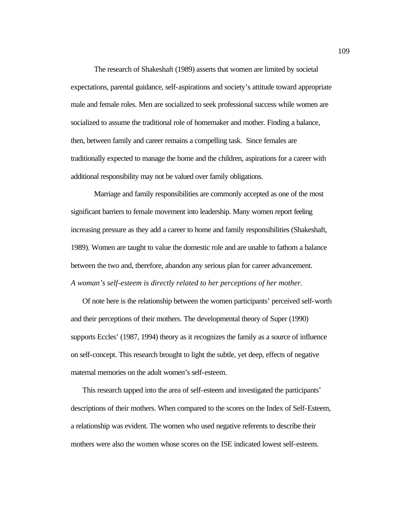The research of Shakeshaft (1989) asserts that women are limited by societal expectations, parental guidance, self-aspirations and society's attitude toward appropriate male and female roles. Men are socialized to seek professional success while women are socialized to assume the traditional role of homemaker and mother. Finding a balance, then, between family and career remains a compelling task. Since females are traditionally expected to manage the home and the children, aspirations for a career with additional responsibility may not be valued over family obligations.

Marriage and family responsibilities are commonly accepted as one of the most significant barriers to female movement into leadership. Many women report feeling increasing pressure as they add a career to home and family responsibilities (Shakeshaft, 1989). Women are taught to value the domestic role and are unable to fathom a balance between the two and, therefore, abandon any serious plan for career advancement. *A woman's self-esteem is directly related to her perceptions of her mother.*

Of note here is the relationship between the women participants' perceived self-worth and their perceptions of their mothers. The developmental theory of Super (1990) supports Eccles' (1987, 1994) theory as it recognizes the family as a source of influence on self-concept. This research brought to light the subtle, yet deep, effects of negative maternal memories on the adult women's self-esteem.

This research tapped into the area of self-esteem and investigated the participants' descriptions of their mothers. When compared to the scores on the Index of Self-Esteem, a relationship was evident. The women who used negative referents to describe their mothers were also the women whose scores on the ISE indicated lowest self-esteem.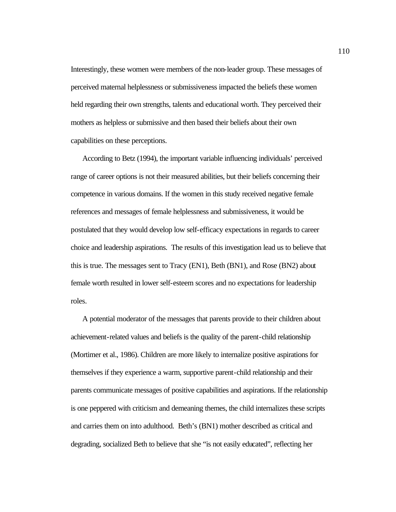Interestingly, these women were members of the non-leader group. These messages of perceived maternal helplessness or submissiveness impacted the beliefs these women held regarding their own strengths, talents and educational worth. They perceived their mothers as helpless or submissive and then based their beliefs about their own capabilities on these perceptions.

According to Betz (1994), the important variable influencing individuals' perceived range of career options is not their measured abilities, but their beliefs concerning their competence in various domains. If the women in this study received negative female references and messages of female helplessness and submissiveness, it would be postulated that they would develop low self-efficacy expectations in regards to career choice and leadership aspirations. The results of this investigation lead us to believe that this is true. The messages sent to Tracy (EN1), Beth (BN1), and Rose (BN2) about female worth resulted in lower self-esteem scores and no expectations for leadership roles.

A potential moderator of the messages that parents provide to their children about achievement-related values and beliefs is the quality of the parent-child relationship (Mortimer et al., 1986). Children are more likely to internalize positive aspirations for themselves if they experience a warm, supportive parent-child relationship and their parents communicate messages of positive capabilities and aspirations. If the relationship is one peppered with criticism and demeaning themes, the child internalizes these scripts and carries them on into adulthood. Beth's (BN1) mother described as critical and degrading, socialized Beth to believe that she "is not easily educated", reflecting her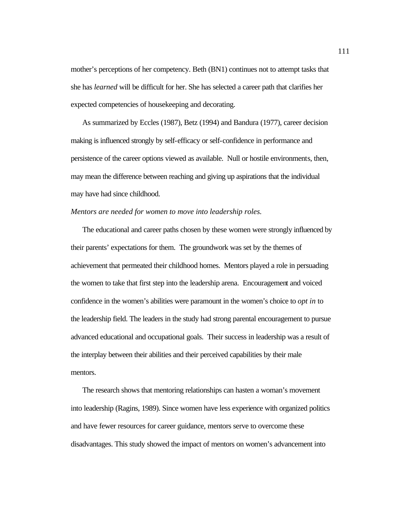mother's perceptions of her competency. Beth (BN1) continues not to attempt tasks that she has *learned* will be difficult for her. She has selected a career path that clarifies her expected competencies of housekeeping and decorating.

 As summarized by Eccles (1987), Betz (1994) and Bandura (1977), career decision making is influenced strongly by self-efficacy or self-confidence in performance and persistence of the career options viewed as available. Null or hostile environments, then, may mean the difference between reaching and giving up aspirations that the individual may have had since childhood.

# *Mentors are needed for women to move into leadership roles.*

The educational and career paths chosen by these women were strongly influenced by their parents' expectations for them. The groundwork was set by the themes of achievement that permeated their childhood homes. Mentors played a role in persuading the women to take that first step into the leadership arena. Encouragement and voiced confidence in the women's abilities were paramount in the women's choice to *opt in* to the leadership field. The leaders in the study had strong parental encouragement to pursue advanced educational and occupational goals. Their success in leadership was a result of the interplay between their abilities and their perceived capabilities by their male mentors.

The research shows that mentoring relationships can hasten a woman's movement into leadership (Ragins, 1989). Since women have less experience with organized politics and have fewer resources for career guidance, mentors serve to overcome these disadvantages. This study showed the impact of mentors on women's advancement into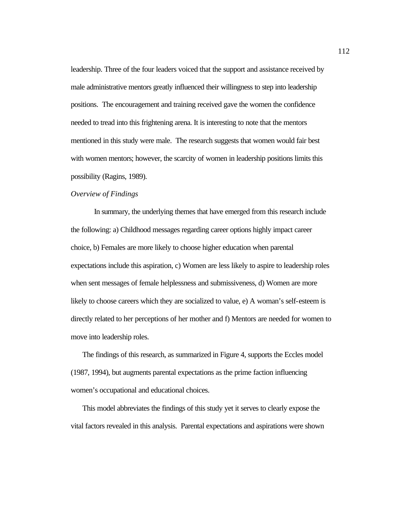leadership. Three of the four leaders voiced that the support and assistance received by male administrative mentors greatly influenced their willingness to step into leadership positions. The encouragement and training received gave the women the confidence needed to tread into this frightening arena. It is interesting to note that the mentors mentioned in this study were male. The research suggests that women would fair best with women mentors; however, the scarcity of women in leadership positions limits this possibility (Ragins, 1989).

# *Overview of Findings*

In summary, the underlying themes that have emerged from this research include the following: a) Childhood messages regarding career options highly impact career choice, b) Females are more likely to choose higher education when parental expectations include this aspiration, c) Women are less likely to aspire to leadership roles when sent messages of female helplessness and submissiveness, d) Women are more likely to choose careers which they are socialized to value, e) A woman's self-esteem is directly related to her perceptions of her mother and f) Mentors are needed for women to move into leadership roles.

The findings of this research, as summarized in Figure 4, supports the Eccles model (1987, 1994), but augments parental expectations as the prime faction influencing women's occupational and educational choices.

This model abbreviates the findings of this study yet it serves to clearly expose the vital factors revealed in this analysis. Parental expectations and aspirations were shown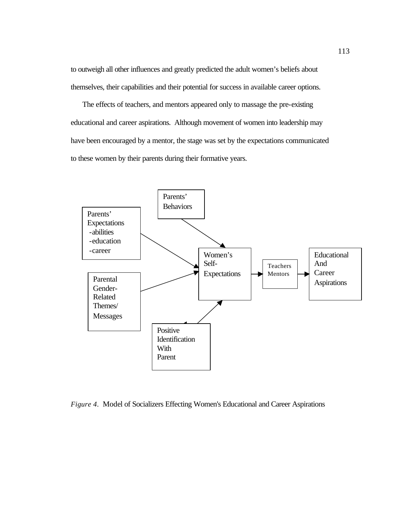to outweigh all other influences and greatly predicted the adult women's beliefs about themselves, their capabilities and their potential for success in available career options.

The effects of teachers, and mentors appeared only to massage the pre-existing educational and career aspirations. Although movement of women into leadership may have been encouraged by a mentor, the stage was set by the expectations communicated to these women by their parents during their formative years.



*Figure 4*. Model of Socializers Effecting Women's Educational and Career Aspirations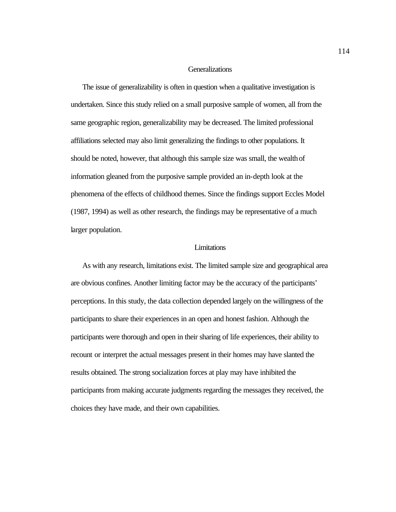# **Generalizations**

The issue of generalizability is often in question when a qualitative investigation is undertaken. Since this study relied on a small purposive sample of women, all from the same geographic region, generalizability may be decreased. The limited professional affiliations selected may also limit generalizing the findings to other populations. It should be noted, however, that although this sample size was small, the wealth of information gleaned from the purposive sample provided an in-depth look at the phenomena of the effects of childhood themes. Since the findings support Eccles Model (1987, 1994) as well as other research, the findings may be representative of a much larger population.

## Limitations

As with any research, limitations exist. The limited sample size and geographical area are obvious confines. Another limiting factor may be the accuracy of the participants' perceptions. In this study, the data collection depended largely on the willingness of the participants to share their experiences in an open and honest fashion. Although the participants were thorough and open in their sharing of life experiences, their ability to recount or interpret the actual messages present in their homes may have slanted the results obtained. The strong socialization forces at play may have inhibited the participants from making accurate judgments regarding the messages they received, the choices they have made, and their own capabilities.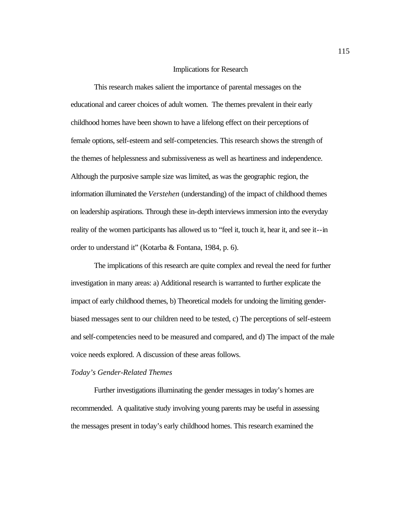# Implications for Research

This research makes salient the importance of parental messages on the educational and career choices of adult women. The themes prevalent in their early childhood homes have been shown to have a lifelong effect on their perceptions of female options, self-esteem and self-competencies. This research shows the strength of the themes of helplessness and submissiveness as well as heartiness and independence. Although the purposive sample size was limited, as was the geographic region, the information illuminated the *Verstehen* (understanding) of the impact of childhood themes on leadership aspirations. Through these in-depth interviews immersion into the everyday reality of the women participants has allowed us to "feel it, touch it, hear it, and see it--in order to understand it" (Kotarba & Fontana, 1984, p. 6).

The implications of this research are quite complex and reveal the need for further investigation in many areas: a) Additional research is warranted to further explicate the impact of early childhood themes, b) Theoretical models for undoing the limiting genderbiased messages sent to our children need to be tested, c) The perceptions of self-esteem and self-competencies need to be measured and compared, and d) The impact of the male voice needs explored. A discussion of these areas follows.

#### *Today's Gender-Related Themes*

Further investigations illuminating the gender messages in today's homes are recommended. A qualitative study involving young parents may be useful in assessing the messages present in today's early childhood homes. This research examined the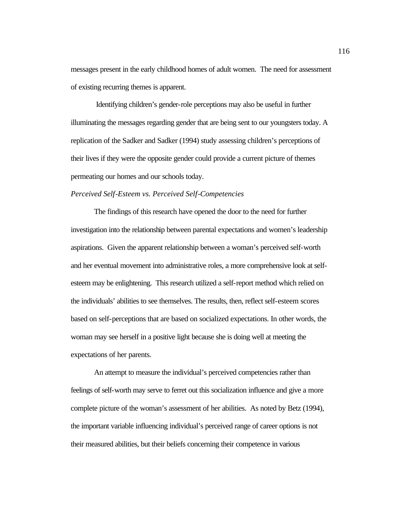messages present in the early childhood homes of adult women. The need for assessment of existing recurring themes is apparent.

 Identifying children's gender-role perceptions may also be useful in further illuminating the messages regarding gender that are being sent to our youngsters today. A replication of the Sadker and Sadker (1994) study assessing children's perceptions of their lives if they were the opposite gender could provide a current picture of themes permeating our homes and our schools today.

# *Perceived Self-Esteem vs. Perceived Self-Competencies*

The findings of this research have opened the door to the need for further investigation into the relationship between parental expectations and women's leadership aspirations. Given the apparent relationship between a woman's perceived self-worth and her eventual movement into administrative roles, a more comprehensive look at selfesteem may be enlightening. This research utilized a self-report method which relied on the individuals' abilities to see themselves. The results, then, reflect self-esteem scores based on self-perceptions that are based on socialized expectations. In other words, the woman may see herself in a positive light because she is doing well at meeting the expectations of her parents.

An attempt to measure the individual's perceived competencies rather than feelings of self-worth may serve to ferret out this socialization influence and give a more complete picture of the woman's assessment of her abilities. As noted by Betz (1994), the important variable influencing individual's perceived range of career options is not their measured abilities, but their beliefs concerning their competence in various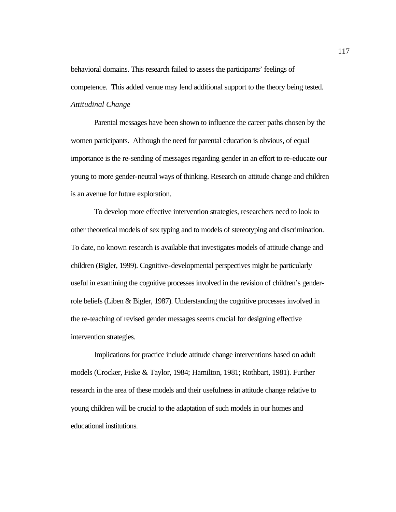behavioral domains. This research failed to assess the participants' feelings of competence. This added venue may lend additional support to the theory being tested. *Attitudinal Change*

Parental messages have been shown to influence the career paths chosen by the women participants. Although the need for parental education is obvious, of equal importance is the re-sending of messages regarding gender in an effort to re-educate our young to more gender-neutral ways of thinking. Research on attitude change and children is an avenue for future exploration.

To develop more effective intervention strategies, researchers need to look to other theoretical models of sex typing and to models of stereotyping and discrimination. To date, no known research is available that investigates models of attitude change and children (Bigler, 1999). Cognitive-developmental perspectives might be particularly useful in examining the cognitive processes involved in the revision of children's genderrole beliefs (Liben & Bigler, 1987). Understanding the cognitive processes involved in the re-teaching of revised gender messages seems crucial for designing effective intervention strategies.

Implications for practice include attitude change interventions based on adult models (Crocker, Fiske & Taylor, 1984; Hamilton, 1981; Rothbart, 1981). Further research in the area of these models and their usefulness in attitude change relative to young children will be crucial to the adaptation of such models in our homes and educational institutions.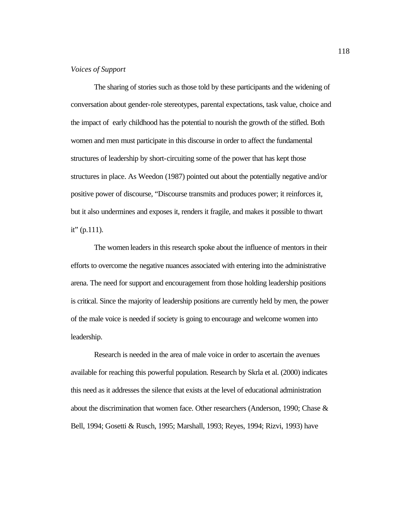# *Voices of Support*

The sharing of stories such as those told by these participants and the widening of conversation about gender-role stereotypes, parental expectations, task value, choice and the impact of early childhood has the potential to nourish the growth of the stifled. Both women and men must participate in this discourse in order to affect the fundamental structures of leadership by short-circuiting some of the power that has kept those structures in place. As Weedon (1987) pointed out about the potentially negative and/or positive power of discourse, "Discourse transmits and produces power; it reinforces it, but it also undermines and exposes it, renders it fragile, and makes it possible to thwart it"  $(p.111)$ .

The women leaders in this research spoke about the influence of mentors in their efforts to overcome the negative nuances associated with entering into the administrative arena. The need for support and encouragement from those holding leadership positions is critical. Since the majority of leadership positions are currently held by men, the power of the male voice is needed if society is going to encourage and welcome women into leadership.

Research is needed in the area of male voice in order to ascertain the avenues available for reaching this powerful population. Research by Skrla et al. (2000) indicates this need as it addresses the silence that exists at the level of educational administration about the discrimination that women face. Other researchers (Anderson, 1990; Chase & Bell, 1994; Gosetti & Rusch, 1995; Marshall, 1993; Reyes, 1994; Rizvi, 1993) have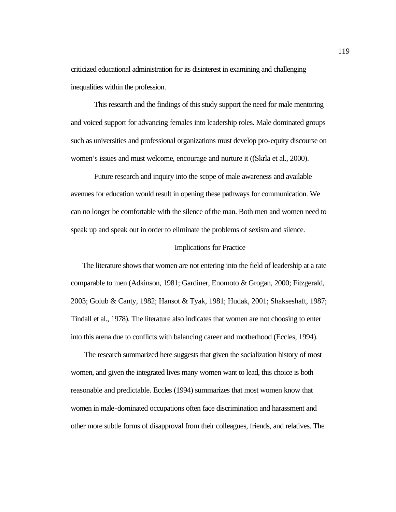criticized educational administration for its disinterest in examining and challenging inequalities within the profession.

This research and the findings of this study support the need for male mentoring and voiced support for advancing females into leadership roles. Male dominated groups such as universities and professional organizations must develop pro-equity discourse on women's issues and must welcome, encourage and nurture it ((Skrla et al., 2000).

Future research and inquiry into the scope of male awareness and available avenues for education would result in opening these pathways for communication. We can no longer be comfortable with the silence of the man. Both men and women need to speak up and speak out in order to eliminate the problems of sexism and silence.

#### Implications for Practice

The literature shows that women are not entering into the field of leadership at a rate comparable to men (Adkinson, 1981; Gardiner, Enomoto & Grogan, 2000; Fitzgerald, 2003; Golub & Canty, 1982; Hansot & Tyak, 1981; Hudak, 2001; Shakseshaft, 1987; Tindall et al., 1978). The literature also indicates that women are not choosing to enter into this arena due to conflicts with balancing career and motherhood (Eccles, 1994).

 The research summarized here suggests that given the socialization history of most women, and given the integrated lives many women want to lead, this choice is both reasonable and predictable. Eccles (1994) summarizes that most women know that women in male-dominated occupations often face discrimination and harassment and other more subtle forms of disapproval from their colleagues, friends, and relatives. The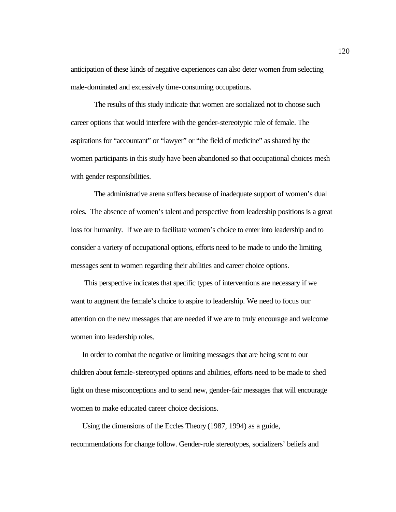anticipation of these kinds of negative experiences can also deter women from selecting male-dominated and excessively time-consuming occupations.

The results of this study indicate that women are socialized not to choose such career options that would interfere with the gender-stereotypic role of female. The aspirations for "accountant" or "lawyer" or "the field of medicine" as shared by the women participants in this study have been abandoned so that occupational choices mesh with gender responsibilities.

The administrative arena suffers because of inadequate support of women's dual roles. The absence of women's talent and perspective from leadership positions is a great loss for humanity. If we are to facilitate women's choice to enter into leadership and to consider a variety of occupational options, efforts need to be made to undo the limiting messages sent to women regarding their abilities and career choice options.

 This perspective indicates that specific types of interventions are necessary if we want to augment the female's choice to aspire to leadership. We need to focus our attention on the new messages that are needed if we are to truly encourage and welcome women into leadership roles.

In order to combat the negative or limiting messages that are being sent to our children about female-stereotyped options and abilities, efforts need to be made to shed light on these misconceptions and to send new, gender-fair messages that will encourage women to make educated career choice decisions.

Using the dimensions of the Eccles Theory (1987, 1994) as a guide, recommendations for change follow. Gender-role stereotypes, socializers' beliefs and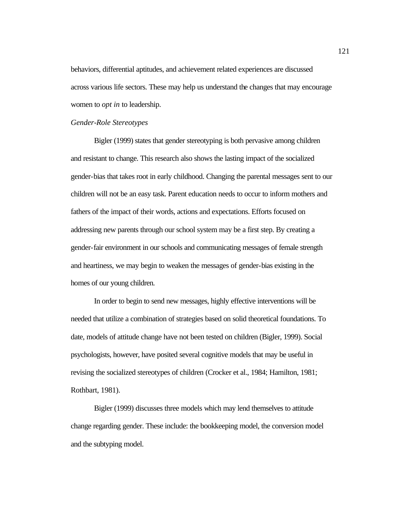behaviors, differential aptitudes, and achievement related experiences are discussed across various life sectors. These may help us understand the changes that may encourage women to *opt in* to leadership.

#### *Gender-Role Stereotypes*

Bigler (1999) states that gender stereotyping is both pervasive among children and resistant to change. This research also shows the lasting impact of the socialized gender-bias that takes root in early childhood. Changing the parental messages sent to our children will not be an easy task. Parent education needs to occur to inform mothers and fathers of the impact of their words, actions and expectations. Efforts focused on addressing new parents through our school system may be a first step. By creating a gender-fair environment in our schools and communicating messages of female strength and heartiness, we may begin to weaken the messages of gender-bias existing in the homes of our young children.

In order to begin to send new messages, highly effective interventions will be needed that utilize a combination of strategies based on solid theoretical foundations. To date, models of attitude change have not been tested on children (Bigler, 1999). Social psychologists, however, have posited several cognitive models that may be useful in revising the socialized stereotypes of children (Crocker et al., 1984; Hamilton, 1981; Rothbart, 1981).

Bigler (1999) discusses three models which may lend themselves to attitude change regarding gender. These include: the bookkeeping model, the conversion model and the subtyping model.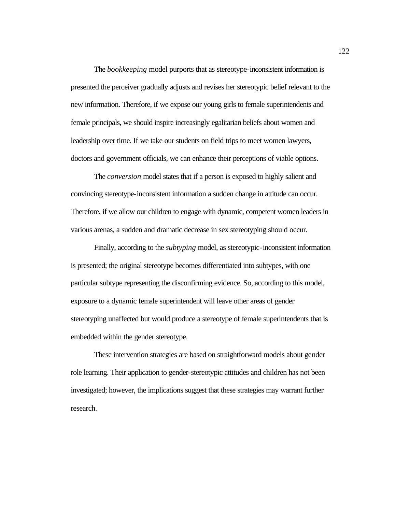The *bookkeeping* model purports that as stereotype-inconsistent information is presented the perceiver gradually adjusts and revises her stereotypic belief relevant to the new information. Therefore, if we expose our young girls to female superintendents and female principals, we should inspire increasingly egalitarian beliefs about women and leadership over time. If we take our students on field trips to meet women lawyers, doctors and government officials, we can enhance their perceptions of viable options.

The *conversion* model states that if a person is exposed to highly salient and convincing stereotype-inconsistent information a sudden change in attitude can occur. Therefore, if we allow our children to engage with dynamic, competent women leaders in various arenas, a sudden and dramatic decrease in sex stereotyping should occur.

Finally, according to the *subtyping* model, as stereotypic-inconsistent information is presented; the original stereotype becomes differentiated into subtypes, with one particular subtype representing the disconfirming evidence. So, according to this model, exposure to a dynamic female superintendent will leave other areas of gender stereotyping unaffected but would produce a stereotype of female superintendents that is embedded within the gender stereotype.

These intervention strategies are based on straightforward models about gender role learning. Their application to gender-stereotypic attitudes and children has not been investigated; however, the implications suggest that these strategies may warrant further research.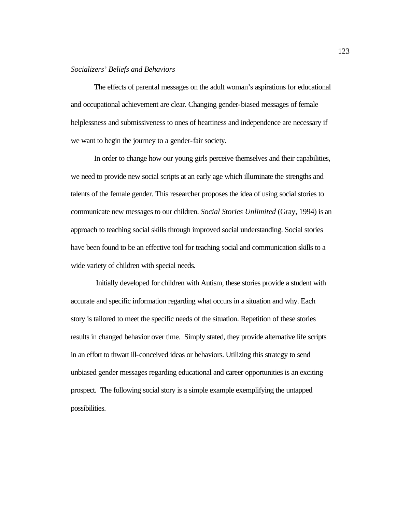# *Socializers' Beliefs and Behaviors*

The effects of parental messages on the adult woman's aspirations for educational and occupational achievement are clear. Changing gender-biased messages of female helplessness and submissiveness to ones of heartiness and independence are necessary if we want to begin the journey to a gender-fair society.

In order to change how our young girls perceive themselves and their capabilities, we need to provide new social scripts at an early age which illuminate the strengths and talents of the female gender. This researcher proposes the idea of using social stories to communicate new messages to our children. *S*o*cial Stories Unlimited* (Gray, 1994) is an approach to teaching social skills through improved social understanding. Social stories have been found to be an effective tool for teaching social and communication skills to a wide variety of children with special needs.

 Initially developed for children with Autism, these stories provide a student with accurate and specific information regarding what occurs in a situation and why. Each story is tailored to meet the specific needs of the situation. Repetition of these stories results in changed behavior over time. Simply stated, they provide alternative life scripts in an effort to thwart ill-conceived ideas or behaviors. Utilizing this strategy to send unbiased gender messages regarding educational and career opportunities is an exciting prospect. The following social story is a simple example exemplifying the untapped possibilities.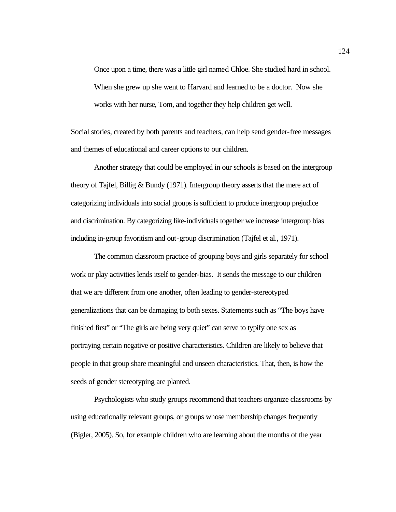Once upon a time, there was a little girl named Chloe. She studied hard in school. When she grew up she went to Harvard and learned to be a doctor. Now she works with her nurse, Tom, and together they help children get well.

Social stories, created by both parents and teachers, can help send gender-free messages and themes of educational and career options to our children.

Another strategy that could be employed in our schools is based on the intergroup theory of Tajfel, Billig & Bundy (1971). Intergroup theory asserts that the mere act of categorizing individuals into social groups is sufficient to produce intergroup prejudice and discrimination. By categorizing like-individuals together we increase intergroup bias including in-group favoritism and out-group discrimination (Tajfel et al., 1971).

The common classroom practice of grouping boys and girls separately for school work or play activities lends itself to gender-bias. It sends the message to our children that we are different from one another, often leading to gender-stereotyped generalizations that can be damaging to both sexes. Statements such as "The boys have finished first" or "The girls are being very quiet" can serve to typify one sex as portraying certain negative or positive characteristics. Children are likely to believe that people in that group share meaningful and unseen characteristics. That, then, is how the seeds of gender stereotyping are planted.

Psychologists who study groups recommend that teachers organize classrooms by using educationally relevant groups, or groups whose membership changes frequently (Bigler, 2005). So, for example children who are learning about the months of the year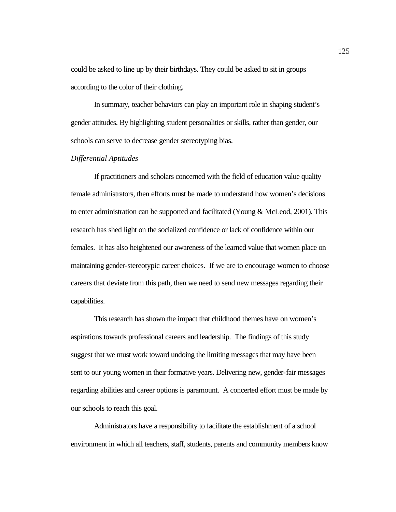could be asked to line up by their birthdays. They could be asked to sit in groups according to the color of their clothing.

In summary, teacher behaviors can play an important role in shaping student's gender attitudes. By highlighting student personalities or skills, rather than gender, our schools can serve to decrease gender stereotyping bias.

# *Differential Aptitudes*

If practitioners and scholars concerned with the field of education value quality female administrators, then efforts must be made to understand how women's decisions to enter administration can be supported and facilitated (Young & McLeod, 2001). This research has shed light on the socialized confidence or lack of confidence within our females. It has also heightened our awareness of the learned value that women place on maintaining gender-stereotypic career choices. If we are to encourage women to choose careers that deviate from this path, then we need to send new messages regarding their capabilities.

This research has shown the impact that childhood themes have on women's aspirations towards professional careers and leadership. The findings of this study suggest that we must work toward undoing the limiting messages that may have been sent to our young women in their formative years. Delivering new, gender-fair messages regarding abilities and career options is paramount. A concerted effort must be made by our schools to reach this goal.

Administrators have a responsibility to facilitate the establishment of a school environment in which all teachers, staff, students, parents and community members know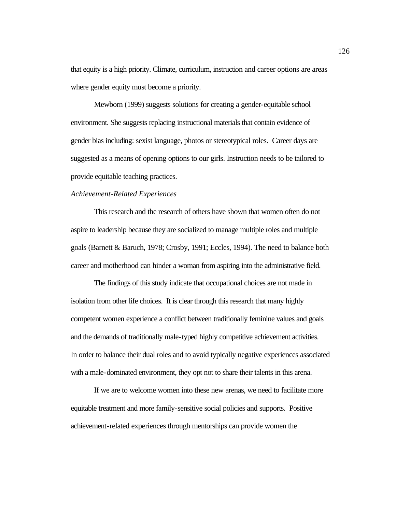that equity is a high priority. Climate, curriculum, instruction and career options are areas where gender equity must become a priority.

Mewborn (1999) suggests solutions for creating a gender-equitable school environment. She suggests replacing instructional materials that contain evidence of gender bias including: sexist language, photos or stereotypical roles. Career days are suggested as a means of opening options to our girls. Instruction needs to be tailored to provide equitable teaching practices.

#### *Achievement-Related Experiences*

This research and the research of others have shown that women often do not aspire to leadership because they are socialized to manage multiple roles and multiple goals (Barnett & Baruch, 1978; Crosby, 1991; Eccles, 1994). The need to balance both career and motherhood can hinder a woman from aspiring into the administrative field.

The findings of this study indicate that occupational choices are not made in isolation from other life choices. It is clear through this research that many highly competent women experience a conflict between traditionally feminine values and goals and the demands of traditionally male-typed highly competitive achievement activities. In order to balance their dual roles and to avoid typically negative experiences associated with a male-dominated environment, they opt not to share their talents in this arena.

If we are to welcome women into these new arenas, we need to facilitate more equitable treatment and more family-sensitive social policies and supports. Positive achievement-related experiences through mentorships can provide women the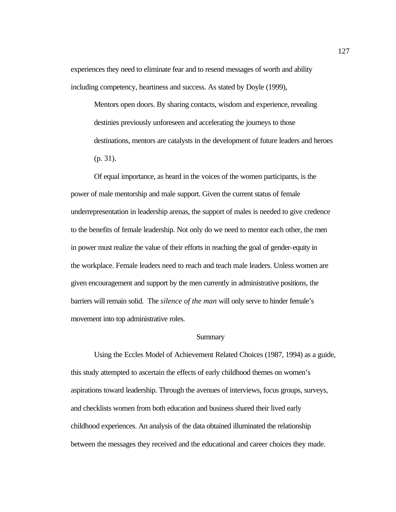experiences they need to eliminate fear and to resend messages of worth and ability including competency, heartiness and success. As stated by Doyle (1999),

Mentors open doors. By sharing contacts, wisdom and experience, revealing destinies previously unforeseen and accelerating the journeys to those destinations, mentors are catalysts in the development of future leaders and heroes (p. 31).

Of equal importance, as heard in the voices of the women participants, is the power of male mentorship and male support. Given the current status of female underrepresentation in leadership arenas, the support of males is needed to give credence to the benefits of female leadership. Not only do we need to mentor each other, the men in power must realize the value of their efforts in reaching the goal of gender-equity in the workplace. Female leaders need to reach and teach male leaders. Unless women are given encouragement and support by the men currently in administrative positions, the barriers will remain solid. The *silence of the man* will only serve to hinder female's movement into top administrative roles.

# **Summary**

Using the Eccles Model of Achievement Related Choices (1987, 1994) as a guide, this study attempted to ascertain the effects of early childhood themes on women's aspirations toward leadership. Through the avenues of interviews, focus groups, surveys, and checklists women from both education and business shared their lived early childhood experiences. An analysis of the data obtained illuminated the relationship between the messages they received and the educational and career choices they made.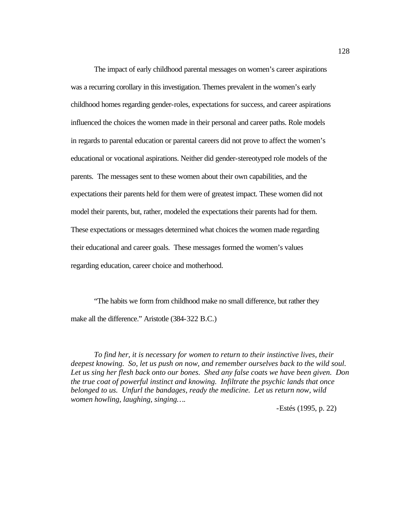The impact of early childhood parental messages on women's career aspirations was a recurring corollary in this investigation. Themes prevalent in the women's early childhood homes regarding gender-roles, expectations for success, and career aspirations influenced the choices the women made in their personal and career paths. Role models in regards to parental education or parental careers did not prove to affect the women's educational or vocational aspirations. Neither did gender-stereotyped role models of the parents. The messages sent to these women about their own capabilities, and the expectations their parents held for them were of greatest impact. These women did not model their parents, but, rather, modeled the expectations their parents had for them. These expectations or messages determined what choices the women made regarding their educational and career goals. These messages formed the women's values regarding education, career choice and motherhood.

"The habits we form from childhood make no small difference, but rather they make all the difference." Aristotle (384-322 B.C.)

*To find her, it is necessary for women to return to their instinctive lives, their deepest knowing. So, let us push on now, and remember ourselves back to the wild soul. Let us sing her flesh back onto our bones. Shed any false coats we have been given. Don the true coat of powerful instinct and knowing. Infiltrate the psychic lands that once belonged to us. Unfurl the bandages, ready the medicine. Let us return now, wild women howling, laughing, singing….*

-Estés (1995, p. 22)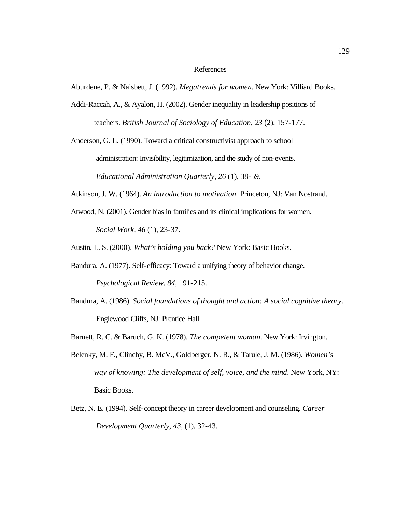### References

Aburdene, P. & Naisbett, J. (1992). *Megatrends for women*. New York: Villiard Books.

Addi-Raccah, A., & Ayalon, H. (2002). Gender inequality in leadership positions of teachers. *British Journal of Sociology of Education, 23* (2), 157-177.

Anderson, G. L. (1990). Toward a critical constructivist approach to school administration: Invisibility, legitimization, and the study of non-events. *Educational Administration Quarterly, 26* (1), 38-59.

- Atkinson, J. W. (1964). *An introduction to motivation.* Princeton, NJ: Van Nostrand.
- Atwood, N. (2001). Gender bias in families and its clinical implications for women. *Social Work, 46* (1), 23-37.

Austin, L. S. (2000). *What's holding you back?* New York: Basic Books.

- Bandura, A. (1977). Self-efficacy: Toward a unifying theory of behavior change. *Psychological Review, 84,* 191-215.
- Bandura, A. (1986). *Social foundations of thought and action: A social cognitive theory*. Englewood Cliffs, NJ: Prentice Hall.
- Barnett, R. C. & Baruch, G. K. (1978). *The competent woman*. New York: Irvington.
- Belenky, M. F., Clinchy, B. McV., Goldberger, N. R., & Tarule, J. M. (1986). *Women's way of knowing: The development of self, voice, and the mind*. New York, NY: Basic Books.
- Betz, N. E. (1994). Self-concept theory in career development and counseling. *Career Development Quarterly, 43,* (1), 32-43.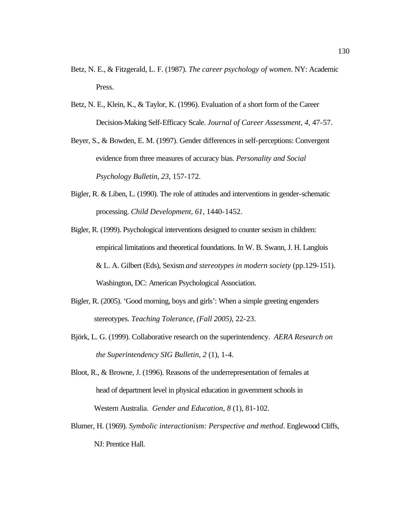- Betz, N. E., & Fitzgerald, L. F. (1987). *The career psychology of women*. NY: Academic Press.
- Betz, N. E., Klein, K., & Taylor, K. (1996). Evaluation of a short form of the Career Decision-Making Self-Efficacy Scale. *Journal of Career Assessment, 4*, 47-57.
- Beyer, S., & Bowden, E. M. (1997). Gender differences in self-perceptions: Convergent evidence from three measures of accuracy bias. *Personality and Social Psychology Bulletin, 23,* 157-172.
- Bigler, R. & Liben, L. (1990). The role of attitudes and interventions in gender-schematic processing. *Child Development, 61*, 1440-1452.
- Bigler, R. (1999). Psychological interventions designed to counter sexism in children: empirical limitations and theoretical foundations. In W. B. Swann, J. H. Langlois & L. A. Gilbert (Eds), Sexism *and stereotypes in modern society* (pp.129-151). Washington, DC: American Psychological Association.
- Bigler, R. (2005). 'Good morning, boys and girls': When a simple greeting engenders stereotypes. *Teaching Tolerance, (Fall 2005)*, 22-23.
- Björk, L. G. (1999). Collaborative research on the superintendency. *AERA Research on the Superintendency SIG Bulletin, 2* (1), 1-4.
- Bloot, R., & Browne, J. (1996). Reasons of the underrepresentation of females at head of department level in physical education in government schools in Western Australia. *Gender and Education, 8* (1), 81-102.
- Blumer, H. (1969). *Symbolic interactionism: Perspective and method*. Englewood Cliffs, NJ: Prentice Hall.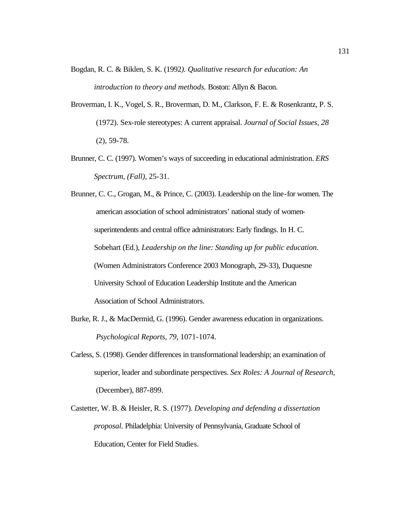- Bogdan, R. C. & Biklen, S. K. (1992*). Qualitative research for education: An introduction to theory and methods.* Boston: Allyn & Bacon.
- Broverman, I. K., Vogel, S. R., Broverman, D. M., Clarkson, F. E. & Rosenkrantz, P. S. (1972). Sex-role stereotypes: A current appraisal. *Journal of Social Issues, 28* (2), 59-78.
- Brunner, C. C. (1997). Women's ways of succeeding in educational administration. *ERS Spectrum, (Fall),* 25-31.

Brunner, C. C., Grogan, M., & Prince, C. (2003). Leadership on the line-for women. The american association of school administrators' national study of womensuperintendents and central office administrators: Early findings. In H. C. Sobehart (Ed.), *Leadership on the line: Standing up for public education.*  (Women Administrators Conference 2003 Monograph, 29-33), Duquesne University School of Education Leadership Institute and the American Association of School Administrators.

- Burke, R. J., & MacDermid, G. (1996). Gender awareness education in organizations. *Psychological Reports, 79,* 1071-1074.
- Carless, S. (1998). Gender differences in transformational leadership; an examination of superior, leader and subordinate perspectives. *Sex Roles: A Journal of Research,* (December), 887-899.
- Castetter, W. B. & Heisler, R. S. (1977). *Developing and defending a dissertation proposal.* Philadelphia: University of Pennsylvania, Graduate School of Education, Center for Field Studies.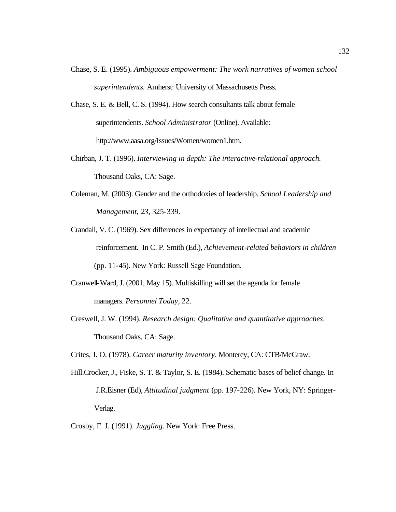- Chase, S. E. (1995). *Ambiguous empowerment: The work narratives of women school superintendents.* Amherst: University of Massachusetts Press.
- Chase, S. E. & Bell, C. S. (1994). How search consultants talk about female superintendents. *School Administrator* (Online). Available: http://www.aasa.org/Issues/Women/women1.htm.
- Chirban, J. T. (1996). *Interviewing in depth: The interactive-relational approach.* Thousand Oaks, CA: Sage.
- Coleman, M. (2003). Gender and the orthodoxies of leadership. *School Leadership and Management, 23*, 325-339.
- Crandall, V. C. (1969). Sex differences in expectancy of intellectual and academic reinforcement. In C. P. Smith (Ed.), *Achievement-related behaviors in children* (pp. 11-45). New York: Russell Sage Foundation.
- Cranwell-Ward, J. (2001, May 15). Multiskilling will set the agenda for female managers. *Personnel Today*, 22.
- Creswell, J. W. (1994). *Research design: Qualitative and quantitative approaches*. Thousand Oaks, CA: Sage.

Crites, J. O. (1978). *Career maturity inventory*. Monterey, CA: CTB/McGraw.

- Hill.Crocker, J., Fiske, S. T. & Taylor, S. E. (1984). Schematic bases of belief change. In J.R.Eisner (Ed), *Attitudinal judgment* (pp. 197-226). New York, NY: Springer-Verlag.
- Crosby, F. J. (1991). *Juggling.* New York: Free Press.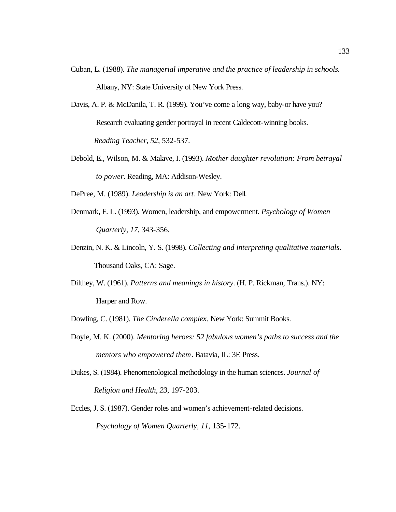- Cuban, L. (1988). *The managerial imperative and the practice of leadership in schools.* Albany, NY: State University of New York Press.
- Davis, A. P. & McDanila, T. R. (1999). You've come a long way, baby-or have you? Research evaluating gender portrayal in recent Caldecott-winning books. *Reading Teacher, 52*, 532-537.
- Debold, E., Wilson, M. & Malave, I. (1993). *Mother daughter revolution: From betrayal to power*. Reading, MA: Addison-Wesley.
- DePree, M. (1989). *Leadership is an art*. New York: Dell.
- Denmark, F. L. (1993). Women, leadership, and empowerment. *Psychology of Women Quarterly, 17,* 343-356.
- Denzin, N. K. & Lincoln, Y. S. (1998). *Collecting and interpreting qualitative materials*. Thousand Oaks, CA: Sage.
- Dilthey, W. (1961). *Patterns and meanings in history*. (H. P. Rickman, Trans.). NY: Harper and Row.
- Dowling, C. (1981). *The Cinderella complex.* New York: Summit Books.
- Doyle, M. K. (2000). *Mentoring heroes: 52 fabulous women's paths to success and the mentors who empowered them*. Batavia, IL: 3E Press.
- Dukes, S. (1984). Phenomenological methodology in the human sciences. *Journal of Religion and Health, 23*, 197-203.
- Eccles, J. S. (1987). Gender roles and women's achievement-related decisions.  *Psychology of Women Quarterly, 11*, 135-172.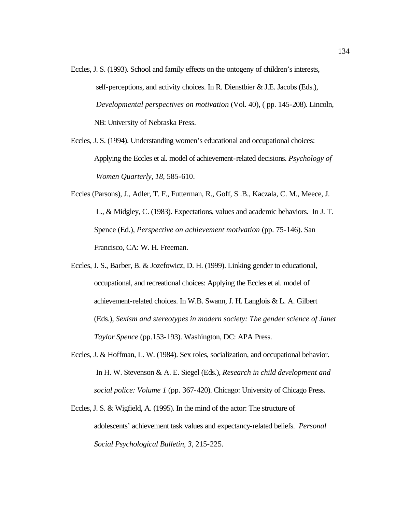- Eccles, J. S. (1993). School and family effects on the ontogeny of children's interests, self-perceptions, and activity choices. In R. Dienstbier & J.E. Jacobs (Eds.), *Developmental perspectives on motivation* (Vol. 40), ( pp. 145-208). Lincoln, NB: University of Nebraska Press.
- Eccles, J. S. (1994). Understanding women's educational and occupational choices: Applying the Eccles et al. model of achievement-related decisions. *Psychology of Women Quarterly, 18,* 585-610.
- Eccles (Parsons), J., Adler, T. F., Futterman, R., Goff, S .B., Kaczala, C. M., Meece, J. L., & Midgley, C. (1983). Expectations, values and academic behaviors. In J. T. Spence (Ed.), *Perspective on achievement motivation* (pp. 75-146). San Francisco, CA: W. H. Freeman.
- Eccles, J. S., Barber, B. & Jozefowicz, D. H. (1999). Linking gender to educational, occupational, and recreational choices: Applying the Eccles et al. model of achievement-related choices. In W.B. Swann, J. H. Langlois & L. A. Gilbert (Eds.), *Sexism and stereotypes in modern society: The gender science of Janet Taylor Spence* (pp.153-193). Washington, DC: APA Press.
- Eccles, J. & Hoffman, L. W. (1984). Sex roles, socialization, and occupational behavior. In H. W. Stevenson & A. E. Siegel (Eds.), *Research in child development and social police: Volume 1* (pp. 367-420). Chicago: University of Chicago Press.
- Eccles, J. S. & Wigfield, A. (1995). In the mind of the actor: The structure of adolescents' achievement task values and expectancy-related beliefs. *Personal Social Psychological Bulletin, 3,* 215-225.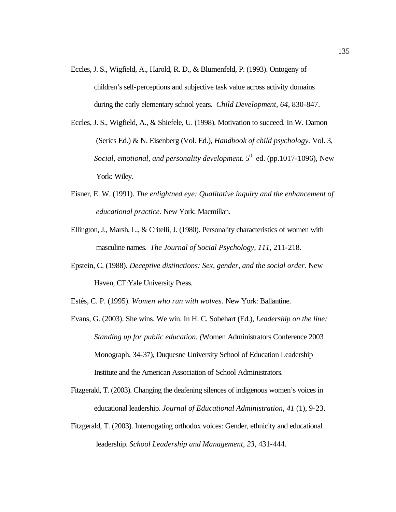- Eccles, J. S., Wigfield, A., Harold, R. D., & Blumenfeld, P. (1993). Ontogeny of children's self-perceptions and subjective task value across activity domains during the early elementary school years. *Child Development, 64*, 830-847.
- Eccles, J. S., Wigfield, A., & Shiefele, U. (1998). Motivation to succeed. In W. Damon (Series Ed.) & N. Eisenberg (Vol. Ed.), *Handbook of child psychology.* Vol. 3, *Social, emotional, and personality development.* 5<sup>th</sup> ed. (pp.1017-1096), New York: Wiley.
- Eisner, E. W. (1991). *The enlightned eye: Qualitative inquiry and the enhancement of educational practice.* New York: Macmillan.
- Ellington, J., Marsh, L., & Critelli, J. (1980). Personality characteristics of women with masculine names. *The Journal of Social Psychology*, *111*, 211-218.
- Epstein, C. (1988). *Deceptive distinctions: Sex, gender, and the social order.* New Haven, CT:Yale University Press.
- Estés, C. P. (1995). *Women who run with wolves.* New York: Ballantine.
- Evans, G. (2003). She wins. We win. In H. C. Sobehart (Ed.), *Leadership on the line: Standing up for public education. (*Women Administrators Conference 2003 Monograph, 34-37), Duquesne University School of Education Leadership Institute and the American Association of School Administrators.
- Fitzgerald, T. (2003). Changing the deafening silences of indigenous women's voices in educational leadership. *Journal of Educational Administration, 41* (1), 9-23.
- Fitzgerald, T. (2003). Interrogating orthodox voices: Gender, ethnicity and educational leadership. *School Leadership and Management, 23*, 431-444.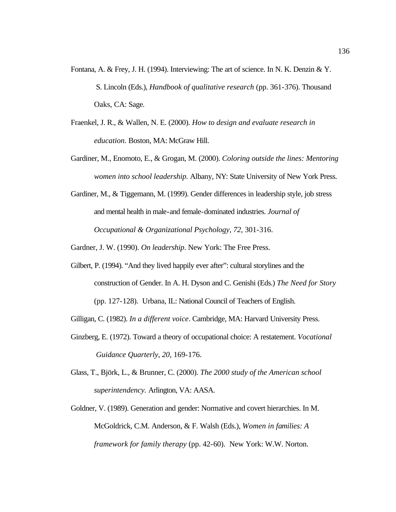- Fontana, A. & Frey, J. H. (1994). Interviewing: The art of science. In N. K. Denzin & Y. S. Lincoln (Eds.), *Handbook of qualitative research* (pp. 361-376). Thousand Oaks, CA: Sage.
- Fraenkel, J. R., & Wallen, N. E. (2000). *How to design and evaluate research in education.* Boston, MA: McGraw Hill.
- Gardiner, M., Enomoto, E., & Grogan, M. (2000). *Coloring outside the lines: Mentoring women into school leadership.* Albany, NY: State University of New York Press.
- Gardiner, M., & Tiggemann, M. (1999). Gender differences in leadership style, job stress and mental health in male-and female-dominated industries. *Journal of Occupational & Organizational Psychology, 72*, 301-316.

Gardner, J. W. (1990). *On leadership*. New York: The Free Press.

Gilbert, P. (1994). "And they lived happily ever after": cultural storylines and the construction of Gender. In A. H. Dyson and C. Genishi (Eds.) *The Need for Story* (pp. 127-128). Urbana, IL: National Council of Teachers of English.

Gilligan, C. (1982). *In a different voice*. Cambridge, MA: Harvard University Press.

- Ginzberg, E. (1972). Toward a theory of occupational choice: A restatement. *Vocational Guidance Quarterly, 20*, 169-176.
- Glass, T., Björk, L., & Brunner, C. (2000). *The 2000 study of the American school superintendency.* Arlington, VA: AASA.
- Goldner, V. (1989). Generation and gender: Normative and covert hierarchies. In M. McGoldrick, C.M. Anderson, & F. Walsh (Eds.), *Women in families: A framework for family therapy* (pp. 42-60). New York: W.W. Norton.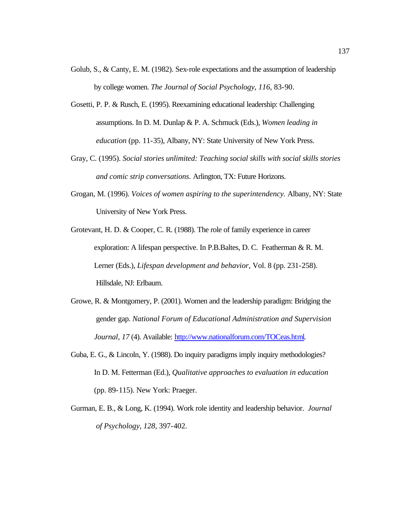- Golub, S., & Canty, E. M. (1982). Sex-role expectations and the assumption of leadership by college women. *The Journal of Social Psychology*, *116*, 83-90.
- Gosetti, P. P. & Rusch, E. (1995). Reexamining educational leadership: Challenging assumptions. In D. M. Dunlap & P. A. Schmuck (Eds.), *Women leading in education* (pp. 11-35), Albany, NY: State University of New York Press.
- Gray, C. (1995). *Social stories unlimited: Teaching social skills with social skills stories and comic strip conversations.* Arlington, TX: Future Horizons.
- Grogan, M. (1996). *Voices of women aspiring to the superintendency.* Albany, NY: State University of New York Press.
- Grotevant, H. D. & Cooper, C. R. (1988). The role of family experience in career exploration: A lifespan perspective. In P.B.Baltes, D. C. Featherman & R. M. Lerner (Eds.), *Lifespan development and behavior,* Vol. 8 (pp. 231-258). Hillsdale, NJ: Erlbaum.
- Growe, R. & Montgomery, P. (2001). Women and the leadership paradigm: Bridging the gender gap. *National Forum of Educational Administration and Supervision Journal, 17* (4). Available: http://www.nationalforum.com/TOCeas.html.
- Guba, E. G., & Lincoln, Y. (1988). Do inquiry paradigms imply inquiry methodologies? In D. M. Fetterman (Ed.), *Qualitative approaches to evaluation in education* (pp. 89-115). New York: Praeger.
- Gurman, E. B., & Long, K. (1994). Work role identity and leadership behavior. *Journal of Psychology*, *128*, 397-402.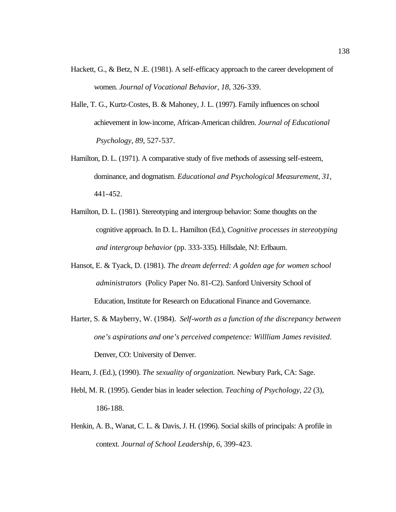- Hackett, G., & Betz, N .E. (1981). A self-efficacy approach to the career development of women. *Journal of Vocational Behavior, 18*, 326-339.
- Halle, T. G., Kurtz-Costes, B. & Mahoney, J. L. (1997). Family influences on school achievement in low-income, African-American children. *Journal of Educational Psychology, 89*, 527-537.
- Hamilton, D. L. (1971). A comparative study of five methods of assessing self-esteem, dominance, and dogmatism. *Educational and Psychological Measurement, 31*, 441-452.
- Hamilton, D. L. (1981). Stereotyping and intergroup behavior: Some thoughts on the cognitive approach. In D. L. Hamilton (Ed.), *Cognitive processes in stereotyping and intergroup behavior* (pp. 333-335). Hillsdale, NJ: Erlbaum.
- Hansot, E. & Tyack, D. (1981). *The dream deferred: A golden age for women school administrators* (Policy Paper No. 81-C2). Sanford University School of Education, Institute for Research on Educational Finance and Governance.
- Harter, S. & Mayberry, W. (1984). *Self-worth as a function of the discrepancy between one's aspirations and one's perceived competence: Willliam James revisited*. Denver, CO: University of Denver.

Hearn, J. (Ed.), (1990). *The sexuality of organization.* Newbury Park, CA: Sage.

- Hebl, M. R. (1995). Gender bias in leader selection. *Teaching of Psychology, 22* (3), 186-188.
- Henkin, A. B., Wanat, C. L. & Davis, J. H. (1996). Social skills of principals: A profile in context. *Journal of School Leadership, 6,* 399-423.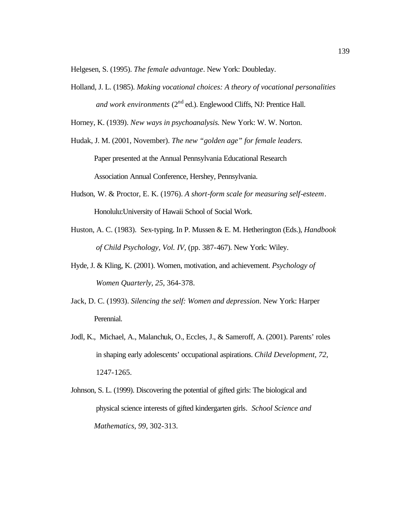Helgesen, S. (1995). *The female advantage*. New York: Doubleday.

Holland, J. L. (1985). *Making vocational choices: A theory of vocational personalities* and work environments (2<sup>nd</sup> ed.). Englewood Cliffs, NJ: Prentice Hall.

Horney, K. (1939). *New ways in psychoanalysis.* New York: W. W. Norton.

- Hudak, J. M. (2001, November). *The new "golden age" for female leaders.* Paper presented at the Annual Pennsylvania Educational Research Association Annual Conference, Hershey, Pennsylvania.
- Hudson, W. & Proctor, E. K. (1976). *A short-form scale for measuring self-esteem*. Honolulu:University of Hawaii School of Social Work.
- Huston, A. C. (1983). Sex-typing. In P. Mussen & E. M. Hetherington (Eds.), *Handbook of Child Psychology, Vol. IV,* (pp. 387-467). New York: Wiley.
- Hyde, J. & Kling, K. (2001). Women, motivation, and achievement. *Psychology of Women Quarterly, 25*, 364-378.
- Jack, D. C. (1993). *Silencing the self: Women and depression*. New York: Harper Perennial.
- Jodl, K., Michael, A., Malanchuk, O., Eccles, J., & Sameroff, A. (2001). Parents' roles in shaping early adolescents' occupational aspirations. *Child Development, 72,* 1247-1265.
- Johnson, S. L. (1999). Discovering the potential of gifted girls: The biological and physical science interests of gifted kindergarten girls*. School Science and Mathematics*, *99*, 302-313.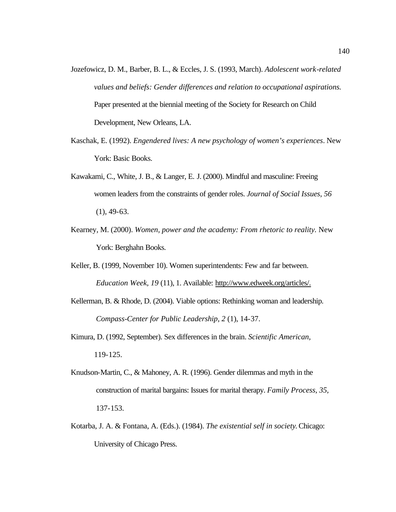- Jozefowicz, D. M., Barber, B. L., & Eccles, J. S. (1993, March). *Adolescent work-related values and beliefs: Gender differences and relation to occupational aspirations.* Paper presented at the biennial meeting of the Society for Research on Child Development, New Orleans, LA.
- Kaschak, E. (1992). *Engendered lives: A new psychology of women's experiences*. New York: Basic Books.
- Kawakami, C., White, J. B., & Langer, E. J. (2000). Mindful and masculine: Freeing women leaders from the constraints of gender roles. *Journal of Social Issues, 56*  $(1), 49-63.$
- Kearney, M. (2000). *Women, power and the academy: From rhetoric to reality.* New York: Berghahn Books.
- Keller, B. (1999, November 10). Women superintendents: Few and far between. *Education Week, 19* (11), 1. Available: http://www.edweek.org/articles/.
- Kellerman, B. & Rhode, D. (2004). Viable options: Rethinking woman and leadership. *Compass-Center for Public Leadership*, *2* (1), 14-37.
- Kimura, D. (1992, September). Sex differences in the brain. *Scientific American,* 119-125.
- Knudson-Martin, C., & Mahoney, A. R. (1996). Gender dilemmas and myth in the construction of marital bargains: Issues for marital therapy. *Family Process, 35,* 137-153.
- Kotarba, J. A. & Fontana, A. (Eds.). (1984). *The existential self in society*. Chicago: University of Chicago Press.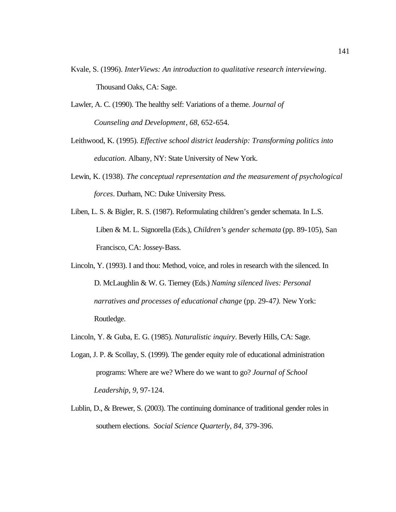- Kvale, S. (1996). *InterViews: An introduction to qualitative research interviewing*. Thousand Oaks, CA: Sage.
- Lawler, A. C. (1990). The healthy self: Variations of a theme. *Journal of Counseling and Development*, *68*, 652-654.
- Leithwood, K. (1995). *Effective school district leadership: Transforming politics into education.* Albany, NY: State University of New York.
- Lewin, K. (1938). *The conceptual representation and the measurement of psychological forces*. Durham, NC: Duke University Press.
- Liben, L. S. & Bigler, R. S. (1987). Reformulating children's gender schemata. In L.S. Liben & M. L. Signorella (Eds.), *Children's gender schemata* (pp. 89-105), San Francisco, CA: Jossey-Bass.
- Lincoln, Y. (1993). I and thou: Method, voice, and roles in research with the silenced. In D. McLaughlin & W. G. Tierney (Eds.) *Naming silenced lives: Personal narratives and processes of educational change* (pp. 29-47*).* New York: Routledge.
- Lincoln, Y. & Guba, E. G. (1985). *Naturalistic inquiry*. Beverly Hills, CA: Sage.
- Logan, J. P. & Scollay, S. (1999). The gender equity role of educational administration programs: Where are we? Where do we want to go? *Journal of School Leadership, 9,* 97-124.
- Lublin, D., & Brewer, S. (2003). The continuing dominance of traditional gender roles in southern elections. *Social Science Quarterly*, *84*, 379-396.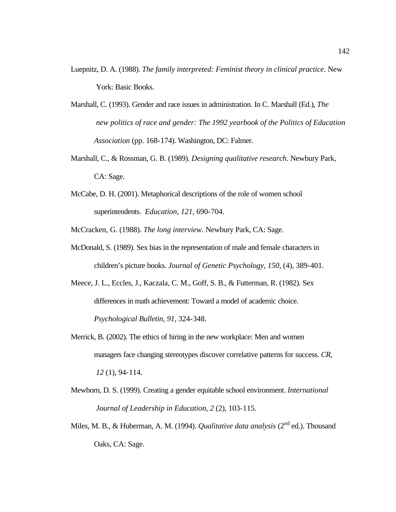- Luepnitz, D. A. (1988). *The family interpreted: Feminist theory in clinical practice*. New York: Basic Books.
- Marshall, C. (1993). Gender and race issues in administration. In C. Marshall (Ed.), *The new politics of race and gender: The 1992 yearbook of the Politics of Education Association* (pp. 168-174). Washington, DC: Falmer.
- Marshall, C., & Rossman, G. B. (1989). *Designing qualitative research*. Newbury Park, CA: Sage.
- McCabe, D. H. (2001). Metaphorical descriptions of the role of women school superintendents. *Education*, *121*, 690-704.
- McCracken, G. (1988). *The long interview.* Newbury Park, CA: Sage.
- McDonald, S. (1989). Sex bias in the representation of male and female characters in children's picture books. *Journal of Genetic Psychology, 150*, (4), 389-401.
- Meece, J. L., Eccles, J., Kaczala, C. M., Goff, S. B., & Futterman, R. (1982). Sex differences in math achievement: Toward a model of academic choice. *Psychological Bulletin, 91*, 324-348.
- Merrick, B. (2002). The ethics of hiring in the new workplace: Men and women managers face changing stereotypes discover correlative patterns for success. *CR, 12* (1), 94-114.
- Mewborn, D. S. (1999). Creating a gender equitable school environment. *International Journal of Leadership in Education, 2* (2), 103-115.
- Miles, M. B., & Huberman, A. M. (1994). *Qualitative data analysis* (2<sup>nd</sup> ed.). Thousand Oaks, CA: Sage.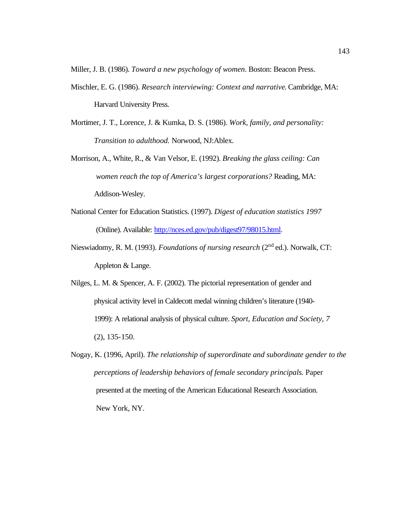Miller, J. B. (1986). *Toward a new psychology of women*. Boston: Beacon Press.

- Mischler, E. G. (1986). *Research interviewing: Context and narrative*. Cambridge, MA: Harvard University Press.
- Mortimer, J. T., Lorence, J. & Kumka, D. S. (1986). *Work, family, and personality: Transition to adulthood.* Norwood, NJ:Ablex.
- Morrison, A., White, R., & Van Velsor, E. (1992). *Breaking the glass ceiling: Can women reach the top of America's largest corporations?* Reading, MA: Addison-Wesley.
- National Center for Education Statistics. (1997). *Digest of education statistics 1997* (Online). Available: http://nces.ed.gov/pub/digest97/98015.html.
- Nieswiadomy, R. M. (1993). *Foundations of nursing research* (2<sup>nd</sup> ed.). Norwalk, CT: Appleton & Lange.
- Nilges, L. M. & Spencer, A. F. (2002). The pictorial representation of gender and physical activity level in Caldecott medal winning children's literature (1940- 1999): A relational analysis of physical culture. *Sport, Education and Society, 7* (2), 135-150.
- Nogay, K. (1996, April). *The relationship of superordinate and subordinate gender to the perceptions of leadership behaviors of female secondary principals.* Paper presented at the meeting of the American Educational Research Association. New York, NY.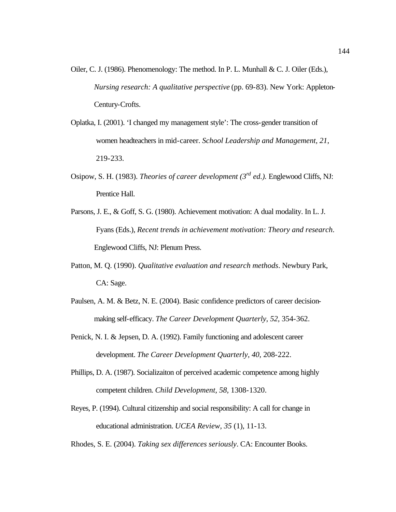- Oiler, C. J. (1986). Phenomenology: The method. In P. L. Munhall & C. J. Oiler (Eds.), *Nursing research: A qualitative perspective* (pp. 69-83). New York: Appleton-Century-Crofts.
- Oplatka, I. (2001). 'I changed my management style': The cross-gender transition of women headteachers in mid-career. *School Leadership and Management, 21*, 219-233.
- Osipow, S. H. (1983). *Theories of career development (3rd ed.).* Englewood Cliffs, NJ: Prentice Hall.
- Parsons, J. E., & Goff, S. G. (1980). Achievement motivation: A dual modality. In L. J. Fyans (Eds.), *Recent trends in achievement motivation: Theory and research*. Englewood Cliffs, NJ: Plenum Press.
- Patton, M. Q. (1990). *Qualitative evaluation and research methods*. Newbury Park, CA: Sage.
- Paulsen, A. M. & Betz, N. E. (2004). Basic confidence predictors of career decisionmaking self-efficacy. *The Career Development Quarterly, 52,* 354-362.
- Penick, N. I. & Jepsen, D. A. (1992). Family functioning and adolescent career development. *The Career Development Quarterly, 40*, 208-222.
- Phillips, D. A. (1987). Socializaiton of perceived academic competence among highly competent children. *Child Development, 58,* 1308-1320.
- Reyes, P. (1994). Cultural citizenship and social responsibility: A call for change in educational administration. *UCEA Review, 35* (1), 11-13.

Rhodes, S. E. (2004). *Taking sex differences seriously*. CA: Encounter Books.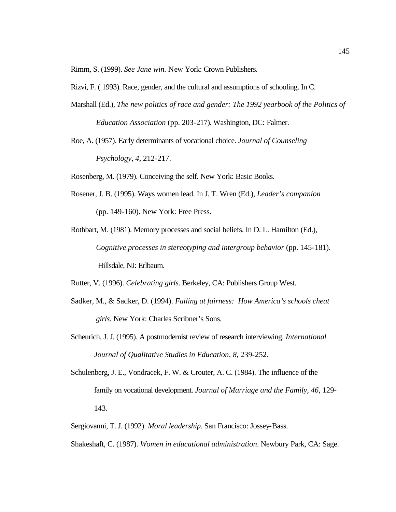Rimm, S. (1999). *See Jane win.* New York: Crown Publishers.

Rizvi, F. ( 1993). Race, gender, and the cultural and assumptions of schooling. In C.

Marshall (Ed.), *The new politics of race and gender: The 1992 yearbook of the Politics of Education Association* (pp. 203-217). Washington, DC: Falmer.

Roe, A. (1957). Early determinants of vocational choice. *Journal of Counseling Psychology, 4,* 212-217.

Rosenberg, M. (1979). Conceiving the self. New York: Basic Books.

- Rosener, J. B. (1995). Ways women lead. In J. T. Wren (Ed.), *Leader's companion* (pp. 149-160). New York: Free Press.
- Rothbart, M. (1981). Memory processes and social beliefs. In D. L. Hamilton (Ed.), *Cognitive processes in stereotyping and intergroup behavior* (pp. 145-181). Hillsdale, NJ: Erlbaum.

Rutter, V. (1996). *Celebrating girls*. Berkeley, CA: Publishers Group West.

- Sadker, M., & Sadker, D. (1994). *Failing at fairness: How America's schools cheat girls.* New York: Charles Scribner's Sons.
- Scheurich, J. J. (1995). A postmodernist review of research interviewing. *International Journal of Qualitative Studies in Education, 8*, 239-252.
- Schulenberg, J. E., Vondracek, F. W. & Crouter, A. C. (1984). The influence of the family on vocational development. *Journal of Marriage and the Family, 46*, 129- 143.

Sergiovanni, T. J. (1992). *Moral leadership*. San Francisco: Jossey-Bass.

Shakeshaft, C. (1987). *Women in educational administration*. Newbury Park, CA: Sage.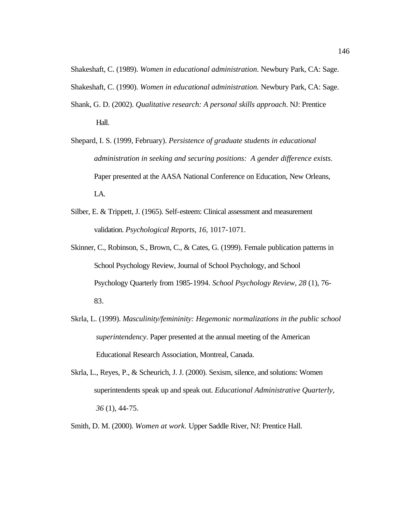Shakeshaft, C. (1989). *Women in educational administration*. Newbury Park, CA: Sage.

Shakeshaft, C. (1990). *Women in educational administration.* Newbury Park, CA: Sage.

- Shank, G. D. (2002). *Qualitative research: A personal skills approach*. NJ: Prentice Hall.
- Shepard, I. S. (1999, February). *Persistence of graduate students in educational administration in seeking and securing positions: A gender difference exists.* Paper presented at the AASA National Conference on Education, New Orleans, LA.
- Silber, E. & Trippett, J. (1965). Self-esteem: Clinical assessment and measurement validation. *Psychological Reports, 16*, 1017-1071.
- Skinner, C., Robinson, S., Brown, C., & Cates, G. (1999). Female publication patterns in School Psychology Review, Journal of School Psychology, and School Psychology Quarterly from 1985-1994. *School Psychology Review, 28* (1), 76- 83.
- Skrla, L. (1999). *Masculinity/femininity: Hegemonic normalizations in the public school superintendency*. Paper presented at the annual meeting of the American Educational Research Association, Montreal, Canada.
- Skrla, L., Reyes, P., & Scheurich, J. J. (2000). Sexism, silence, and solutions: Women superintendents speak up and speak out. *Educational Administrative Quarterly, 36* (1), 44-75.
- Smith, D. M. (2000). *Women at work.* Upper Saddle River, NJ: Prentice Hall.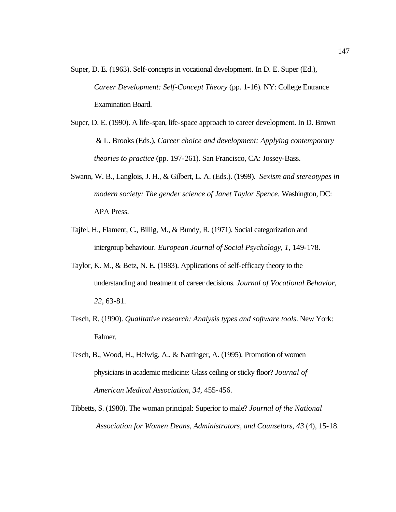- Super, D. E. (1963). Self-concepts in vocational development. In D. E. Super (Ed.), *Career Development: Self-Concept Theory* (pp. 1-16). NY: College Entrance Examination Board.
- Super, D. E. (1990). A life-span, life-space approach to career development. In D. Brown & L. Brooks (Eds.), *Career choice and development: Applying contemporary theories to practice* (pp. 197-261). San Francisco, CA: Jossey-Bass.
- Swann, W. B., Langlois, J. H., & Gilbert, L. A. (Eds.). (1999). *Sexism and stereotypes in modern society: The gender science of Janet Taylor Spence.* Washington, DC: APA Press.
- Tajfel, H., Flament, C., Billig, M., & Bundy, R. (1971). Social categorization and intergroup behaviour*. European Journal of Social Psychology, 1*, 149-178.
- Taylor, K. M., & Betz, N. E. (1983). Applications of self-efficacy theory to the understanding and treatment of career decisions. *Journal of Vocational Behavior, 22*, 63-81.
- Tesch, R. (1990). *Qualitative research: Analysis types and software tools*. New York: Falmer.
- Tesch, B., Wood, H., Helwig, A., & Nattinger, A. (1995). Promotion of women physicians in academic medicine: Glass ceiling or sticky floor? *Journal of American Medical Association, 34*, 455-456.
- Tibbetts, S. (1980). The woman principal: Superior to male? *Journal of the National Association for Women Deans, Administrators, and Counselors, 43* (4), 15-18.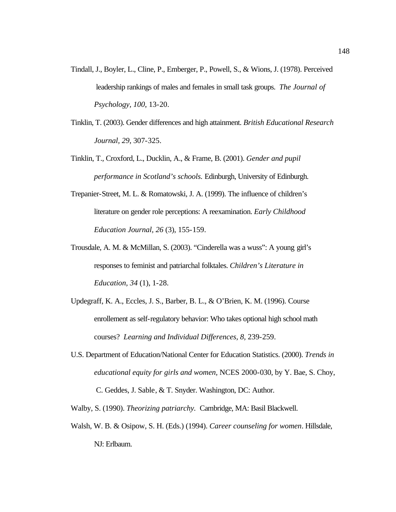- Tindall, J., Boyler, L., Cline, P., Emberger, P., Powell, S., & Wions, J. (1978). Perceived leadership rankings of males and females in small task groups. *The Journal of Psychology, 100*, 13-20.
- Tinklin, T. (2003). Gender differences and high attainment. *British Educational Research Journal, 29*, 307-325.
- Tinklin, T., Croxford, L., Ducklin, A., & Frame, B. (2001). *Gender and pupil performance in Scotland's schools.* Edinburgh, University of Edinburgh.
- Trepanier-Street, M. L. & Romatowski, J. A. (1999). The influence of children's literature on gender role perceptions: A reexamination. *Early Childhood Education Journal, 26* (3), 155-159.
- Trousdale, A. M. & McMillan, S. (2003). "Cinderella was a wuss": A young girl's responses to feminist and patriarchal folktales. *Children's Literature in Education, 34* (1), 1-28.
- Updegraff, K. A., Eccles, J. S., Barber, B. L., & O'Brien, K. M. (1996). Course enrollement as self-regulatory behavior: Who takes optional high school math courses? *Learning and Individual Differences, 8,* 239-259.
- U.S. Department of Education/National Center for Education Statistics. (2000). *Trends in educational equity for girls and women,* NCES 2000-030, by Y. Bae, S. Choy, C. Geddes, J. Sable, & T. Snyder. Washington, DC: Author.
- Walby, S. (1990). *Theorizing patriarchy.* Cambridge, MA: Basil Blackwell.
- Walsh, W. B. & Osipow, S. H. (Eds.) (1994). *Career counseling for women*. Hillsdale, NJ: Erlbaum.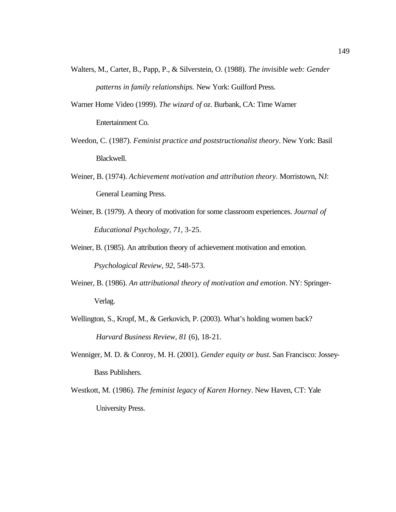- Walters, M., Carter, B., Papp, P., & Silverstein, O. (1988). *The invisible web: Gender patterns in family relationships.* New York: Guilford Press.
- Warner Home Video (1999). *The wizard of oz*. Burbank, CA: Time Warner Entertainment Co.
- Weedon, C. (1987). *Feminist practice and poststructionalist theory*. New York: Basil Blackwell.
- Weiner, B. (1974). *Achievement motivation and attribution theory*. Morristown, NJ: General Learning Press.
- Weiner, B. (1979). A theory of motivation for some classroom experiences. *Journal of Educational Psychology, 71*, 3-25.
- Weiner, B. (1985). An attribution theory of achievement motivation and emotion. *Psychological Review, 92*, 548-573.
- Weiner, B. (1986). *An attributional theory of motivation and emotion*. NY: Springer-Verlag.
- Wellington, S., Kropf, M., & Gerkovich, P. (2003). What's holding women back? *Harvard Business Review, 81* (6), 18-21.
- Wenniger, M. D. & Conroy, M. H. (2001). *Gender equity or bust.* San Francisco: Jossey-Bass Publishers.
- Westkott, M. (1986). *The feminist legacy of Karen Horney*. New Haven, CT: Yale University Press.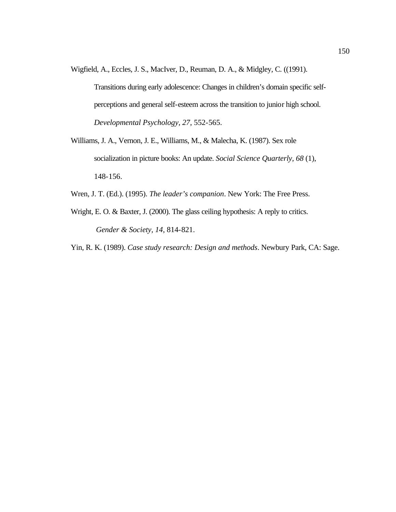Wigfield, A., Eccles, J. S., MacIver, D., Reuman, D. A., & Midgley, C. ((1991).

Transitions during early adolescence: Changes in children's domain specific selfperceptions and general self-esteem across the transition to junior high school. *Developmental Psychology, 27*, 552-565.

- Williams, J. A., Vernon, J. E., Williams, M., & Malecha, K. (1987). Sex role socialization in picture books: An update. *Social Science Quarterly, 68* (1), 148-156.
- Wren, J. T. (Ed.). (1995). *The leader's companion*. New York: The Free Press.
- Wright, E. O. & Baxter, J. (2000). The glass ceiling hypothesis: A reply to critics. *Gender & Society, 14*, 814-821.

Yin, R. K. (1989). *Case study research: Design and methods*. Newbury Park, CA: Sage.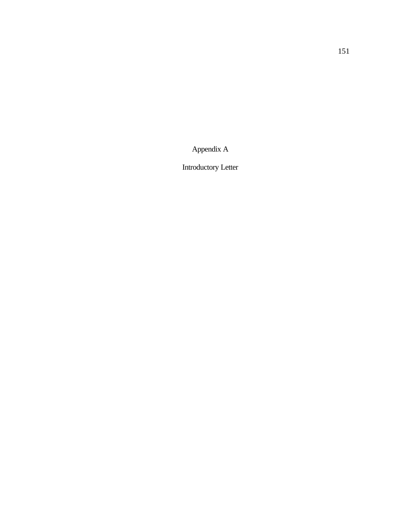Appendix A

Introductory Letter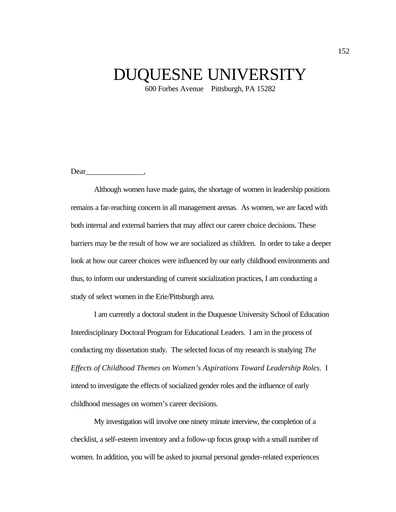## DUQUESNE UNIVERSITY

600 Forbes Avenue Pittsburgh, PA 15282

Dear<sub>is</sub>

Although women have made gains, the shortage of women in leadership positions remains a far-reaching concern in all management arenas. As women, we are faced with both internal and external barriers that may affect our career choice decisions. These barriers may be the result of how we are socialized as children. In order to take a deeper look at how our career choices were influenced by our early childhood environments and thus, to inform our understanding of current socialization practices, I am conducting a study of select women in the Erie/Pittsburgh area.

I am currently a doctoral student in the Duquesne University School of Education Interdisciplinary Doctoral Program for Educational Leaders. I am in the process of conducting my dissertation study. The selected focus of my research is studying *The Effects of Childhood Themes on Women's Aspirations Toward Leadership Roles*. I intend to investigate the effects of socialized gender roles and the influence of early childhood messages on women's career decisions.

My investigation will involve one ninety minute interview, the completion of a checklist, a self-esteem inventory and a follow-up focus group with a small number of women. In addition, you will be asked to journal personal gender-related experiences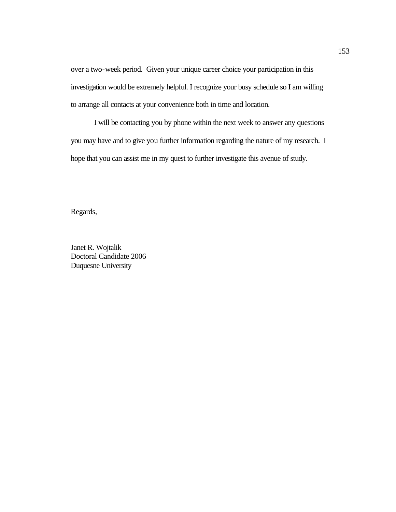over a two-week period. Given your unique career choice your participation in this investigation would be extremely helpful. I recognize your busy schedule so I am willing to arrange all contacts at your convenience both in time and location.

I will be contacting you by phone within the next week to answer any questions you may have and to give you further information regarding the nature of my research. I hope that you can assist me in my quest to further investigate this avenue of study.

Regards,

Janet R. Wojtalik Doctoral Candidate 2006 Duquesne University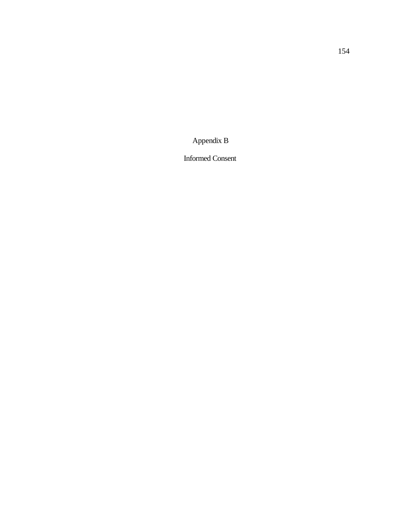Appendix B

Informed Consent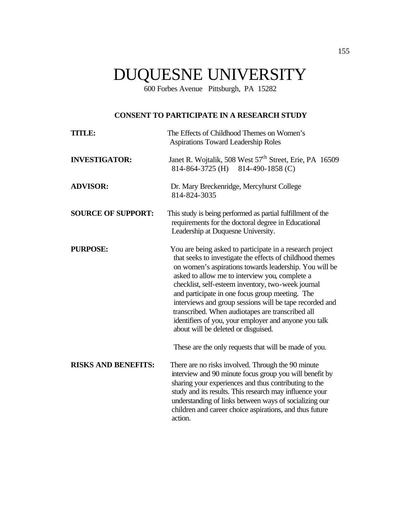# DUQUESNE UNIVERSITY

600 Forbes Avenue Pittsburgh, PA 15282

## **CONSENT TO PARTICIPATE IN A RESEARCH STUDY**

| <b>TITLE:</b>              | The Effects of Childhood Themes on Women's<br><b>Aspirations Toward Leadership Roles</b>                                                                                                                                                                                                                                                                                                                                                                                                                                                                  |
|----------------------------|-----------------------------------------------------------------------------------------------------------------------------------------------------------------------------------------------------------------------------------------------------------------------------------------------------------------------------------------------------------------------------------------------------------------------------------------------------------------------------------------------------------------------------------------------------------|
| <b>INVESTIGATOR:</b>       | Janet R. Wojtalik, 508 West 57 <sup>th</sup> Street, Erie, PA 16509<br>814-490-1858 (C)<br>814-864-3725 (H)                                                                                                                                                                                                                                                                                                                                                                                                                                               |
| <b>ADVISOR:</b>            | Dr. Mary Breckenridge, Mercyhurst College<br>814-824-3035                                                                                                                                                                                                                                                                                                                                                                                                                                                                                                 |
| <b>SOURCE OF SUPPORT:</b>  | This study is being performed as partial fulfillment of the<br>requirements for the doctoral degree in Educational<br>Leadership at Duquesne University.                                                                                                                                                                                                                                                                                                                                                                                                  |
| <b>PURPOSE:</b>            | You are being asked to participate in a research project<br>that seeks to investigate the effects of childhood themes<br>on women's aspirations towards leadership. You will be<br>asked to allow me to interview you, complete a<br>checklist, self-esteem inventory, two-week journal<br>and participate in one focus group meeting. The<br>interviews and group sessions will be tape recorded and<br>transcribed. When audiotapes are transcribed all<br>identifiers of you, your employer and anyone you talk<br>about will be deleted or disguised. |
|                            | These are the only requests that will be made of you.                                                                                                                                                                                                                                                                                                                                                                                                                                                                                                     |
| <b>RISKS AND BENEFITS:</b> | There are no risks involved. Through the 90 minute<br>interview and 90 minute focus group you will benefit by<br>sharing your experiences and thus contributing to the<br>study and its results. This research may influence your<br>understanding of links between ways of socializing our<br>children and career choice aspirations, and thus future<br>action.                                                                                                                                                                                         |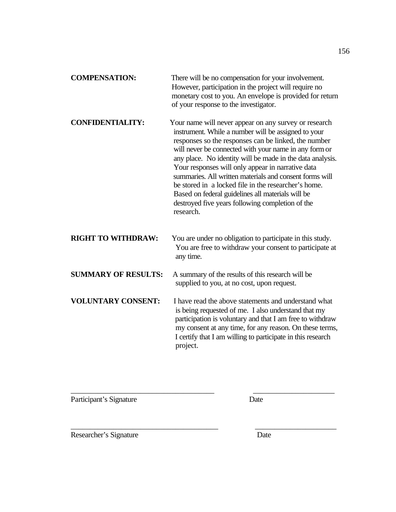| <b>COMPENSATION:</b>       | There will be no compensation for your involvement.<br>However, participation in the project will require no<br>monetary cost to you. An envelope is provided for return<br>of your response to the investigator.                                                                                                                                                                                                                                                                                                                                                                        |
|----------------------------|------------------------------------------------------------------------------------------------------------------------------------------------------------------------------------------------------------------------------------------------------------------------------------------------------------------------------------------------------------------------------------------------------------------------------------------------------------------------------------------------------------------------------------------------------------------------------------------|
| <b>CONFIDENTIALITY:</b>    | Your name will never appear on any survey or research<br>instrument. While a number will be assigned to your<br>responses so the responses can be linked, the number<br>will never be connected with your name in any form or<br>any place. No identity will be made in the data analysis.<br>Your responses will only appear in narrative data<br>summaries. All written materials and consent forms will<br>be stored in a locked file in the researcher's home.<br>Based on federal guidelines all materials will be<br>destroyed five years following completion of the<br>research. |
| <b>RIGHT TO WITHDRAW:</b>  | You are under no obligation to participate in this study.<br>You are free to withdraw your consent to participate at<br>any time.                                                                                                                                                                                                                                                                                                                                                                                                                                                        |
| <b>SUMMARY OF RESULTS:</b> | A summary of the results of this research will be<br>supplied to you, at no cost, upon request.                                                                                                                                                                                                                                                                                                                                                                                                                                                                                          |
| <b>VOLUNTARY CONSENT:</b>  | I have read the above statements and understand what<br>is being requested of me. I also understand that my<br>participation is voluntary and that I am free to withdraw<br>my consent at any time, for any reason. On these terms,<br>I certify that I am willing to participate in this research<br>project.                                                                                                                                                                                                                                                                           |

\_\_\_\_\_\_\_\_\_\_\_\_\_\_\_\_\_\_\_\_\_\_\_\_\_\_\_\_\_\_\_\_\_\_\_\_\_ \_\_\_\_\_\_\_\_\_\_\_\_\_\_\_\_\_\_\_\_\_

Participant's Signature Date

\_\_\_\_\_\_\_\_\_\_\_\_\_\_\_\_\_\_\_\_\_\_\_\_\_\_\_\_\_\_\_\_\_\_\_\_\_\_ \_\_\_\_\_\_\_\_\_\_\_\_\_\_\_\_\_\_\_\_\_ Researcher's Signature Date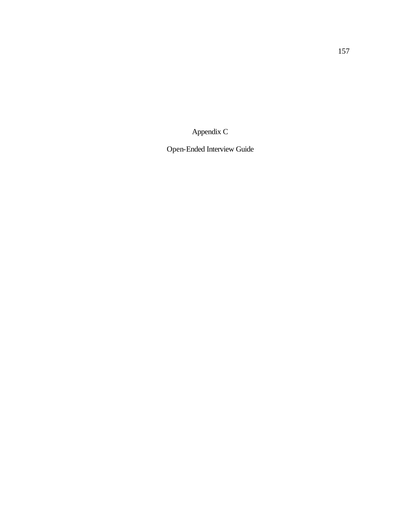Appendix C

Open-Ended Interview Guide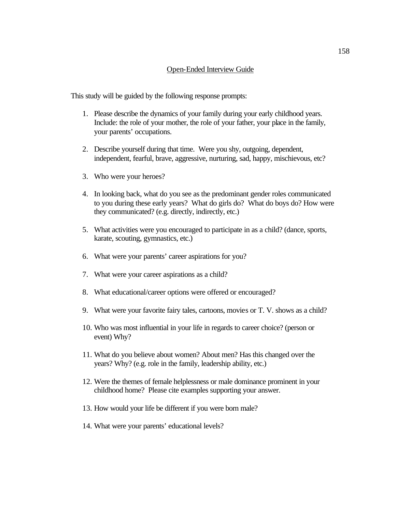#### Open-Ended Interview Guide

This study will be guided by the following response prompts:

- 1. Please describe the dynamics of your family during your early childhood years. Include: the role of your mother, the role of your father, your place in the family, your parents' occupations.
- 2. Describe yourself during that time. Were you shy, outgoing, dependent, independent, fearful, brave, aggressive, nurturing, sad, happy, mischievous, etc?
- 3. Who were your heroes?
- 4. In looking back, what do you see as the predominant gender roles communicated to you during these early years? What do girls do? What do boys do? How were they communicated? (e.g. directly, indirectly, etc.)
- 5. What activities were you encouraged to participate in as a child? (dance, sports, karate, scouting, gymnastics, etc.)
- 6. What were your parents' career aspirations for you?
- 7. What were your career aspirations as a child?
- 8. What educational/career options were offered or encouraged?
- 9. What were your favorite fairy tales, cartoons, movies or T. V. shows as a child?
- 10. Who was most influential in your life in regards to career choice? (person or event) Why?
- 11. What do you believe about women? About men? Has this changed over the years? Why? (e.g. role in the family, leadership ability, etc.)
- 12. Were the themes of female helplessness or male dominance prominent in your childhood home? Please cite examples supporting your answer.
- 13. How would your life be different if you were born male?
- 14. What were your parents' educational levels?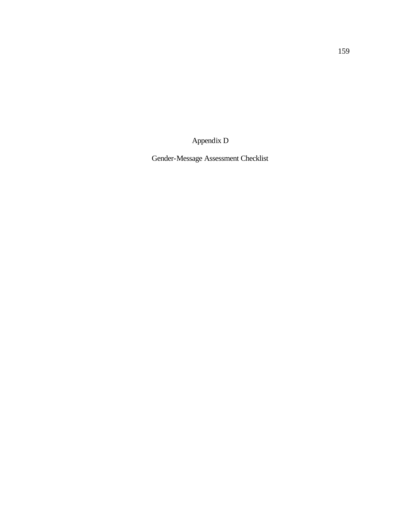Appendix D

Gender-Message Assessment Checklist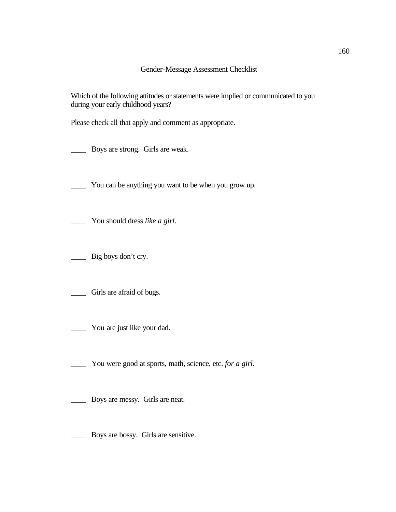Which of the following attitudes or statements were implied or communicated to you during your early childhood years?

Please check all that apply and comment as appropriate.

\_\_\_\_ Boys are strong. Girls are weak.

\_\_\_\_ You can be anything you want to be when you grow up.

\_\_\_\_ You should dress *like a girl*.

\_\_\_\_ Big boys don't cry.

Girls are afraid of bugs.

\_\_\_\_ You are just like your dad.

\_\_\_\_ You were good at sports, math, science, etc. *for a girl.*

\_\_\_\_ Boys are messy. Girls are neat.

Boys are bossy. Girls are sensitive.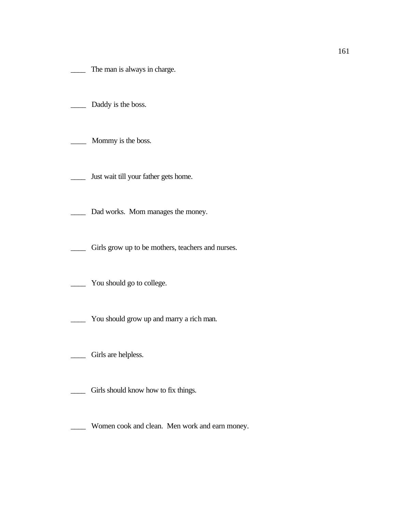The man is always in charge.

- Daddy is the boss.
- Mommy is the boss.
- Just wait till your father gets home.
- \_\_\_\_ Dad works. Mom manages the money.
- \_\_\_\_ Girls grow up to be mothers, teachers and nurses.
- \_\_\_\_ You should go to college.
- \_\_\_\_ You should grow up and marry a rich man.
- Girls are helpless.
- \_\_\_\_ Girls should know how to fix things.
- \_\_\_\_ Women cook and clean. Men work and earn money.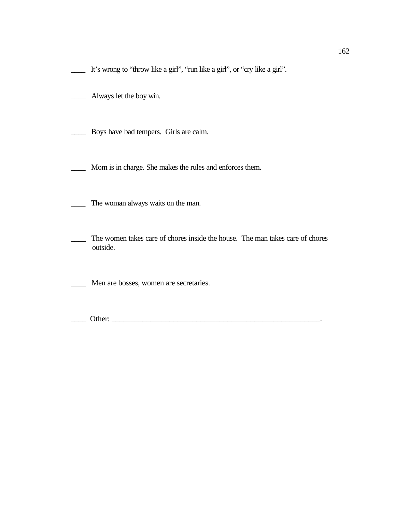\_\_\_\_ It's wrong to "throw like a girl", "run like a girl", or "cry like a girl".

\_\_\_\_ Always let the boy win.

\_\_\_\_ Boys have bad tempers. Girls are calm.

\_\_\_\_ Mom is in charge. She makes the rules and enforces them.

\_\_\_\_ The woman always waits on the man.

The women takes care of chores inside the house. The man takes care of chores outside.

\_\_\_\_ Men are bosses, women are secretaries.

\_\_\_\_ Other: \_\_\_\_\_\_\_\_\_\_\_\_\_\_\_\_\_\_\_\_\_\_\_\_\_\_\_\_\_\_\_\_\_\_\_\_\_\_\_\_\_\_\_\_\_\_\_\_\_\_\_\_\_\_.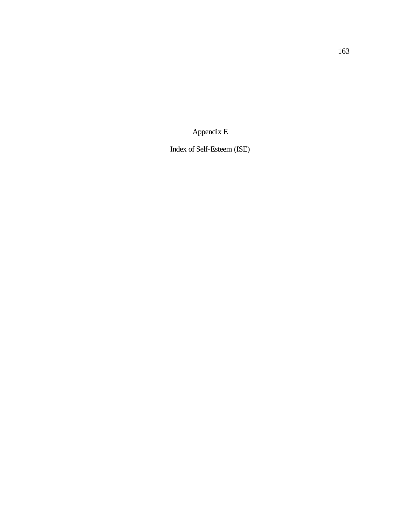Appendix E

Index of Self-Esteem (ISE)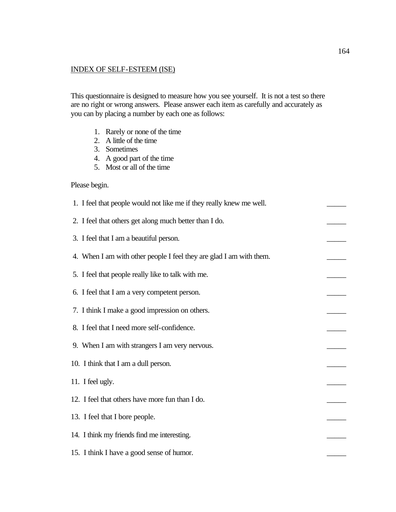### INDEX OF SELF-ESTEEM (ISE)

This questionnaire is designed to measure how you see yourself. It is not a test so there are no right or wrong answers. Please answer each item as carefully and accurately as you can by placing a number by each one as follows:

- 1. Rarely or none of the time
- 2. A little of the time
- 3. Sometimes
- 4. A good part of the time
- 5. Most or all of the time

#### Please begin.

| 1. I feel that people would not like me if they really knew me well. |  |
|----------------------------------------------------------------------|--|
| 2. I feel that others get along much better than I do.               |  |
| 3. I feel that I am a beautiful person.                              |  |
| 4. When I am with other people I feel they are glad I am with them.  |  |
| 5. I feel that people really like to talk with me.                   |  |
| 6. I feel that I am a very competent person.                         |  |
| 7. I think I make a good impression on others.                       |  |
| 8. I feel that I need more self-confidence.                          |  |
| 9. When I am with strangers I am very nervous.                       |  |
| 10. I think that I am a dull person.                                 |  |
| 11. I feel ugly.                                                     |  |
| 12. I feel that others have more fun than I do.                      |  |
| 13. I feel that I bore people.                                       |  |
| 14. I think my friends find me interesting.                          |  |
| 15. I think I have a good sense of humor.                            |  |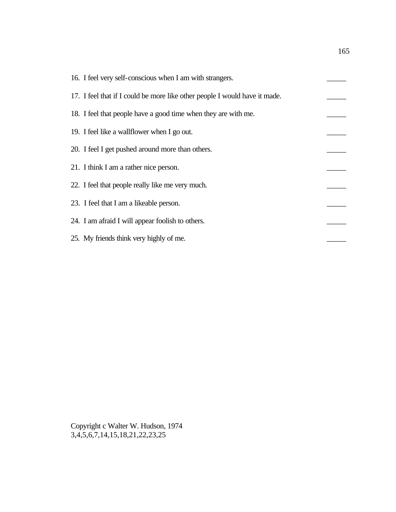| 16. I feel very self-conscious when I am with strangers.                   |  |
|----------------------------------------------------------------------------|--|
| 17. I feel that if I could be more like other people I would have it made. |  |
| 18. I feel that people have a good time when they are with me.             |  |
| 19. I feel like a wallflower when I go out.                                |  |
| 20. I feel I get pushed around more than others.                           |  |
| 21. I think I am a rather nice person.                                     |  |
| 22. I feel that people really like me very much.                           |  |
| 23. I feel that I am a likeable person.                                    |  |
| 24. I am afraid I will appear foolish to others.                           |  |
| 25. My friends think very highly of me.                                    |  |

Copyright c Walter W. Hudson, 1974 3,4,5,6,7,14,15,18,21,22,23,25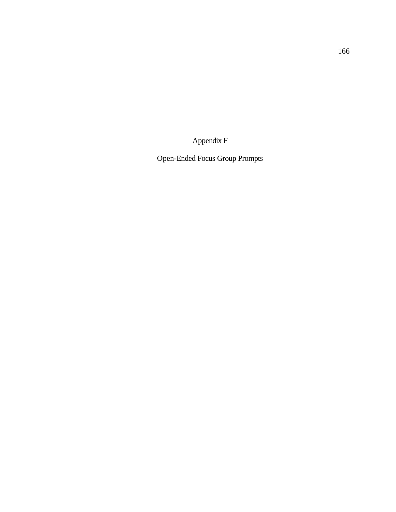Appendix F

Open-Ended Focus Group Prompts